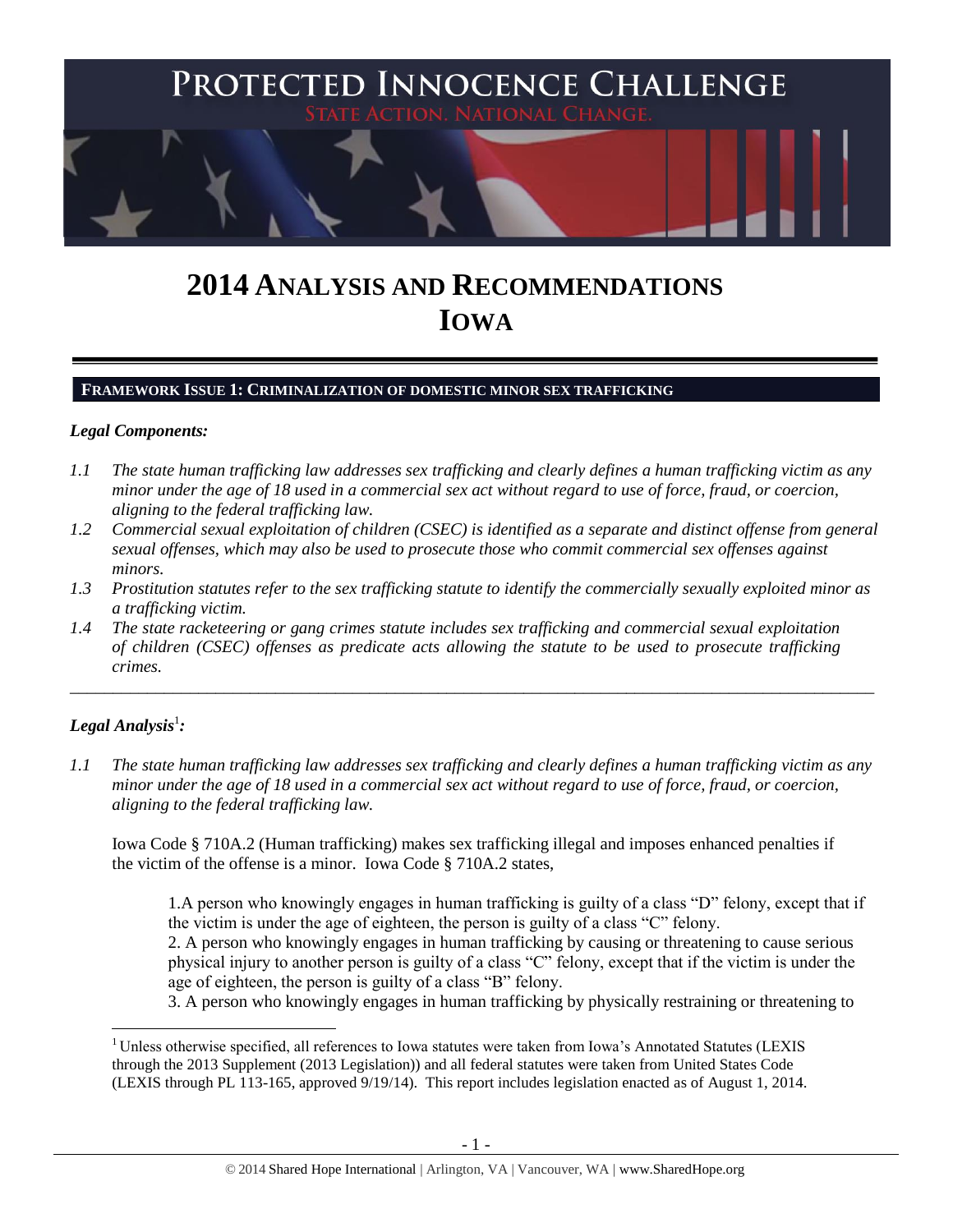

# **2014 ANALYSIS AND RECOMMENDATIONS IOWA**

#### **FRAMEWORK ISSUE 1: CRIMINALIZATION OF DOMESTIC MINOR SEX TRAFFICKING**

#### *Legal Components:*

- *1.1 The state human trafficking law addresses sex trafficking and clearly defines a human trafficking victim as any minor under the age of 18 used in a commercial sex act without regard to use of force, fraud, or coercion, aligning to the federal trafficking law.*
- *1.2 Commercial sexual exploitation of children (CSEC) is identified as a separate and distinct offense from general sexual offenses, which may also be used to prosecute those who commit commercial sex offenses against minors.*
- *1.3 Prostitution statutes refer to the sex trafficking statute to identify the commercially sexually exploited minor as a trafficking victim.*

\_\_\_\_\_\_\_\_\_\_\_\_\_\_\_\_\_\_\_\_\_\_\_\_\_\_\_\_\_\_\_\_\_\_\_\_\_\_\_\_\_\_\_\_\_\_\_\_\_\_\_\_\_\_\_\_\_\_\_\_\_\_\_\_\_\_\_\_\_\_\_\_\_\_\_\_\_\_\_\_\_\_\_\_\_\_\_\_\_\_\_\_\_\_

*1.4 The state racketeering or gang crimes statute includes sex trafficking and commercial sexual exploitation of children (CSEC) offenses as predicate acts allowing the statute to be used to prosecute trafficking crimes.* 

# $\bm{\mathit{Legal\, Analysis^1}}$ :

 $\overline{a}$ 

*1.1 The state human trafficking law addresses sex trafficking and clearly defines a human trafficking victim as any minor under the age of 18 used in a commercial sex act without regard to use of force, fraud, or coercion, aligning to the federal trafficking law.*

Iowa Code § 710A.2 (Human trafficking) makes sex trafficking illegal and imposes enhanced penalties if the victim of the offense is a minor. Iowa Code § 710A.2 states,

1.A person who knowingly engages in human trafficking is guilty of a class "D" felony, except that if the victim is under the age of eighteen, the person is guilty of a class "C" felony.

2. A person who knowingly engages in human trafficking by causing or threatening to cause serious physical injury to another person is guilty of a class "C" felony, except that if the victim is under the age of eighteen, the person is guilty of a class "B" felony.

3. A person who knowingly engages in human trafficking by physically restraining or threatening to

<sup>&</sup>lt;sup>1</sup> Unless otherwise specified, all references to Iowa statutes were taken from Iowa's Annotated Statutes (LEXIS through the 2013 Supplement (2013 Legislation)) and all federal statutes were taken from United States Code (LEXIS through PL 113-165, approved 9/19/14). This report includes legislation enacted as of August 1, 2014.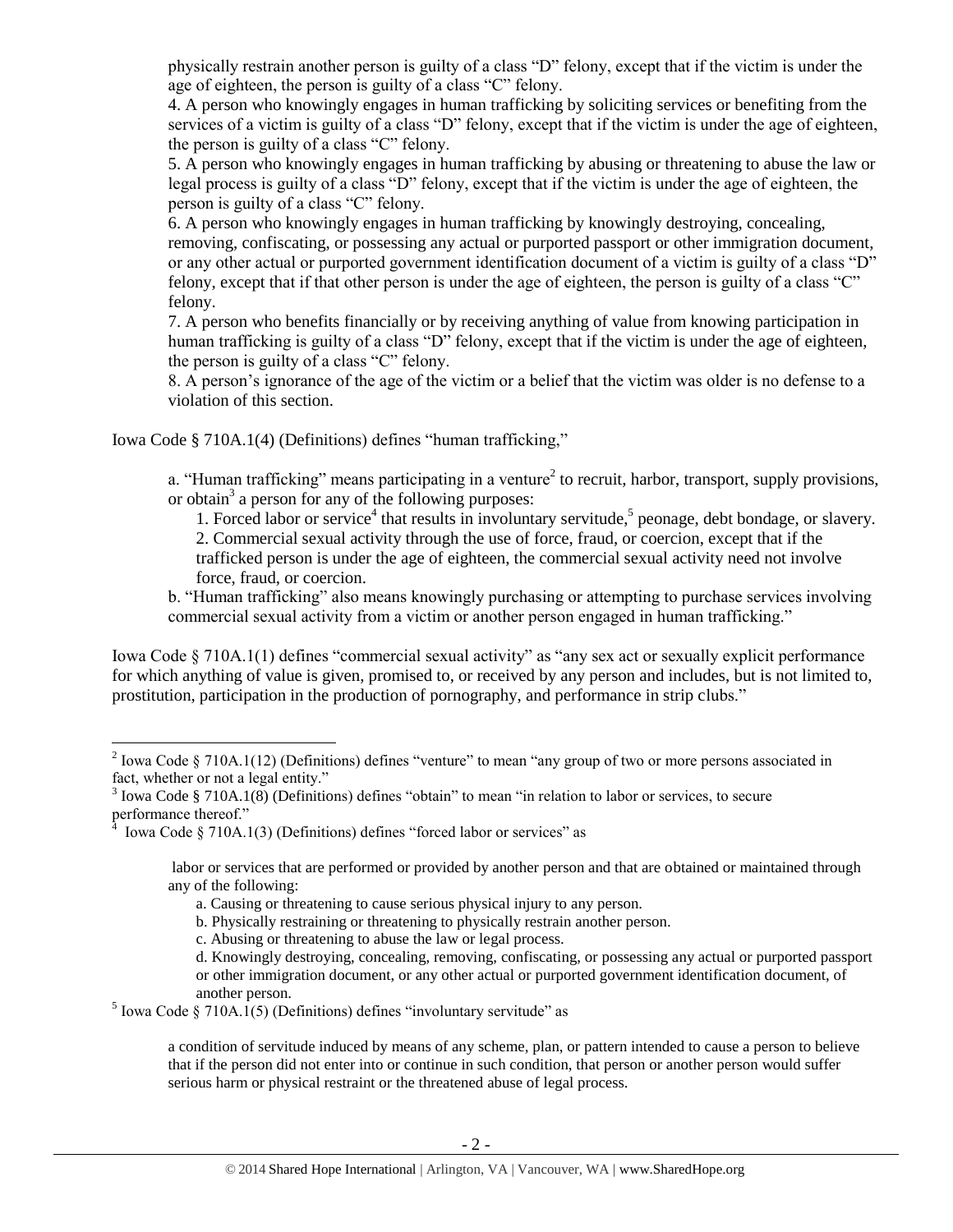physically restrain another person is guilty of a class "D" felony, except that if the victim is under the age of eighteen, the person is guilty of a class "C" felony.

4. A person who knowingly engages in human trafficking by soliciting services or benefiting from the services of a victim is guilty of a class "D" felony, except that if the victim is under the age of eighteen, the person is guilty of a class "C" felony.

5. A person who knowingly engages in human trafficking by abusing or threatening to abuse the law or legal process is guilty of a class "D" felony, except that if the victim is under the age of eighteen, the person is guilty of a class "C" felony.

6. A person who knowingly engages in human trafficking by knowingly destroying, concealing, removing, confiscating, or possessing any actual or purported passport or other immigration document, or any other actual or purported government identification document of a victim is guilty of a class "D" felony, except that if that other person is under the age of eighteen, the person is guilty of a class "C" felony.

7. A person who benefits financially or by receiving anything of value from knowing participation in human trafficking is guilty of a class "D" felony, except that if the victim is under the age of eighteen, the person is guilty of a class "C" felony.

8. A person's ignorance of the age of the victim or a belief that the victim was older is no defense to a violation of this section.

Iowa Code § 710A.1(4) (Definitions) defines "human trafficking,"

a. "Human trafficking" means participating in a venture<sup>2</sup> to recruit, harbor, transport, supply provisions, or obtain<sup>3</sup> a person for any of the following purposes:

<span id="page-1-0"></span>1. Forced labor or service<sup>4</sup> that results in involuntary servitude,<sup>5</sup> peonage, debt bondage, or slavery. 2. Commercial sexual activity through the use of force, fraud, or coercion, except that if the trafficked person is under the age of eighteen, the commercial sexual activity need not involve force, fraud, or coercion.

b. "Human trafficking" also means knowingly purchasing or attempting to purchase services involving commercial sexual activity from a victim or another person engaged in human trafficking."

Iowa Code § 710A.1(1) defines "commercial sexual activity" as "any sex act or sexually explicit performance for which anything of value is given, promised to, or received by any person and includes, but is not limited to, prostitution, participation in the production of pornography, and performance in strip clubs."

 $\overline{a}$ 

labor or services that are performed or provided by another person and that are obtained or maintained through any of the following:

c. Abusing or threatening to abuse the law or legal process.

<sup>5</sup> Iowa Code § 710A.1(5) (Definitions) defines "involuntary servitude" as

a condition of servitude induced by means of any scheme, plan, or pattern intended to cause a person to believe that if the person did not enter into or continue in such condition, that person or another person would suffer serious harm or physical restraint or the threatened abuse of legal process.

<sup>&</sup>lt;sup>2</sup> Iowa Code § 710A.1(12) (Definitions) defines "venture" to mean "any group of two or more persons associated in fact, whether or not a legal entity."

 $3$  Iowa Code § 710A.1(8) (Definitions) defines "obtain" to mean "in relation to labor or services, to secure performance thereof."

Iowa Code § 710A.1(3) (Definitions) defines "forced labor or services" as

a. Causing or threatening to cause serious physical injury to any person.

b. Physically restraining or threatening to physically restrain another person.

d. Knowingly destroying, concealing, removing, confiscating, or possessing any actual or purported passport or other immigration document, or any other actual or purported government identification document, of another person.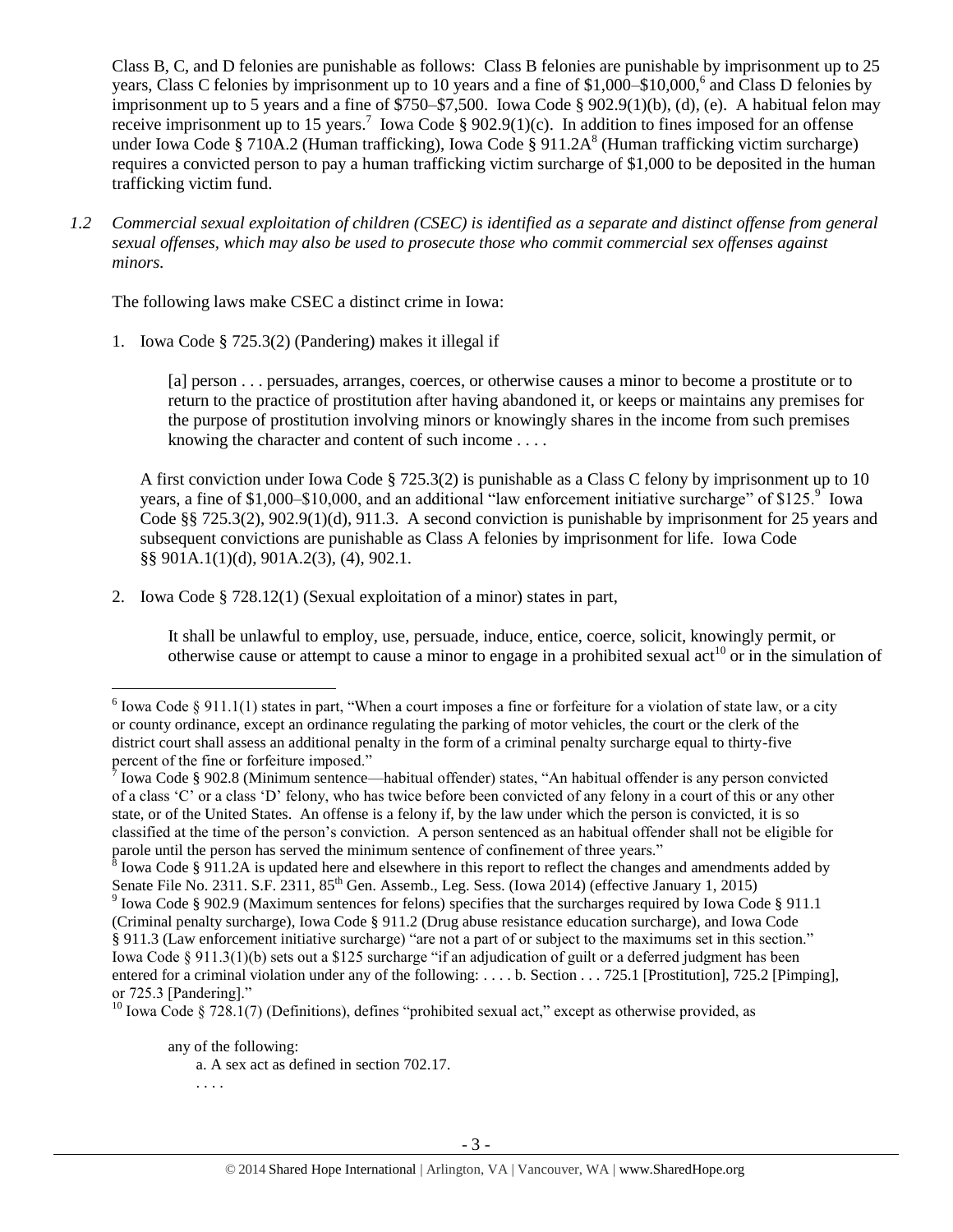<span id="page-2-1"></span>Class B, C, and D felonies are punishable as follows: Class B felonies are punishable by imprisonment up to 25 years, Class C felonies by imprisonment up to 10 years and a fine of \$1,000–\$10,000,<sup>6</sup> and Class D felonies by imprisonment up to 5 years and a fine of \$750–\$7,500. Iowa Code § 902.9(1)(b), (d), (e). A habitual felon may receive imprisonment up to 15 years.<sup>7</sup> Iowa Code § 902.9(1)(c). In addition to fines imposed for an offense under Iowa Code § 710A.2 (Human trafficking), Iowa Code § 911.2A<sup>8</sup> (Human trafficking victim surcharge) requires a convicted person to pay a human trafficking victim surcharge of \$1,000 to be deposited in the human trafficking victim fund.

*1.2 Commercial sexual exploitation of children (CSEC) is identified as a separate and distinct offense from general sexual offenses, which may also be used to prosecute those who commit commercial sex offenses against minors.*

The following laws make CSEC a distinct crime in Iowa:

1. Iowa Code § 725.3(2) (Pandering) makes it illegal if

<span id="page-2-3"></span><span id="page-2-0"></span>[a] person . . . persuades, arranges, coerces, or otherwise causes a minor to become a prostitute or to return to the practice of prostitution after having abandoned it, or keeps or maintains any premises for the purpose of prostitution involving minors or knowingly shares in the income from such premises knowing the character and content of such income . . . .

A first conviction under Iowa Code § 725.3(2) is punishable as a Class C felony by imprisonment up to 10 years, a fine of \$1,000–\$10,000, and an additional "law enforcement initiative surcharge" of \$125. $\degree$  lowa Code §§ 725.3(2), 902.9(1)(d), 911.3. A second conviction is punishable by imprisonment for 25 years and subsequent convictions are punishable as Class A felonies by imprisonment for life. Iowa Code §§ 901A.1(1)(d), 901A.2(3), (4), 902.1.

2. Iowa Code § 728.12(1) (Sexual exploitation of a minor) states in part,

<span id="page-2-2"></span>It shall be unlawful to employ, use, persuade, induce, entice, coerce, solicit, knowingly permit, or otherwise cause or attempt to cause a minor to engage in a prohibited sexual act<sup>10</sup> or in the simulation of

any of the following:

. . . .

<sup>&</sup>lt;sup>6</sup> Iowa Code § 911.1(1) states in part, "When a court imposes a fine or forfeiture for a violation of state law, or a city or county ordinance, except an ordinance regulating the parking of motor vehicles, the court or the clerk of the district court shall assess an additional penalty in the form of a criminal penalty surcharge equal to thirty-five percent of the fine or forfeiture imposed."

<sup>&</sup>lt;sup>7</sup> Iowa Code § 902.8 (Minimum sentence—habitual offender) states, "An habitual offender is any person convicted of a class 'C' or a class 'D' felony, who has twice before been convicted of any felony in a court of this or any other state, or of the United States. An offense is a felony if, by the law under which the person is convicted, it is so classified at the time of the person's conviction. A person sentenced as an habitual offender shall not be eligible for parole until the person has served the minimum sentence of confinement of three years."

 $\delta$  Iowa Code § 911.2A is updated here and elsewhere in this report to reflect the changes and amendments added by Senate File No. 2311. S.F. 2311, 85<sup>th</sup> Gen. Assemb., Leg. Sess. (Iowa 2014) (effective January 1, 2015)

<sup>&</sup>lt;sup>9</sup> Iowa Code § 902.9 (Maximum sentences for felons) specifies that the surcharges required by Iowa Code § 911.1 (Criminal penalty surcharge), Iowa Code § 911.2 (Drug abuse resistance education surcharge), and Iowa Code § 911.3 (Law enforcement initiative surcharge) "are not a part of or subject to the maximums set in this section." Iowa Code § 911.3(1)(b) sets out a \$125 surcharge "if an adjudication of guilt or a deferred judgment has been entered for a criminal violation under any of the following: . . . . b. Section . . . 725.1 [Prostitution], 725.2 [Pimping], or 725.3 [Pandering]."

 $10$  Iowa Code § 728.1(7) (Definitions), defines "prohibited sexual act," except as otherwise provided, as

a. A sex act as defined in section 702.17.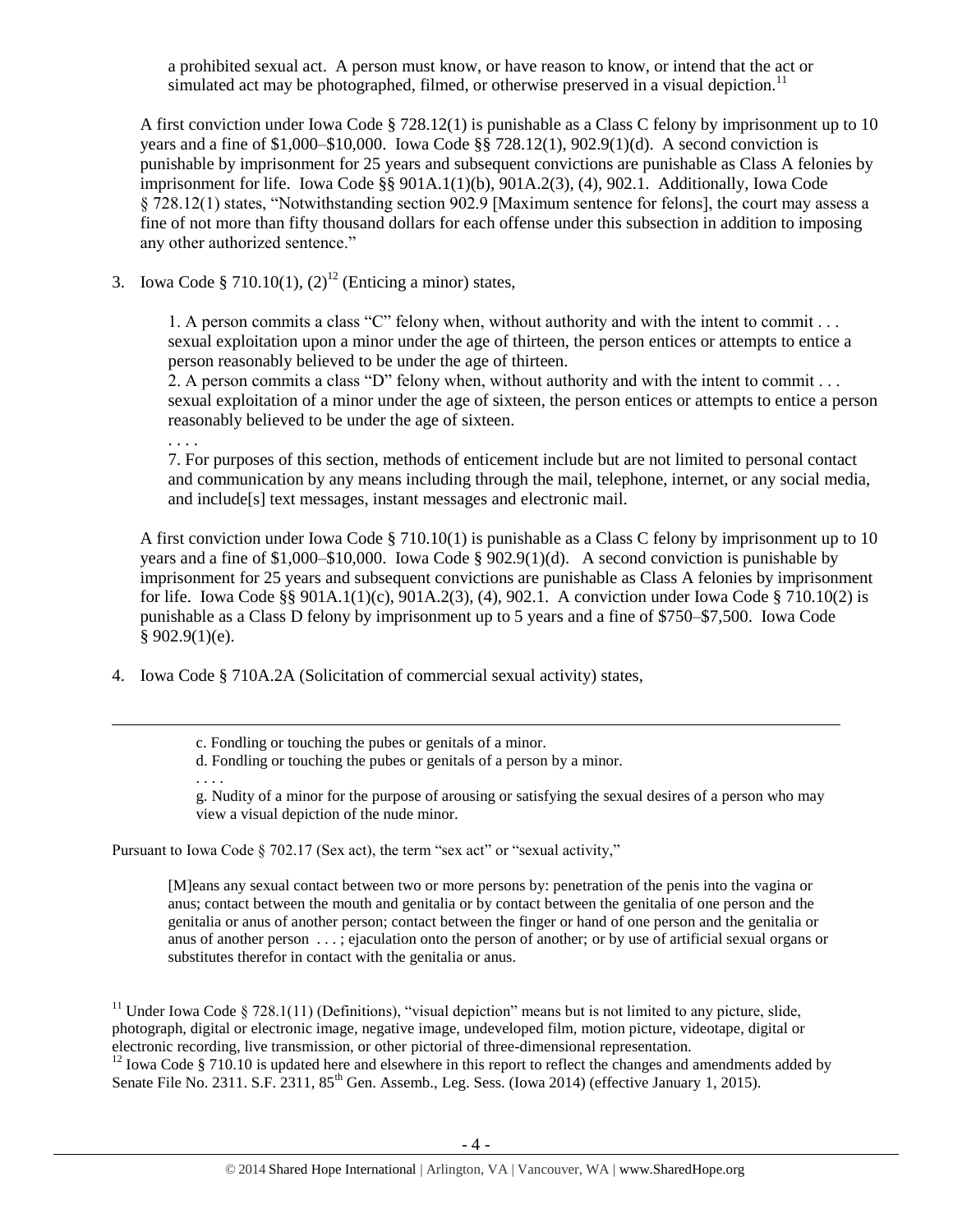a prohibited sexual act. A person must know, or have reason to know, or intend that the act or simulated act may be photographed, filmed, or otherwise preserved in a visual depiction.<sup>11</sup>

A first conviction under Iowa Code § 728.12(1) is punishable as a Class C felony by imprisonment up to 10 years and a fine of \$1,000–\$10,000. Iowa Code §§ 728.12(1), 902.9(1)(d). A second conviction is punishable by imprisonment for 25 years and subsequent convictions are punishable as Class A felonies by imprisonment for life. Iowa Code §§ 901A.1(1)(b), 901A.2(3), (4), 902.1. Additionally, Iowa Code § 728.12(1) states, "Notwithstanding section 902.9 [Maximum sentence for felons], the court may assess a fine of not more than fifty thousand dollars for each offense under this subsection in addition to imposing any other authorized sentence."

3. Iowa Code § 710.10(1),  $(2)^{12}$  (Enticing a minor) states,

<span id="page-3-0"></span>1. A person commits a class "C" felony when, without authority and with the intent to commit . . . sexual exploitation upon a minor under the age of thirteen, the person entices or attempts to entice a person reasonably believed to be under the age of thirteen.

2. A person commits a class "D" felony when, without authority and with the intent to commit  $\dots$ sexual exploitation of a minor under the age of sixteen, the person entices or attempts to entice a person reasonably believed to be under the age of sixteen.

. . . .

7. For purposes of this section, methods of enticement include but are not limited to personal contact and communication by any means including through the mail, telephone, internet, or any social media, and include[s] text messages, instant messages and electronic mail.

A first conviction under Iowa Code § 710.10(1) is punishable as a Class C felony by imprisonment up to 10 years and a fine of \$1,000–\$10,000. Iowa Code § 902.9(1)(d). A second conviction is punishable by imprisonment for 25 years and subsequent convictions are punishable as Class A felonies by imprisonment for life. Iowa Code §§ 901A.1(1)(c), 901A.2(3), (4), 902.1. A conviction under Iowa Code § 710.10(2) is punishable as a Class D felony by imprisonment up to 5 years and a fine of \$750–\$7,500. Iowa Code  $§ 902.9(1)(e).$ 

4. Iowa Code § 710A.2A (Solicitation of commercial sexual activity) states,

d. Fondling or touching the pubes or genitals of a person by a minor.

. . . .

 $\overline{a}$ 

g. Nudity of a minor for the purpose of arousing or satisfying the sexual desires of a person who may view a visual depiction of the nude minor.

Pursuant to Iowa Code § 702.17 (Sex act), the term "sex act" or "sexual activity,"

[M]eans any sexual contact between two or more persons by: penetration of the penis into the vagina or anus; contact between the mouth and genitalia or by contact between the genitalia of one person and the genitalia or anus of another person; contact between the finger or hand of one person and the genitalia or anus of another person . . . ; ejaculation onto the person of another; or by use of artificial sexual organs or substitutes therefor in contact with the genitalia or anus.

<sup>11</sup> Under Iowa Code § 728.1(11) (Definitions), "visual depiction" means but is not limited to any picture, slide, photograph, digital or electronic image, negative image, undeveloped film, motion picture, videotape, digital or electronic recording, live transmission, or other pictorial of three-dimensional representation.

 $12$  Iowa Code § 710.10 is updated here and elsewhere in this report to reflect the changes and amendments added by Senate File No. 2311. S.F. 2311, 85<sup>th</sup> Gen. Assemb., Leg. Sess. (Iowa 2014) (effective January 1, 2015).

c. Fondling or touching the pubes or genitals of a minor.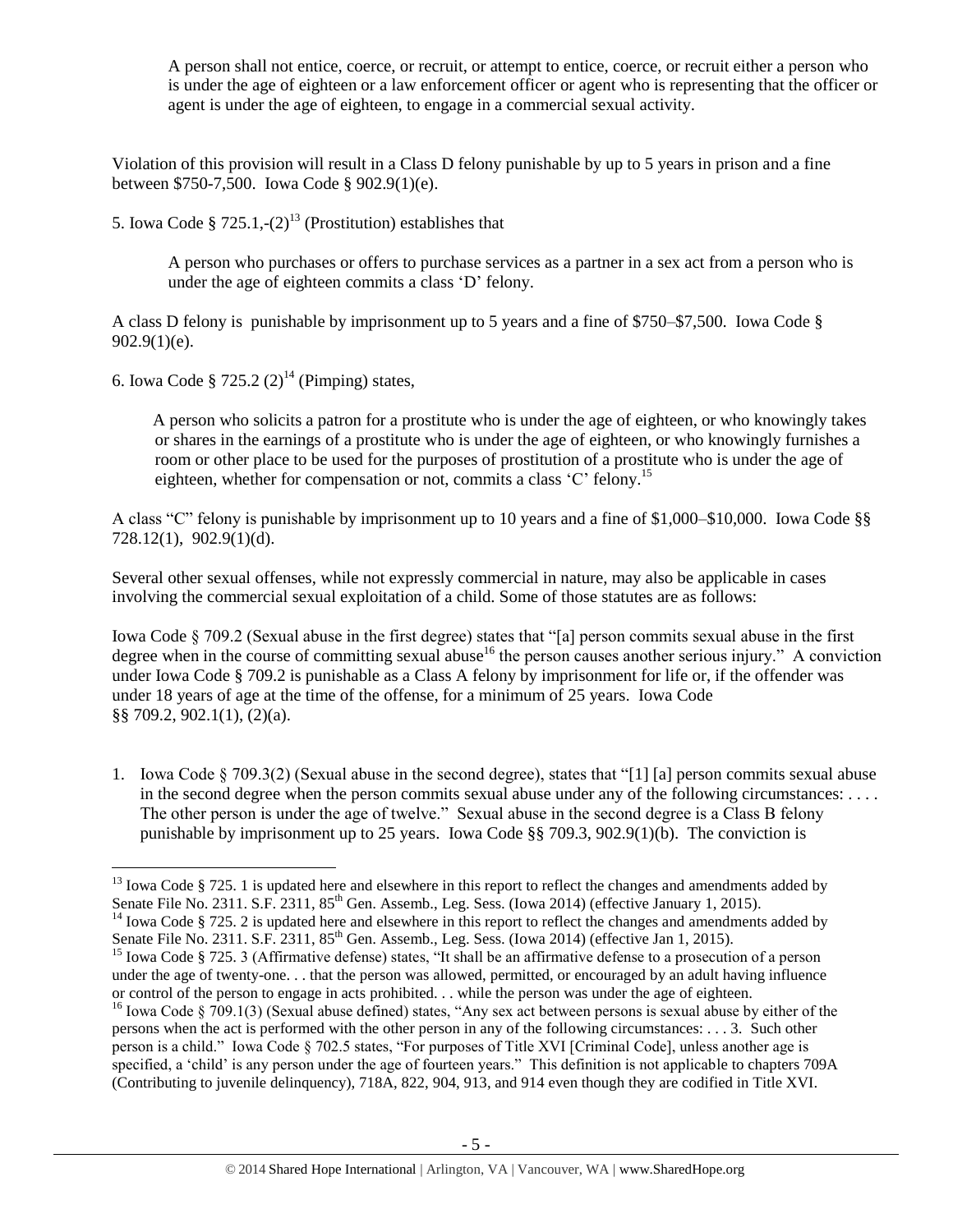A person shall not entice, coerce, or recruit, or attempt to entice, coerce, or recruit either a person who is under the age of eighteen or a law enforcement officer or agent who is representing that the officer or agent is under the age of eighteen, to engage in a commercial sexual activity.

Violation of this provision will result in a Class D felony punishable by up to 5 years in prison and a fine between \$750-7,500. Iowa Code § 902.9(1)(e).

5. Iowa Code §  $725.1, -(2)^{13}$  (Prostitution) establishes that

<span id="page-4-1"></span>A person who purchases or offers to purchase services as a partner in a sex act from a person who is under the age of eighteen commits a class 'D' felony.

A class D felony is punishable by imprisonment up to 5 years and a fine of \$750–\$7,500. Iowa Code §  $902.9(1)(e)$ .

6. Iowa Code § 725.2  $(2)^{14}$  (Pimping) states,

 $\overline{a}$ 

<span id="page-4-2"></span> A person who solicits a patron for a prostitute who is under the age of eighteen, or who knowingly takes or shares in the earnings of a prostitute who is under the age of eighteen, or who knowingly furnishes a room or other place to be used for the purposes of prostitution of a prostitute who is under the age of eighteen, whether for compensation or not, commits a class 'C' felony.<sup>15</sup>

A class "C" felony is punishable by imprisonment up to 10 years and a fine of \$1,000–\$10,000. Iowa Code §§ 728.12(1), 902.9(1)(d).

Several other sexual offenses, while not expressly commercial in nature, may also be applicable in cases involving the commercial sexual exploitation of a child. Some of those statutes are as follows:

<span id="page-4-0"></span>Iowa Code § 709.2 (Sexual abuse in the first degree) states that "[a] person commits sexual abuse in the first degree when in the course of committing sexual abuse<sup>16</sup> the person causes another serious injury." A conviction under Iowa Code § 709.2 is punishable as a Class A felony by imprisonment for life or, if the offender was under 18 years of age at the time of the offense, for a minimum of 25 years. Iowa Code §§ 709.2, 902.1(1), (2)(a).

1. Iowa Code § 709.3(2) (Sexual abuse in the second degree), states that "[1] [a] person commits sexual abuse in the second degree when the person commits sexual abuse under any of the following circumstances: . . . . The other person is under the age of twelve." Sexual abuse in the second degree is a Class B felony punishable by imprisonment up to 25 years. Iowa Code §§ 709.3, 902.9(1)(b). The conviction is

 $13$  Iowa Code § 725. 1 is updated here and elsewhere in this report to reflect the changes and amendments added by Senate File No. 2311. S.F. 2311, 85<sup>th</sup> Gen. Assemb., Leg. Sess. (Iowa 2014) (effective January 1, 2015).

<sup>&</sup>lt;sup>14</sup> Iowa Code § 725. 2 is updated here and elsewhere in this report to reflect the changes and amendments added by Senate File No. 2311. S.F. 2311, 85<sup>th</sup> Gen. Assemb., Leg. Sess. (Iowa 2014) (effective Jan 1, 2015).

<sup>&</sup>lt;sup>15</sup> Iowa Code § 725. 3 (Affirmative defense) states, "It shall be an affirmative defense to a prosecution of a person under the age of twenty-one. . . that the person was allowed, permitted, or encouraged by an adult having influence or control of the person to engage in acts prohibited. . . while the person was under the age of eighteen.

<sup>&</sup>lt;sup>16</sup> Iowa Code § 709.1(3) (Sexual abuse defined) states, "Any sex act between persons is sexual abuse by either of the persons when the act is performed with the other person in any of the following circumstances: . . . 3. Such other person is a child." Iowa Code § 702.5 states, "For purposes of Title XVI [Criminal Code], unless another age is specified, a 'child' is any person under the age of fourteen years." This definition is not applicable to chapters 709A (Contributing to juvenile delinquency), 718A, 822, 904, 913, and 914 even though they are codified in Title XVI.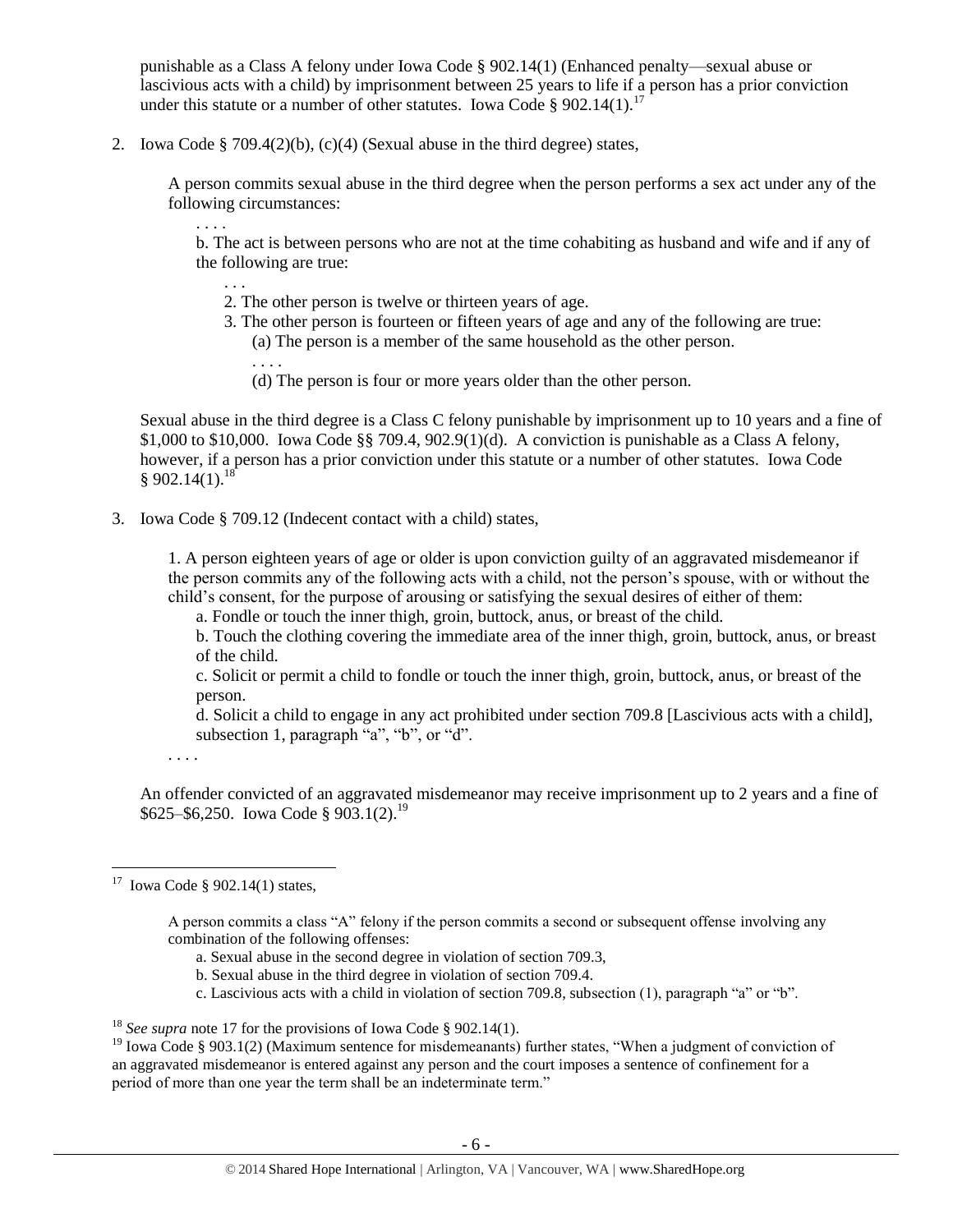punishable as a Class A felony under Iowa Code § 902.14(1) (Enhanced penalty—sexual abuse or lascivious acts with a child) by imprisonment between 25 years to life if a person has a prior conviction under this statute or a number of other statutes. Iowa Code § 902.14(1).<sup>17</sup>

2. Iowa Code § 709.4(2)(b), (c)(4) (Sexual abuse in the third degree) states,

A person commits sexual abuse in the third degree when the person performs a sex act under any of the following circumstances:

b. The act is between persons who are not at the time cohabiting as husband and wife and if any of the following are true:

- 2. The other person is twelve or thirteen years of age.
- 3. The other person is fourteen or fifteen years of age and any of the following are true:
	- (a) The person is a member of the same household as the other person.
	- (d) The person is four or more years older than the other person.

Sexual abuse in the third degree is a Class C felony punishable by imprisonment up to 10 years and a fine of \$1,000 to \$10,000. Iowa Code §§ 709.4,  $902.9(1)(d)$ . A conviction is punishable as a Class A felony, however, if a person has a prior conviction under this statute or a number of other statutes. Iowa Code  $§ 902.14(1).^{18}$ 

3. Iowa Code § 709.12 (Indecent contact with a child) states,

1. A person eighteen years of age or older is upon conviction guilty of an aggravated misdemeanor if the person commits any of the following acts with a child, not the person's spouse, with or without the child's consent, for the purpose of arousing or satisfying the sexual desires of either of them:

a. Fondle or touch the inner thigh, groin, buttock, anus, or breast of the child.

b. Touch the clothing covering the immediate area of the inner thigh, groin, buttock, anus, or breast of the child.

c. Solicit or permit a child to fondle or touch the inner thigh, groin, buttock, anus, or breast of the person.

d. Solicit a child to engage in any act prohibited under section 709.8 [Lascivious acts with a child], subsection 1, paragraph "a", "b", or "d".

. . . .

An offender convicted of an aggravated misdemeanor may receive imprisonment up to 2 years and a fine of  $$625–$6,250. Iowa Code § 903.1(2).<sup>19</sup>$ 

. . . .

<span id="page-5-0"></span>. . .

. . . .

- a. Sexual abuse in the second degree in violation of section 709.3,
- b. Sexual abuse in the third degree in violation of section 709.4.
- c. Lascivious acts with a child in violation of section 709.8, subsection (1), paragraph "a" or "b".

 17 Iowa Code § 902.14(1) states,

A person commits a class "A" felony if the person commits a second or subsequent offense involving any combination of the following offenses:

<sup>&</sup>lt;sup>18</sup> *See supra* note [17](#page-5-0) for the provisions of Iowa Code § 902.14(1).

<sup>&</sup>lt;sup>19</sup> Iowa Code § 903.1(2) (Maximum sentence for misdemeanants) further states, "When a judgment of conviction of an aggravated misdemeanor is entered against any person and the court imposes a sentence of confinement for a period of more than one year the term shall be an indeterminate term."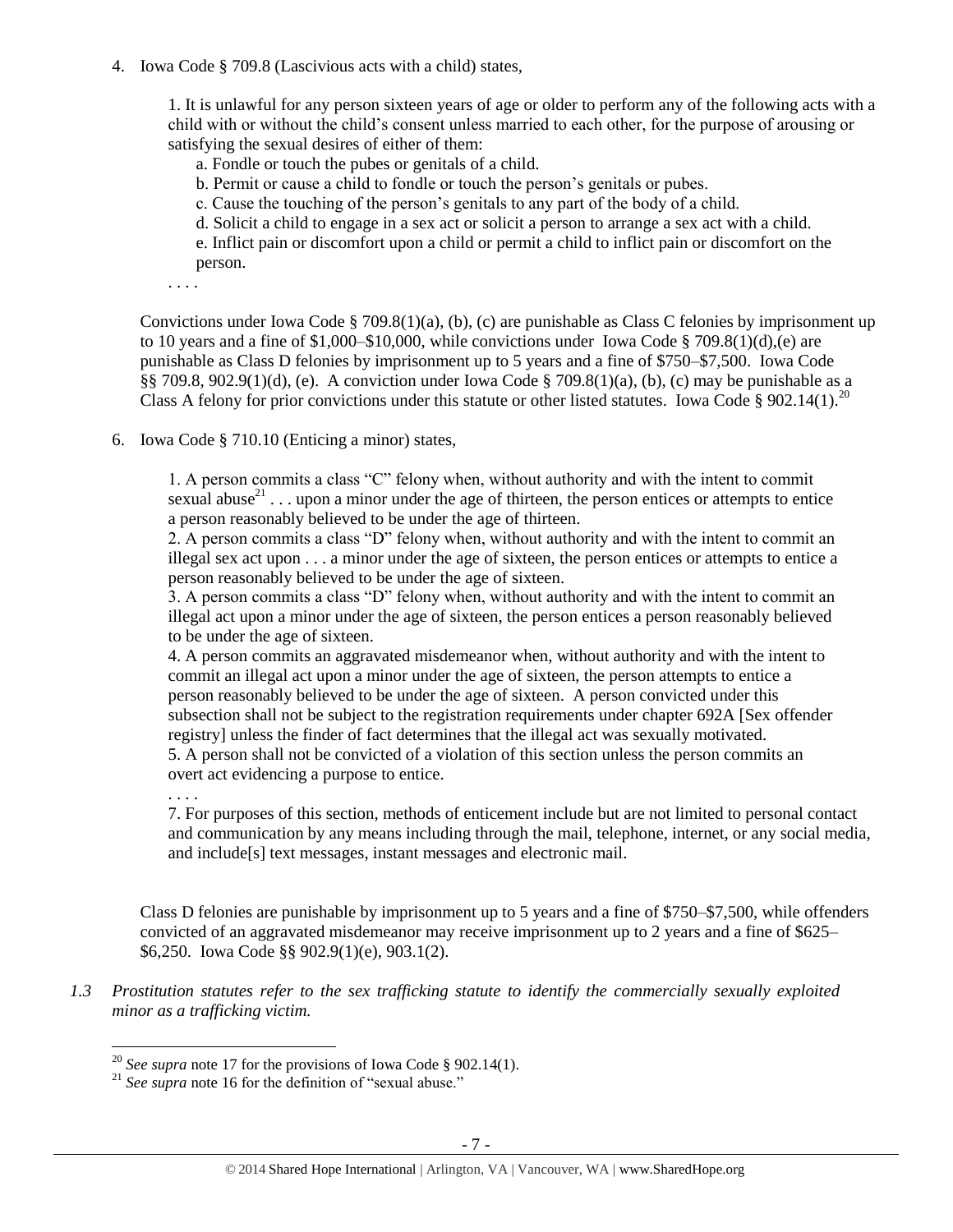4. Iowa Code § 709.8 (Lascivious acts with a child) states,

1. It is unlawful for any person sixteen years of age or older to perform any of the following acts with a child with or without the child's consent unless married to each other, for the purpose of arousing or satisfying the sexual desires of either of them:

a. Fondle or touch the pubes or genitals of a child.

b. Permit or cause a child to fondle or touch the person's genitals or pubes.

c. Cause the touching of the person's genitals to any part of the body of a child.

d. Solicit a child to engage in a sex act or solicit a person to arrange a sex act with a child.

e. Inflict pain or discomfort upon a child or permit a child to inflict pain or discomfort on the person.

. . . .

Convictions under Iowa Code § 709.8(1)(a), (b), (c) are punishable as Class C felonies by imprisonment up to 10 years and a fine of  $1,000-\$10,000$ , while convictions under Iowa Code § 709.8(1)(d),(e) are punishable as Class D felonies by imprisonment up to 5 years and a fine of \$750–\$7,500. Iowa Code §§ 709.8, 902.9(1)(d), (e). A conviction under Iowa Code § 709.8(1)(a), (b), (c) may be punishable as a Class A felony for prior convictions under this statute or other listed statutes. Iowa Code § 902.14(1).<sup>20</sup>

6. Iowa Code § 710.10 (Enticing a minor) states,

1. A person commits a class "C" felony when, without authority and with the intent to commit sexual abuse<sup>21</sup>... upon a minor under the age of thirteen, the person entices or attempts to entice a person reasonably believed to be under the age of thirteen.

2. A person commits a class "D" felony when, without authority and with the intent to commit an illegal sex act upon . . . a minor under the age of sixteen, the person entices or attempts to entice a person reasonably believed to be under the age of sixteen.

3. A person commits a class "D" felony when, without authority and with the intent to commit an illegal act upon a minor under the age of sixteen, the person entices a person reasonably believed to be under the age of sixteen.

4. A person commits an aggravated misdemeanor when, without authority and with the intent to commit an illegal act upon a minor under the age of sixteen, the person attempts to entice a person reasonably believed to be under the age of sixteen. A person convicted under this subsection shall not be subject to the registration requirements under chapter 692A [Sex offender registry] unless the finder of fact determines that the illegal act was sexually motivated. 5. A person shall not be convicted of a violation of this section unless the person commits an overt act evidencing a purpose to entice.

. . . .

 $\overline{a}$ 

7. For purposes of this section, methods of enticement include but are not limited to personal contact and communication by any means including through the mail, telephone, internet, or any social media, and include[s] text messages, instant messages and electronic mail.

Class D felonies are punishable by imprisonment up to 5 years and a fine of \$750–\$7,500, while offenders convicted of an aggravated misdemeanor may receive imprisonment up to 2 years and a fine of \$625– \$6,250. Iowa Code §§ 902.9(1)(e), 903.1(2).

*1.3 Prostitution statutes refer to the sex trafficking statute to identify the commercially sexually exploited minor as a trafficking victim.* 

<sup>&</sup>lt;sup>20</sup> *See supra* note [17](#page-5-0) for the provisions of Iowa Code § 902.14(1).

<sup>&</sup>lt;sup>21</sup> See supra note [16](#page-4-0) for the definition of "sexual abuse."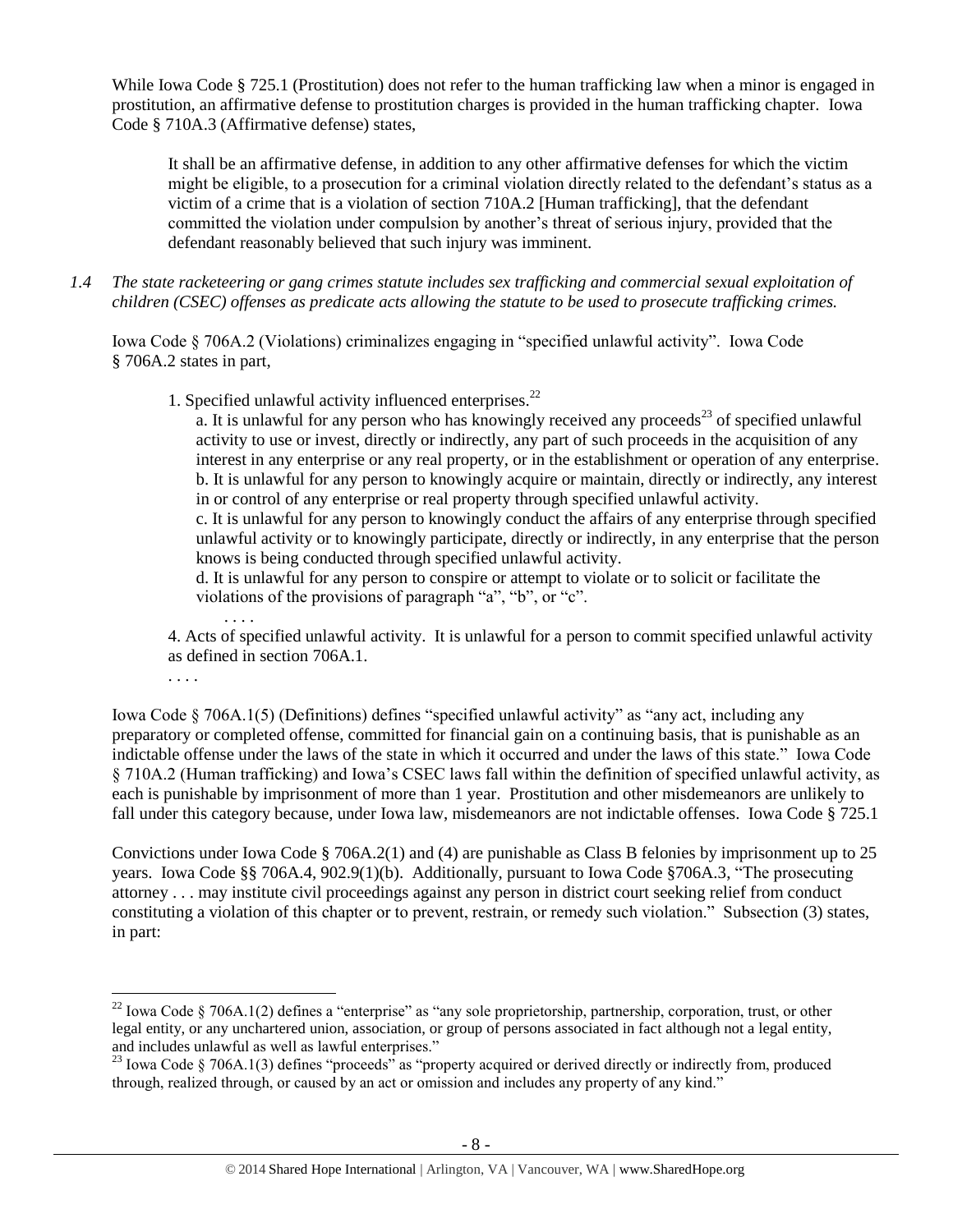While Iowa Code § 725.1 (Prostitution) does not refer to the human trafficking law when a minor is engaged in prostitution, an affirmative defense to prostitution charges is provided in the human trafficking chapter. Iowa Code § 710A.3 (Affirmative defense) states,

It shall be an affirmative defense, in addition to any other affirmative defenses for which the victim might be eligible, to a prosecution for a criminal violation directly related to the defendant's status as a victim of a crime that is a violation of section 710A.2 [Human trafficking], that the defendant committed the violation under compulsion by another's threat of serious injury, provided that the defendant reasonably believed that such injury was imminent.

*1.4 The state racketeering or gang crimes statute includes sex trafficking and commercial sexual exploitation of children (CSEC) offenses as predicate acts allowing the statute to be used to prosecute trafficking crimes.* 

Iowa Code § 706A.2 (Violations) criminalizes engaging in "specified unlawful activity". Iowa Code § 706A.2 states in part,

1. Specified unlawful activity influenced enterprises.<sup>22</sup>

a. It is unlawful for any person who has knowingly received any proceeds<sup>23</sup> of specified unlawful activity to use or invest, directly or indirectly, any part of such proceeds in the acquisition of any interest in any enterprise or any real property, or in the establishment or operation of any enterprise. b. It is unlawful for any person to knowingly acquire or maintain, directly or indirectly, any interest in or control of any enterprise or real property through specified unlawful activity.

c. It is unlawful for any person to knowingly conduct the affairs of any enterprise through specified unlawful activity or to knowingly participate, directly or indirectly, in any enterprise that the person knows is being conducted through specified unlawful activity.

d. It is unlawful for any person to conspire or attempt to violate or to solicit or facilitate the violations of the provisions of paragraph "a", "b", or "c".

. . . . 4. Acts of specified unlawful activity. It is unlawful for a person to commit specified unlawful activity as defined in section 706A.1.

. . . .

 $\overline{a}$ 

Iowa Code § 706A.1(5) (Definitions) defines "specified unlawful activity" as "any act, including any preparatory or completed offense, committed for financial gain on a continuing basis, that is punishable as an indictable offense under the laws of the state in which it occurred and under the laws of this state." Iowa Code § 710A.2 (Human trafficking) and Iowa's CSEC laws fall within the definition of specified unlawful activity, as each is punishable by imprisonment of more than 1 year. Prostitution and other misdemeanors are unlikely to fall under this category because, under Iowa law, misdemeanors are not indictable offenses. Iowa Code § 725.1

Convictions under Iowa Code § 706A.2(1) and (4) are punishable as Class B felonies by imprisonment up to 25 years. Iowa Code §§ 706A.4, 902.9(1)(b). Additionally, pursuant to Iowa Code §706A.3, "The prosecuting attorney . . . may institute civil proceedings against any person in district court seeking relief from conduct constituting a violation of this chapter or to prevent, restrain, or remedy such violation." Subsection (3) states, in part:

 $^{22}$  Iowa Code § 706A.1(2) defines a "enterprise" as "any sole proprietorship, partnership, corporation, trust, or other legal entity, or any unchartered union, association, or group of persons associated in fact although not a legal entity, and includes unlawful as well as lawful enterprises."

<sup>&</sup>lt;sup>23</sup> Iowa Code § 706A.1(3) defines "proceeds" as "property acquired or derived directly or indirectly from, produced through, realized through, or caused by an act or omission and includes any property of any kind."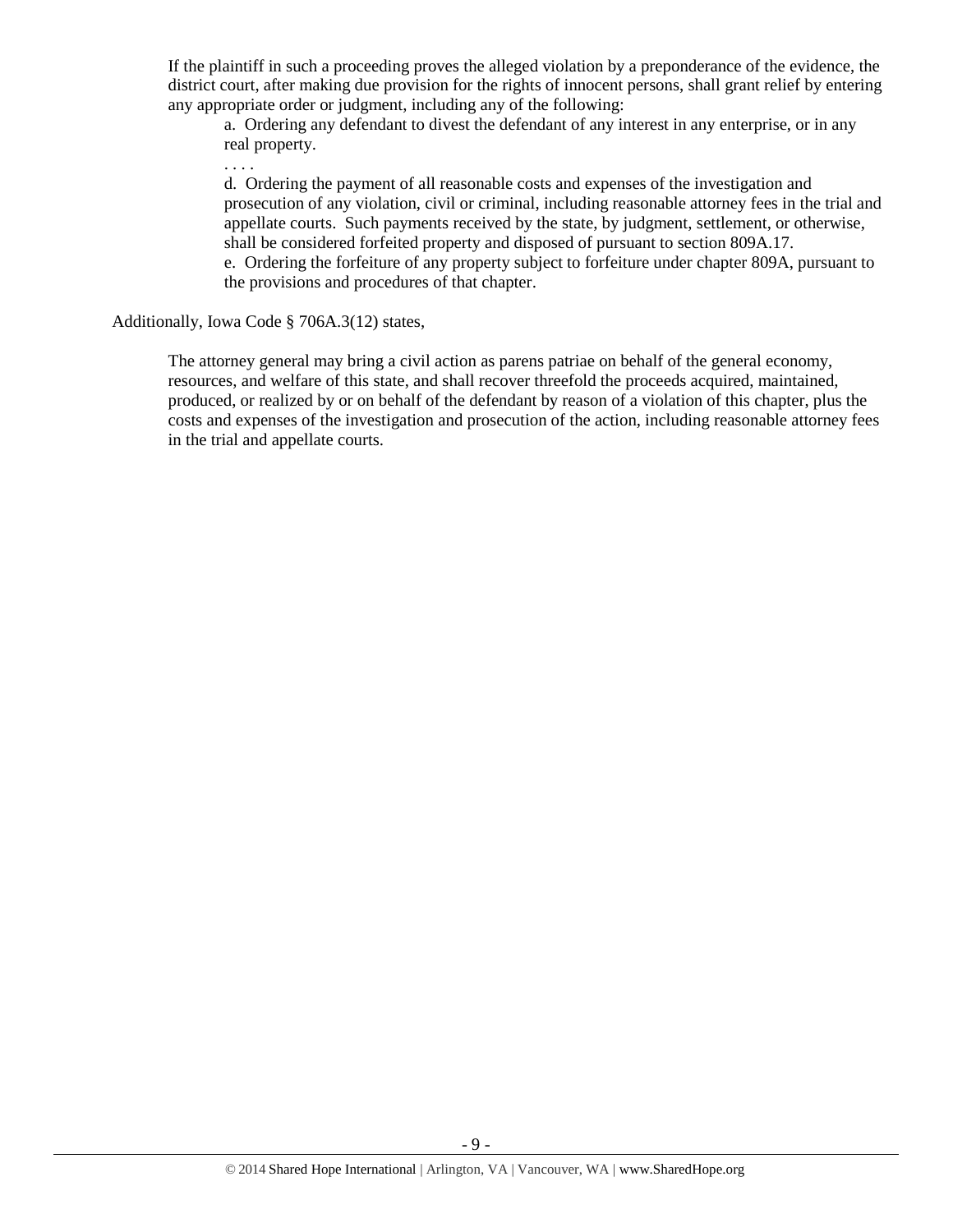If the plaintiff in such a proceeding proves the alleged violation by a preponderance of the evidence, the district court, after making due provision for the rights of innocent persons, shall grant relief by entering any appropriate order or judgment, including any of the following:

a. Ordering any defendant to divest the defendant of any interest in any enterprise, or in any real property.

. . . .

d. Ordering the payment of all reasonable costs and expenses of the investigation and prosecution of any violation, civil or criminal, including reasonable attorney fees in the trial and appellate courts. Such payments received by the state, by judgment, settlement, or otherwise, shall be considered forfeited property and disposed of pursuant to section 809A.17.

e. Ordering the forfeiture of any property subject to forfeiture under chapter 809A, pursuant to the provisions and procedures of that chapter.

#### Additionally, Iowa Code § 706A.3(12) states,

The attorney general may bring a civil action as parens patriae on behalf of the general economy, resources, and welfare of this state, and shall recover threefold the proceeds acquired, maintained, produced, or realized by or on behalf of the defendant by reason of a violation of this chapter, plus the costs and expenses of the investigation and prosecution of the action, including reasonable attorney fees in the trial and appellate courts.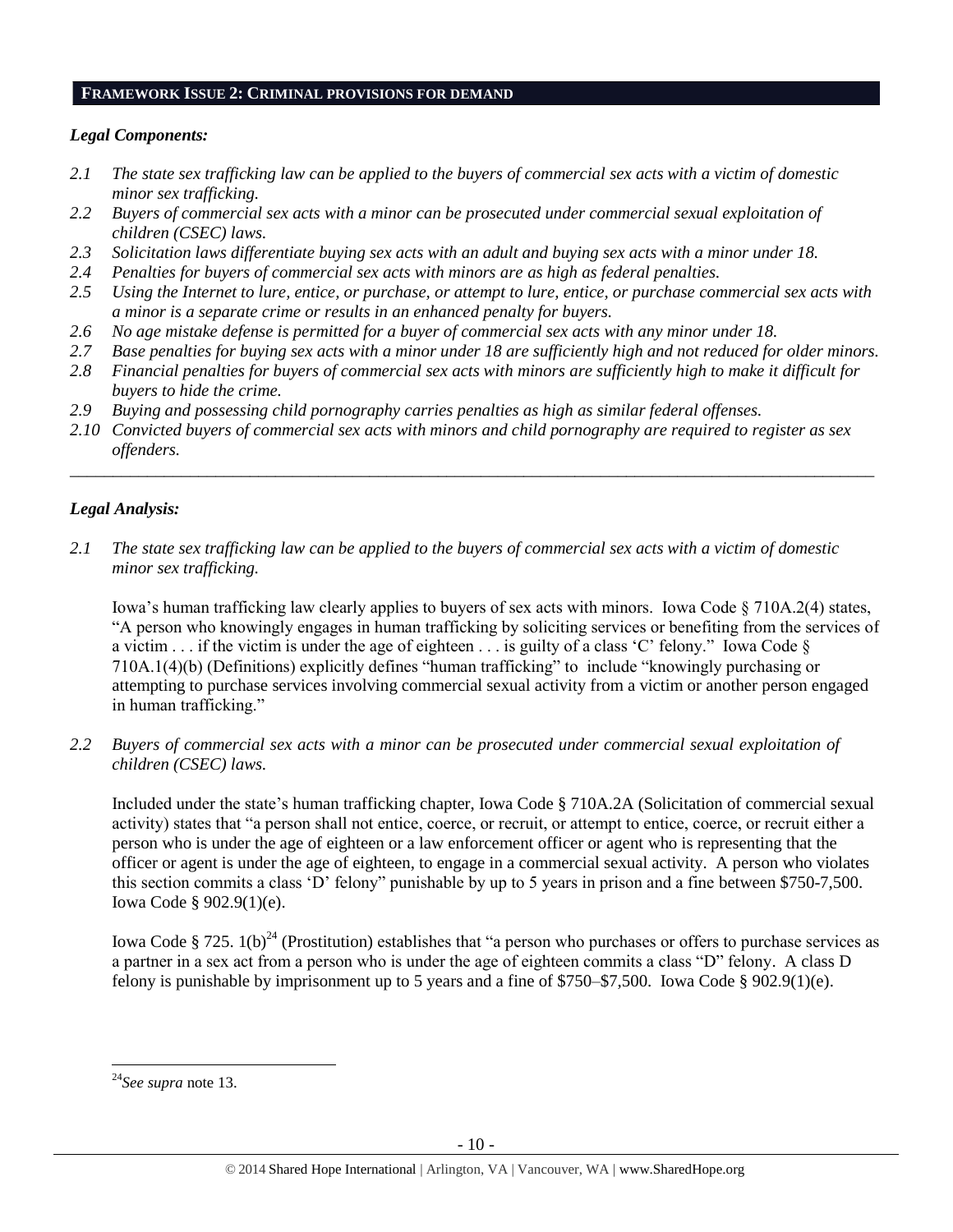#### **FRAMEWORK ISSUE 2: CRIMINAL PROVISIONS FOR DEMAND**

#### *Legal Components:*

- *2.1 The state sex trafficking law can be applied to the buyers of commercial sex acts with a victim of domestic minor sex trafficking.*
- *2.2 Buyers of commercial sex acts with a minor can be prosecuted under commercial sexual exploitation of children (CSEC) laws.*
- *2.3 Solicitation laws differentiate buying sex acts with an adult and buying sex acts with a minor under 18.*
- *2.4 Penalties for buyers of commercial sex acts with minors are as high as federal penalties.*
- *2.5 Using the Internet to lure, entice, or purchase, or attempt to lure, entice, or purchase commercial sex acts with a minor is a separate crime or results in an enhanced penalty for buyers.*
- *2.6 No age mistake defense is permitted for a buyer of commercial sex acts with any minor under 18.*
- *2.7 Base penalties for buying sex acts with a minor under 18 are sufficiently high and not reduced for older minors.*
- *2.8 Financial penalties for buyers of commercial sex acts with minors are sufficiently high to make it difficult for buyers to hide the crime.*
- *2.9 Buying and possessing child pornography carries penalties as high as similar federal offenses.*
- *2.10 Convicted buyers of commercial sex acts with minors and child pornography are required to register as sex offenders.*

\_\_\_\_\_\_\_\_\_\_\_\_\_\_\_\_\_\_\_\_\_\_\_\_\_\_\_\_\_\_\_\_\_\_\_\_\_\_\_\_\_\_\_\_\_\_\_\_\_\_\_\_\_\_\_\_\_\_\_\_\_\_\_\_\_\_\_\_\_\_\_\_\_\_\_\_\_\_\_\_\_\_\_\_\_\_\_\_\_\_\_\_\_\_

#### *Legal Analysis:*

*2.1 The state sex trafficking law can be applied to the buyers of commercial sex acts with a victim of domestic minor sex trafficking.*

Iowa's human trafficking law clearly applies to buyers of sex acts with minors. Iowa Code § 710A.2(4) states, "A person who knowingly engages in human trafficking by soliciting services or benefiting from the services of a victim  $\ldots$  if the victim is under the age of eighteen  $\ldots$  is guilty of a class 'C' felony." Iowa Code  $\S$ 710A.1(4)(b) (Definitions) explicitly defines "human trafficking" to include "knowingly purchasing or attempting to purchase services involving commercial sexual activity from a victim or another person engaged in human trafficking."

*2.2 Buyers of commercial sex acts with a minor can be prosecuted under commercial sexual exploitation of children (CSEC) laws.*

Included under the state's human trafficking chapter, Iowa Code § 710A.2A (Solicitation of commercial sexual activity) states that "a person shall not entice, coerce, or recruit, or attempt to entice, coerce, or recruit either a person who is under the age of eighteen or a law enforcement officer or agent who is representing that the officer or agent is under the age of eighteen, to engage in a commercial sexual activity. A person who violates this section commits a class 'D' felony" punishable by up to 5 years in prison and a fine between \$750-7,500. Iowa Code § 902.9(1)(e).

Iowa Code § 725.  $1(b)^{24}$  (Prostitution) establishes that "a person who purchases or offers to purchase services as a partner in a sex act from a person who is under the age of eighteen commits a class "D" felony. A class D felony is punishable by imprisonment up to 5 years and a fine of \$750–\$7,500. Iowa Code § 902.9(1)(e).

 $\overline{a}$ <sup>24</sup>*See supra* note [13.](#page-4-1)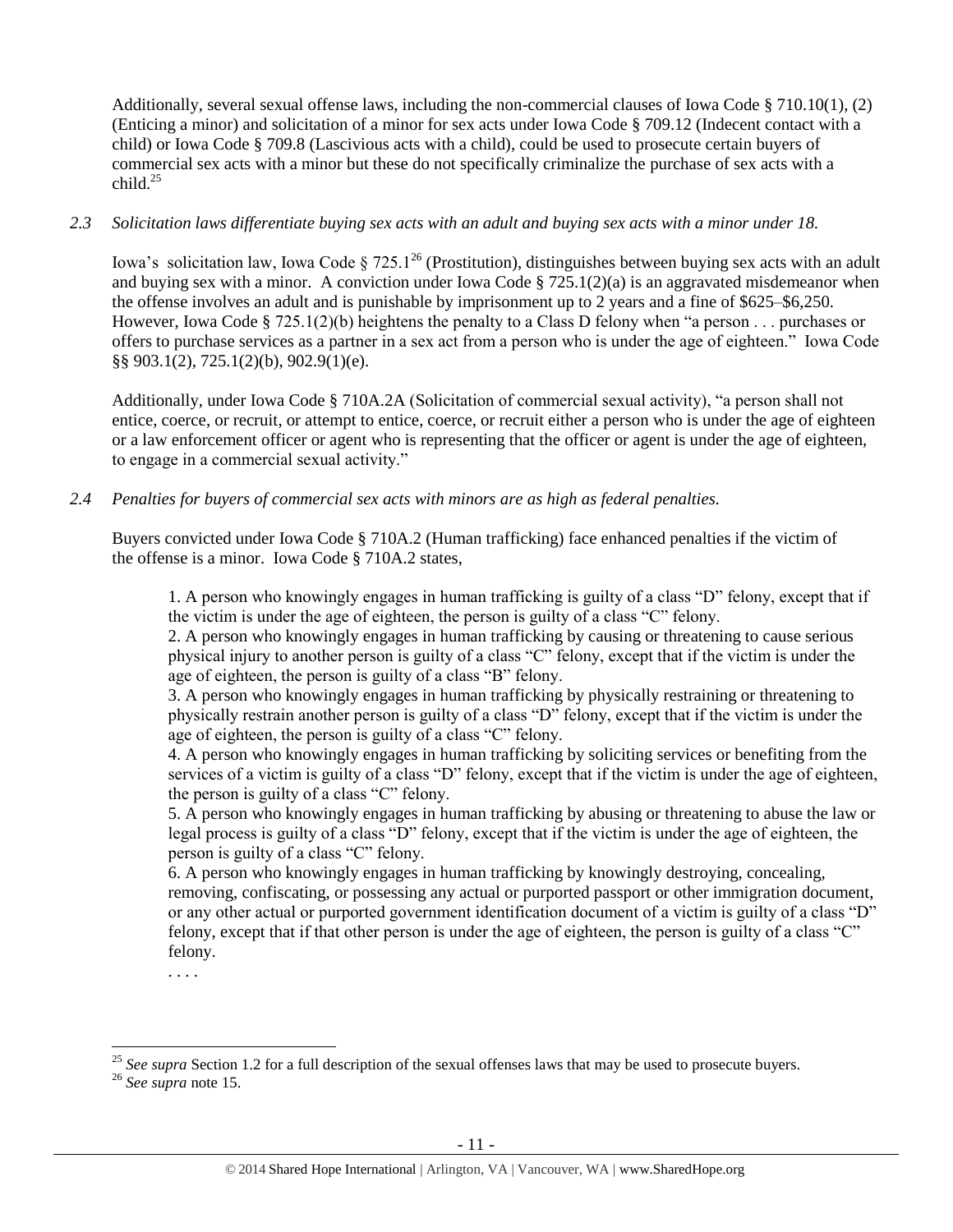Additionally, several sexual offense laws, including the non-commercial clauses of Iowa Code § 710.10(1), (2) (Enticing a minor) and solicitation of a minor for sex acts under Iowa Code § 709.12 (Indecent contact with a child) or Iowa Code § 709.8 (Lascivious acts with a child), could be used to prosecute certain buyers of commercial sex acts with a minor but these do not specifically criminalize the purchase of sex acts with a child $^{25}$ 

#### *2.3 Solicitation laws differentiate buying sex acts with an adult and buying sex acts with a minor under 18.*

Iowa's solicitation law, Iowa Code § 725.1<sup>26</sup> (Prostitution), distinguishes between buying sex acts with an adult and buying sex with a minor. A conviction under Iowa Code  $\S 725.1(2)(a)$  is an aggravated misdemeanor when the offense involves an adult and is punishable by imprisonment up to 2 years and a fine of \$625–\$6,250. However, Iowa Code § 725.1(2)(b) heightens the penalty to a Class D felony when "a person . . . purchases or offers to purchase services as a partner in a sex act from a person who is under the age of eighteen." Iowa Code §§ 903.1(2), 725.1(2)(b), 902.9(1)(e).

Additionally, under Iowa Code § 710A.2A (Solicitation of commercial sexual activity), "a person shall not entice, coerce, or recruit, or attempt to entice, coerce, or recruit either a person who is under the age of eighteen or a law enforcement officer or agent who is representing that the officer or agent is under the age of eighteen, to engage in a commercial sexual activity."

#### *2.4 Penalties for buyers of commercial sex acts with minors are as high as federal penalties.*

Buyers convicted under Iowa Code § 710A.2 (Human trafficking) face enhanced penalties if the victim of the offense is a minor. Iowa Code § 710A.2 states,

1. A person who knowingly engages in human trafficking is guilty of a class "D" felony, except that if the victim is under the age of eighteen, the person is guilty of a class "C" felony.

2. A person who knowingly engages in human trafficking by causing or threatening to cause serious physical injury to another person is guilty of a class "C" felony, except that if the victim is under the age of eighteen, the person is guilty of a class "B" felony.

3. A person who knowingly engages in human trafficking by physically restraining or threatening to physically restrain another person is guilty of a class "D" felony, except that if the victim is under the age of eighteen, the person is guilty of a class "C" felony.

4. A person who knowingly engages in human trafficking by soliciting services or benefiting from the services of a victim is guilty of a class "D" felony, except that if the victim is under the age of eighteen, the person is guilty of a class "C" felony.

5. A person who knowingly engages in human trafficking by abusing or threatening to abuse the law or legal process is guilty of a class "D" felony, except that if the victim is under the age of eighteen, the person is guilty of a class "C" felony.

6. A person who knowingly engages in human trafficking by knowingly destroying, concealing, removing, confiscating, or possessing any actual or purported passport or other immigration document, or any other actual or purported government identification document of a victim is guilty of a class "D" felony, except that if that other person is under the age of eighteen, the person is guilty of a class "C" felony.

. . . .

<sup>&</sup>lt;sup>25</sup> See supra Section 1.2 for a full description of the sexual offenses laws that may be used to prosecute buyers.

<sup>26</sup> *See supra* note 15.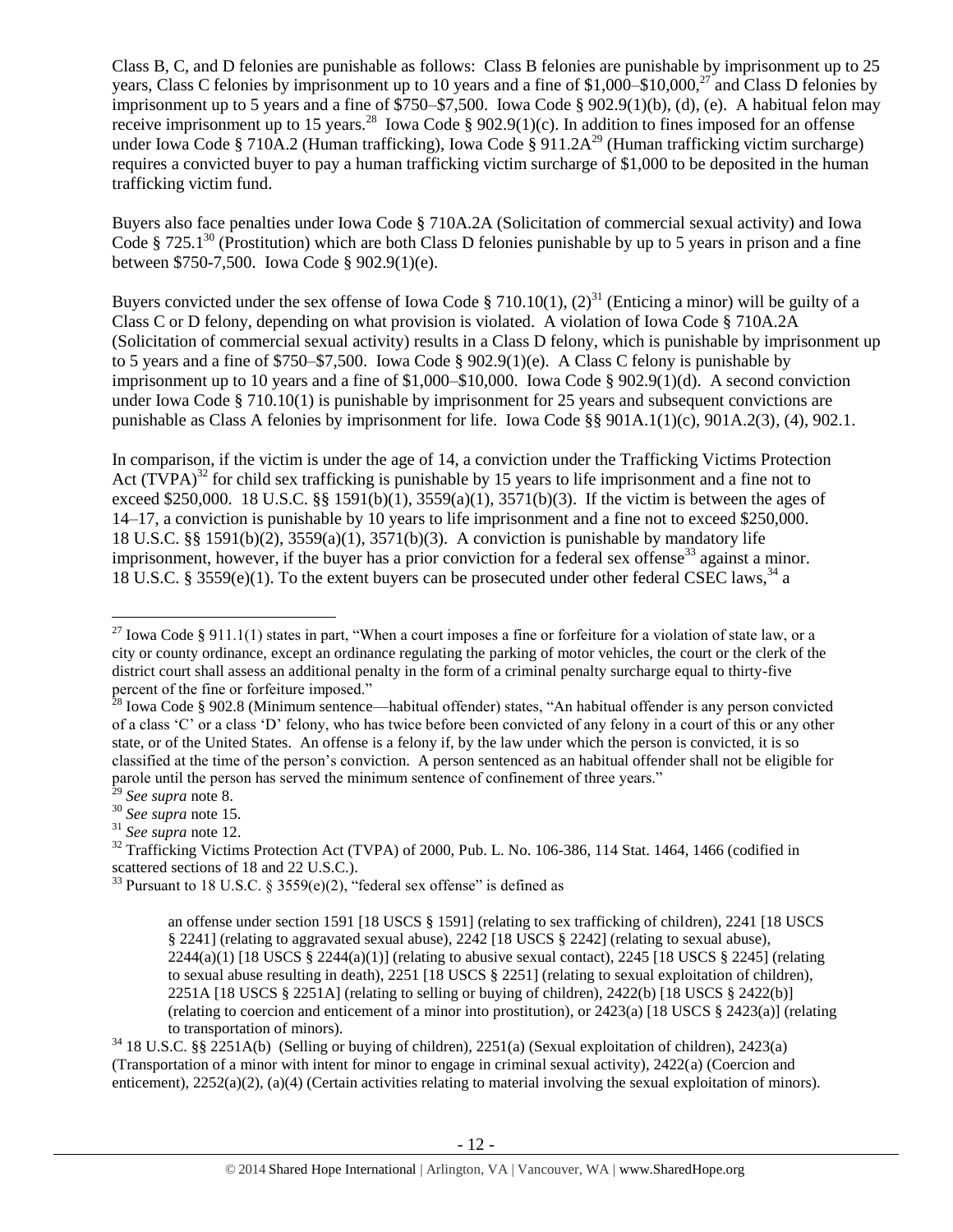Class B, C, and D felonies are punishable as follows: Class B felonies are punishable by imprisonment up to 25 years, Class C felonies by imprisonment up to 10 years and a fine of \$1,000–\$10,000,<sup>27</sup> and Class D felonies by imprisonment up to 5 years and a fine of \$750–\$7,500. Iowa Code § 902.9(1)(b), (d), (e). A habitual felon may receive imprisonment up to 15 years.<sup>28</sup> Iowa Code § 902.9(1)(c). In addition to fines imposed for an offense under Iowa Code § 710A.2 (Human trafficking), Iowa Code § 911.2A<sup>29</sup> (Human trafficking victim surcharge) requires a convicted buyer to pay a human trafficking victim surcharge of \$1,000 to be deposited in the human trafficking victim fund.

Buyers also face penalties under Iowa Code § 710A.2A (Solicitation of commercial sexual activity) and Iowa Code § 725.1<sup>30</sup> (Prostitution) which are both Class D felonies punishable by up to 5 years in prison and a fine between \$750-7,500. Iowa Code § 902.9(1)(e).

Buyers convicted under the sex offense of Iowa Code § 710.10(1), (2)<sup>31</sup> (Enticing a minor) will be guilty of a Class C or D felony, depending on what provision is violated. A violation of Iowa Code § 710A.2A (Solicitation of commercial sexual activity) results in a Class D felony, which is punishable by imprisonment up to 5 years and a fine of \$750–\$7,500. Iowa Code § 902.9(1)(e). A Class C felony is punishable by imprisonment up to 10 years and a fine of \$1,000–\$10,000. Iowa Code § 902.9(1)(d). A second conviction under Iowa Code § 710.10(1) is punishable by imprisonment for 25 years and subsequent convictions are punishable as Class A felonies by imprisonment for life. Iowa Code §§ 901A.1(1)(c), 901A.2(3), (4), 902.1.

<span id="page-11-0"></span>In comparison, if the victim is under the age of 14, a conviction under the Trafficking Victims Protection Act  $(TVPA)^{32}$  for child sex trafficking is punishable by 15 years to life imprisonment and a fine not to exceed \$250,000. 18 U.S.C. §§ 1591(b)(1),  $3559(a)(1)$ ,  $3571(b)(3)$ . If the victim is between the ages of 14–17, a conviction is punishable by 10 years to life imprisonment and a fine not to exceed \$250,000. 18 U.S.C. §§ 1591(b)(2), 3559(a)(1), 3571(b)(3). A conviction is punishable by mandatory life imprisonment, however, if the buyer has a prior conviction for a federal sex offense<sup>33</sup> against a minor. 18 U.S.C. § 3559(e)(1). To the extent buyers can be prosecuted under other federal CSEC laws,  $34$  a

<span id="page-11-1"></span> $\overline{a}$ 

<sup>34</sup> 18 U.S.C. §§ 2251A(b) (Selling or buying of children), 2251(a) (Sexual exploitation of children), 2423(a) (Transportation of a minor with intent for minor to engage in criminal sexual activity), 2422(a) (Coercion and enticement), 2252(a)(2), (a)(4) (Certain activities relating to material involving the sexual exploitation of minors).

<sup>&</sup>lt;sup>27</sup> Iowa Code § 911.1(1) states in part, "When a court imposes a fine or forfeiture for a violation of state law, or a city or county ordinance, except an ordinance regulating the parking of motor vehicles, the court or the clerk of the district court shall assess an additional penalty in the form of a criminal penalty surcharge equal to thirty-five percent of the fine or forfeiture imposed."

 $2^8$  Iowa Code § 902.8 (Minimum sentence—habitual offender) states, "An habitual offender is any person convicted of a class 'C' or a class 'D' felony, who has twice before been convicted of any felony in a court of this or any other state, or of the United States. An offense is a felony if, by the law under which the person is convicted, it is so classified at the time of the person's conviction. A person sentenced as an habitual offender shall not be eligible for parole until the person has served the minimum sentence of confinement of three years."

<sup>29</sup> *See supra* note [8.](#page-2-0)

<sup>30</sup> *See supra* note 15.

<sup>31</sup> *See supra* note [12.](#page-3-0)

<sup>&</sup>lt;sup>32</sup> Trafficking Victims Protection Act (TVPA) of 2000, Pub. L. No. 106-386, 114 Stat. 1464, 1466 (codified in scattered sections of 18 and 22 U.S.C.).

<sup>&</sup>lt;sup>33</sup> Pursuant to 18 U.S.C. § 3559(e)(2), "federal sex offense" is defined as

an offense under section 1591 [18 USCS § 1591] (relating to sex trafficking of children), 2241 [18 USCS § 2241] (relating to aggravated sexual abuse), 2242 [18 USCS § 2242] (relating to sexual abuse),  $2244(a)(1)$  [18 USCS §  $2244(a)(1)$ ] (relating to abusive sexual contact),  $2245$  [18 USCS § 2245] (relating to sexual abuse resulting in death), 2251 [18 USCS § 2251] (relating to sexual exploitation of children), 2251A [18 USCS § 2251A] (relating to selling or buying of children), 2422(b) [18 USCS § 2422(b)] (relating to coercion and enticement of a minor into prostitution), or 2423(a) [18 USCS § 2423(a)] (relating to transportation of minors).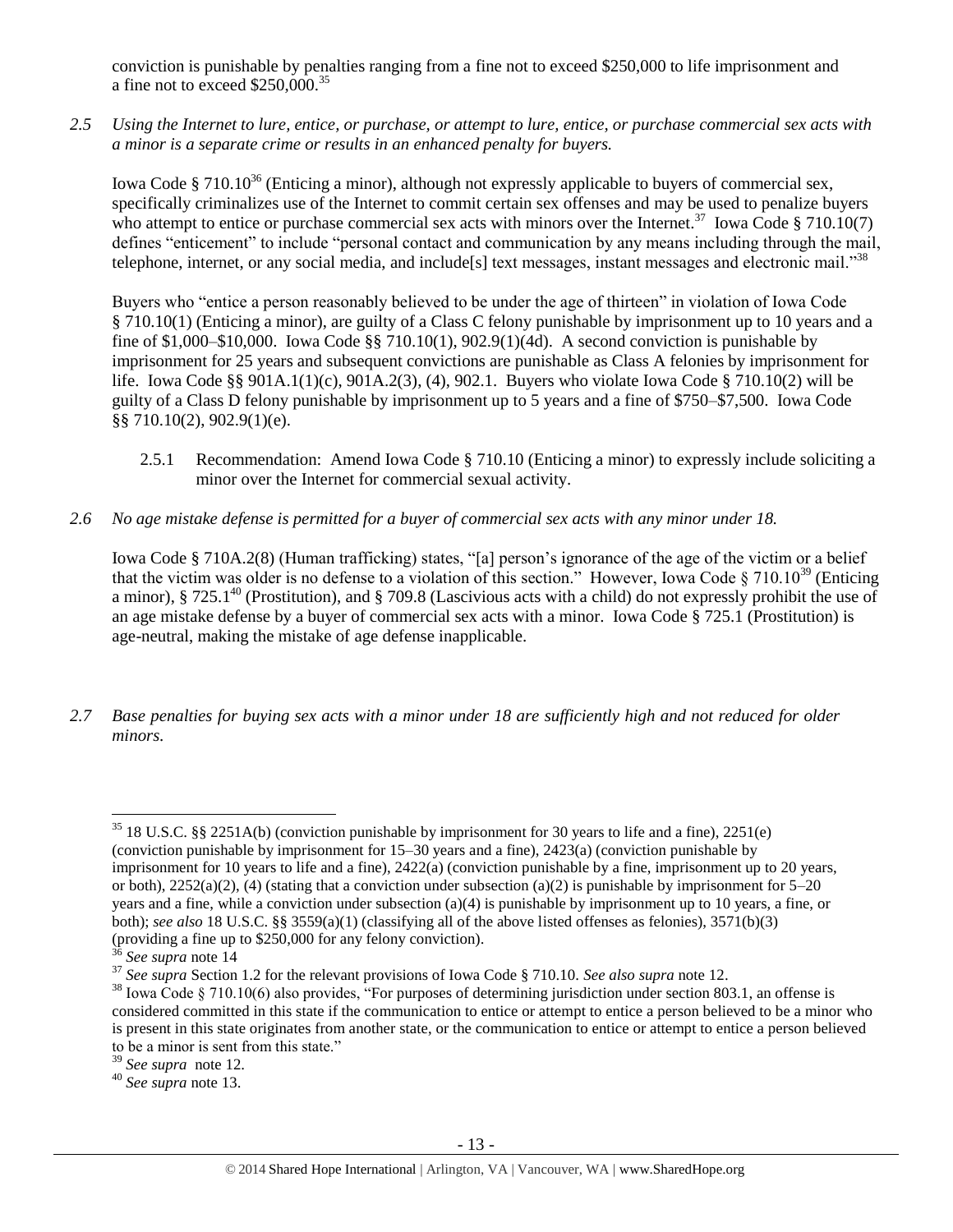conviction is punishable by penalties ranging from a fine not to exceed \$250,000 to life imprisonment and a fine not to exceed  $$250,000.<sup>35</sup>$ 

*2.5 Using the Internet to lure, entice, or purchase, or attempt to lure, entice, or purchase commercial sex acts with a minor is a separate crime or results in an enhanced penalty for buyers.*

Iowa Code § 710.10<sup>36</sup> (Enticing a minor), although not expressly applicable to buyers of commercial sex, specifically criminalizes use of the Internet to commit certain sex offenses and may be used to penalize buyers who attempt to entice or purchase commercial sex acts with minors over the Internet.<sup>37</sup> Iowa Code § 710.10(7) defines "enticement" to include "personal contact and communication by any means including through the mail, telephone, internet, or any social media, and include[s] text messages, instant messages and electronic mail."<sup>38</sup>

Buyers who "entice a person reasonably believed to be under the age of thirteen" in violation of Iowa Code § 710.10(1) (Enticing a minor), are guilty of a Class C felony punishable by imprisonment up to 10 years and a fine of \$1,000–\$10,000. Iowa Code  $\S$  710.10(1), 902.9(1)(4d). A second conviction is punishable by imprisonment for 25 years and subsequent convictions are punishable as Class A felonies by imprisonment for life. Iowa Code §§ 901A.1(1)(c), 901A.2(3), (4), 902.1. Buyers who violate Iowa Code § 710.10(2) will be guilty of a Class D felony punishable by imprisonment up to 5 years and a fine of \$750–\$7,500. Iowa Code §§ 710.10(2), 902.9(1)(e).

- <span id="page-12-0"></span>2.5.1 Recommendation: Amend Iowa Code § 710.10 (Enticing a minor) to expressly include soliciting a minor over the Internet for commercial sexual activity.
- *2.6 No age mistake defense is permitted for a buyer of commercial sex acts with any minor under 18.*

Iowa Code § 710A.2(8) (Human trafficking) states, "[a] person's ignorance of the age of the victim or a belief that the victim was older is no defense to a violation of this section." However, Iowa Code § 710.10<sup>39</sup> (Enticing a minor),  $\S 725.1^{40}$  (Prostitution), and  $\S 709.8$  (Lascivious acts with a child) do not expressly prohibit the use of an age mistake defense by a buyer of commercial sex acts with a minor. Iowa Code § 725.1 (Prostitution) is age-neutral, making the mistake of age defense inapplicable.

*2.7 Base penalties for buying sex acts with a minor under 18 are sufficiently high and not reduced for older minors.*

 $\overline{a}$  $35$  18 U.S.C. §§ 2251A(b) (conviction punishable by imprisonment for 30 years to life and a fine), 2251(e) (conviction punishable by imprisonment for 15–30 years and a fine), 2423(a) (conviction punishable by imprisonment for 10 years to life and a fine), 2422(a) (conviction punishable by a fine, imprisonment up to 20 years, or both),  $2252(a)(2)$ , (4) (stating that a conviction under subsection (a)(2) is punishable by imprisonment for  $5-20$ years and a fine, while a conviction under subsection (a)(4) is punishable by imprisonment up to 10 years, a fine, or both); *see also* 18 U.S.C. §§ 3559(a)(1) (classifying all of the above listed offenses as felonies), 3571(b)(3) (providing a fine up to \$250,000 for any felony conviction).

<sup>36</sup> *See supra* note 14

<sup>37</sup> *See supra* Section 1.2 for the relevant provisions of Iowa Code § 710.10. *See also supra* not[e 12.](#page-3-0)

 $38$  Iowa Code § 710.10(6) also provides, "For purposes of determining jurisdiction under section 803.1, an offense is considered committed in this state if the communication to entice or attempt to entice a person believed to be a minor who is present in this state originates from another state, or the communication to entice or attempt to entice a person believed to be a minor is sent from this state."

<sup>39</sup> *See supra* note [12.](#page-3-0)

<sup>40</sup> *See supra* note [13.](#page-4-1)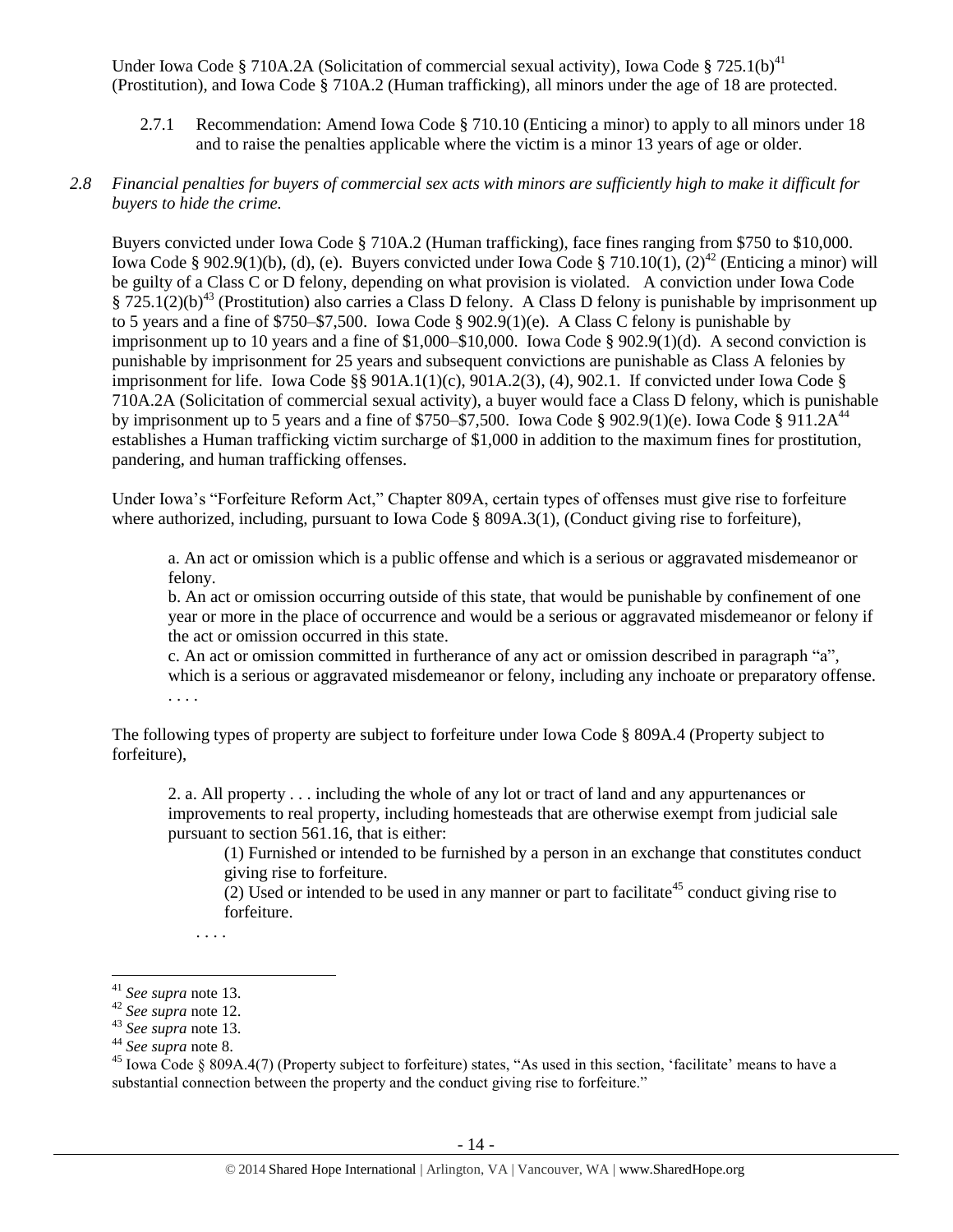Under Iowa Code § 710A.2A (Solicitation of commercial sexual activity), Iowa Code § 725.1(b)<sup>41</sup> (Prostitution), and Iowa Code § 710A.2 (Human trafficking), all minors under the age of 18 are protected.

2.7.1 Recommendation: Amend Iowa Code § 710.10 (Enticing a minor) to apply to all minors under 18 and to raise the penalties applicable where the victim is a minor 13 years of age or older.

#### *2.8 Financial penalties for buyers of commercial sex acts with minors are sufficiently high to make it difficult for buyers to hide the crime.*

Buyers convicted under Iowa Code § 710A.2 (Human trafficking), face fines ranging from \$750 to \$10,000. Iowa Code § 902.9(1)(b), (d), (e). Buyers convicted under Iowa Code § 710.10(1), (2)<sup>42</sup> (Enticing a minor) will be guilty of a Class C or D felony, depending on what provision is violated. A conviction under Iowa Code  $\S 725.1(2)(b)^{43}$  (Prostitution) also carries a Class D felony. A Class D felony is punishable by imprisonment up to 5 years and a fine of \$750–\$7,500. Iowa Code § 902.9(1)(e). A Class C felony is punishable by imprisonment up to 10 years and a fine of  $$1,000–$10,000$ . Iowa Code  $§$  902.9(1)(d). A second conviction is punishable by imprisonment for 25 years and subsequent convictions are punishable as Class A felonies by imprisonment for life. Iowa Code §§  $901A.1(1)(c)$ ,  $901A.2(3)$ , (4),  $902.1$ . If convicted under Iowa Code § 710A.2A (Solicitation of commercial sexual activity), a buyer would face a Class D felony, which is punishable by imprisonment up to 5 years and a fine of \$750–\$7,500. Iowa Code § 902.9(1)(e). Iowa Code § 911.2 $A^{44}$ establishes a Human trafficking victim surcharge of \$1,000 in addition to the maximum fines for prostitution, pandering, and human trafficking offenses.

Under Iowa's "Forfeiture Reform Act," Chapter 809A, certain types of offenses must give rise to forfeiture where authorized, including, pursuant to Iowa Code § 809A.3(1), (Conduct giving rise to forfeiture),

a. An act or omission which is a public offense and which is a serious or aggravated misdemeanor or felony.

b. An act or omission occurring outside of this state, that would be punishable by confinement of one year or more in the place of occurrence and would be a serious or aggravated misdemeanor or felony if the act or omission occurred in this state.

c. An act or omission committed in furtherance of any act or omission described in paragraph "a", which is a serious or aggravated misdemeanor or felony, including any inchoate or preparatory offense. . . . .

The following types of property are subject to forfeiture under Iowa Code § 809A.4 (Property subject to forfeiture),

2. a. All property . . . including the whole of any lot or tract of land and any appurtenances or improvements to real property, including homesteads that are otherwise exempt from judicial sale pursuant to section 561.16, that is either:

(1) Furnished or intended to be furnished by a person in an exchange that constitutes conduct giving rise to forfeiture.

 $(2)$  Used or intended to be used in any manner or part to facilitate<sup>45</sup> conduct giving rise to forfeiture.

. . . .

 $\overline{a}$ <sup>41</sup> *See supra* note [13.](#page-4-1)

<sup>42</sup> *See supra* note [12.](#page-3-0)

<sup>43</sup> *See supra* note [13.](#page-4-1)

<sup>44</sup> *See supra* note [8.](#page-2-0)

<sup>&</sup>lt;sup>45</sup> Iowa Code § 809A.4(7) (Property subject to forfeiture) states, "As used in this section, 'facilitate' means to have a substantial connection between the property and the conduct giving rise to forfeiture."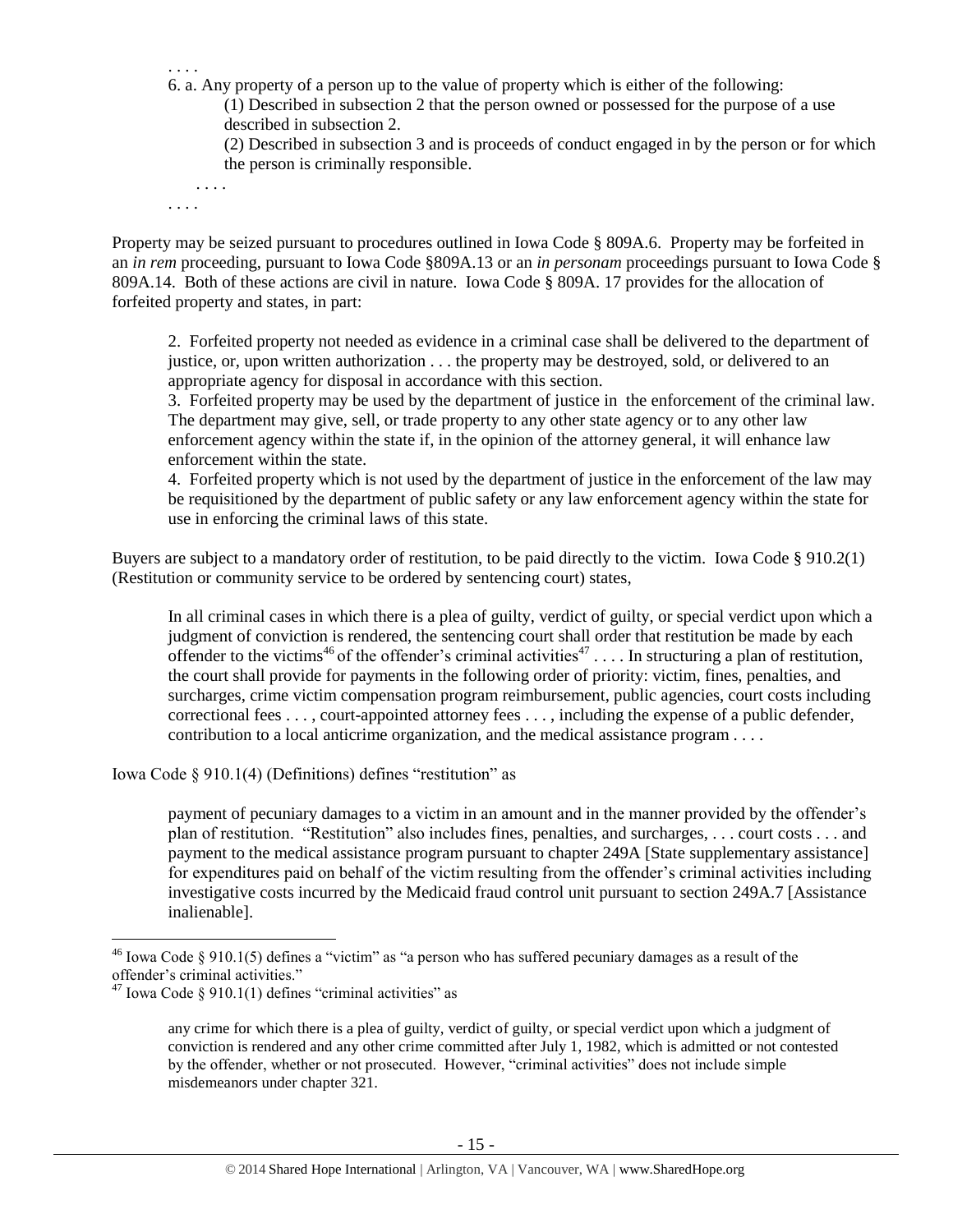. . . . 6. a. Any property of a person up to the value of property which is either of the following:

(1) Described in subsection 2 that the person owned or possessed for the purpose of a use described in subsection 2.

(2) Described in subsection 3 and is proceeds of conduct engaged in by the person or for which the person is criminally responsible.

. . . .

. . . .

Property may be seized pursuant to procedures outlined in Iowa Code § 809A.6. Property may be forfeited in an *in rem* proceeding, pursuant to Iowa Code §809A.13 or an *in personam* proceedings pursuant to Iowa Code § 809A.14. Both of these actions are civil in nature. Iowa Code § 809A. 17 provides for the allocation of forfeited property and states, in part:

2. Forfeited property not needed as evidence in a criminal case shall be delivered to the department of justice, or, upon written authorization . . . the property may be destroyed, sold, or delivered to an appropriate agency for disposal in accordance with this section.

3. Forfeited property may be used by the department of justice in the enforcement of the criminal law. The department may give, sell, or trade property to any other state agency or to any other law enforcement agency within the state if, in the opinion of the attorney general, it will enhance law enforcement within the state.

4. Forfeited property which is not used by the department of justice in the enforcement of the law may be requisitioned by the department of public safety or any law enforcement agency within the state for use in enforcing the criminal laws of this state.

Buyers are subject to a mandatory order of restitution, to be paid directly to the victim. Iowa Code § 910.2(1) (Restitution or community service to be ordered by sentencing court) states,

<span id="page-14-1"></span><span id="page-14-0"></span>In all criminal cases in which there is a plea of guilty, verdict of guilty, or special verdict upon which a judgment of conviction is rendered, the sentencing court shall order that restitution be made by each offender to the victims<sup>46</sup> of the offender's criminal activities<sup>47</sup>.... In structuring a plan of restitution, the court shall provide for payments in the following order of priority: victim, fines, penalties, and surcharges, crime victim compensation program reimbursement, public agencies, court costs including correctional fees . . . , court-appointed attorney fees . . . , including the expense of a public defender, contribution to a local anticrime organization, and the medical assistance program . . . .

Iowa Code § 910.1(4) (Definitions) defines "restitution" as

payment of pecuniary damages to a victim in an amount and in the manner provided by the offender's plan of restitution. "Restitution" also includes fines, penalties, and surcharges, . . . court costs . . . and payment to the medical assistance program pursuant to chapter 249A [State supplementary assistance] for expenditures paid on behalf of the victim resulting from the offender's criminal activities including investigative costs incurred by the Medicaid fraud control unit pursuant to section 249A.7 [Assistance inalienable].

<sup>&</sup>lt;sup>46</sup> Iowa Code § 910.1(5) defines a "victim" as "a person who has suffered pecuniary damages as a result of the offender's criminal activities."

 $47$  Iowa Code § 910.1(1) defines "criminal activities" as

any crime for which there is a plea of guilty, verdict of guilty, or special verdict upon which a judgment of conviction is rendered and any other crime committed after July 1, 1982, which is admitted or not contested by the offender, whether or not prosecuted. However, "criminal activities" does not include simple misdemeanors under chapter 321.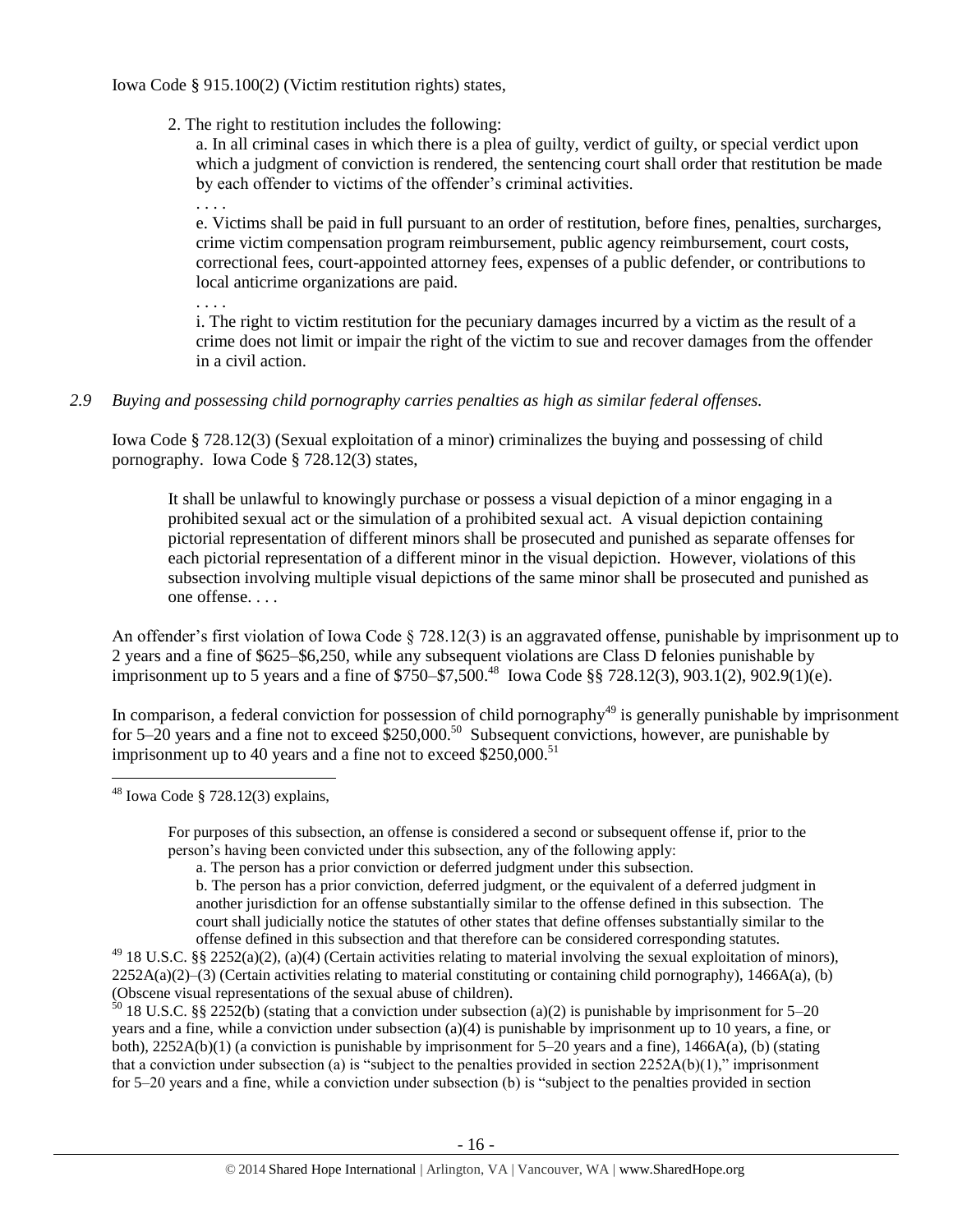Iowa Code § 915.100(2) (Victim restitution rights) states,

2. The right to restitution includes the following:

a. In all criminal cases in which there is a plea of guilty, verdict of guilty, or special verdict upon which a judgment of conviction is rendered, the sentencing court shall order that restitution be made by each offender to victims of the offender's criminal activities.

. . . .

. . . .

e. Victims shall be paid in full pursuant to an order of restitution, before fines, penalties, surcharges, crime victim compensation program reimbursement, public agency reimbursement, court costs, correctional fees, court-appointed attorney fees, expenses of a public defender, or contributions to local anticrime organizations are paid.

i. The right to victim restitution for the pecuniary damages incurred by a victim as the result of a crime does not limit or impair the right of the victim to sue and recover damages from the offender in a civil action.

#### *2.9 Buying and possessing child pornography carries penalties as high as similar federal offenses.*

Iowa Code § 728.12(3) (Sexual exploitation of a minor) criminalizes the buying and possessing of child pornography. Iowa Code § 728.12(3) states,

It shall be unlawful to knowingly purchase or possess a visual depiction of a minor engaging in a prohibited sexual act or the simulation of a prohibited sexual act. A visual depiction containing pictorial representation of different minors shall be prosecuted and punished as separate offenses for each pictorial representation of a different minor in the visual depiction. However, violations of this subsection involving multiple visual depictions of the same minor shall be prosecuted and punished as one offense. . . .

An offender's first violation of Iowa Code § 728.12(3) is an aggravated offense, punishable by imprisonment up to 2 years and a fine of \$625–\$6,250, while any subsequent violations are Class D felonies punishable by imprisonment up to 5 years and a fine of \$750–\$7,500.<sup>48</sup> Iowa Code §§ 728.12(3), 903.1(2), 902.9(1)(e).

In comparison, a federal conviction for possession of child pornography<sup>49</sup> is generally punishable by imprisonment for 5–20 years and a fine not to exceed  $$250,000$ .<sup>50</sup> Subsequent convictions, however, are punishable by imprisonment up to 40 years and a fine not to exceed  $$250,000$ .<sup>51</sup>

 $48$  Iowa Code § 728.12(3) explains,

 $\overline{a}$ 

For purposes of this subsection, an offense is considered a second or subsequent offense if, prior to the person's having been convicted under this subsection, any of the following apply:

 $50$  18 U.S.C. §§ 2252(b) (stating that a conviction under subsection (a)(2) is punishable by imprisonment for 5–20 years and a fine, while a conviction under subsection (a)(4) is punishable by imprisonment up to 10 years, a fine, or both),  $2252A(b)(1)$  (a conviction is punishable by imprisonment for 5–20 years and a fine),  $1466A(a)$ , (b) (stating that a conviction under subsection (a) is "subject to the penalties provided in section  $2252A(b)(1)$ ," imprisonment for 5–20 years and a fine, while a conviction under subsection (b) is "subject to the penalties provided in section

a. The person has a prior conviction or deferred judgment under this subsection.

b. The person has a prior conviction, deferred judgment, or the equivalent of a deferred judgment in another jurisdiction for an offense substantially similar to the offense defined in this subsection. The court shall judicially notice the statutes of other states that define offenses substantially similar to the offense defined in this subsection and that therefore can be considered corresponding statutes.

 $^{49}$  18 U.S.C. §§ 2252(a)(2), (a)(4) (Certain activities relating to material involving the sexual exploitation of minors),  $2252A(a)(2)$ –(3) (Certain activities relating to material constituting or containing child pornography), 1466A(a), (b) (Obscene visual representations of the sexual abuse of children).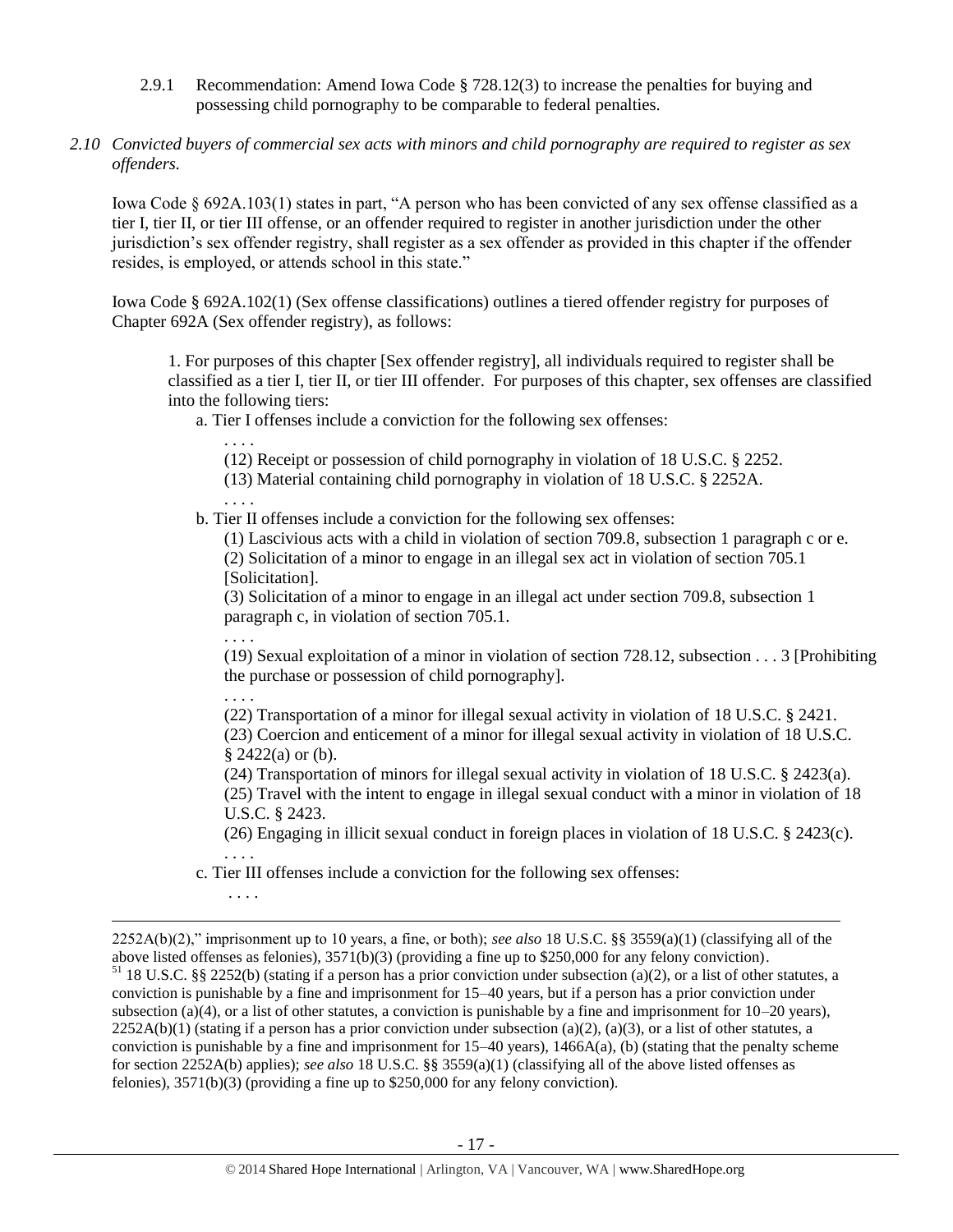- 2.9.1 Recommendation: Amend Iowa Code § 728.12(3) to increase the penalties for buying and possessing child pornography to be comparable to federal penalties.
- *2.10 Convicted buyers of commercial sex acts with minors and child pornography are required to register as sex offenders.*

Iowa Code § 692A.103(1) states in part, "A person who has been convicted of any sex offense classified as a tier I, tier II, or tier III offense, or an offender required to register in another jurisdiction under the other jurisdiction's sex offender registry, shall register as a sex offender as provided in this chapter if the offender resides, is employed, or attends school in this state."

Iowa Code § 692A.102(1) (Sex offense classifications) outlines a tiered offender registry for purposes of Chapter 692A (Sex offender registry), as follows:

1. For purposes of this chapter [Sex offender registry], all individuals required to register shall be classified as a tier I, tier II, or tier III offender. For purposes of this chapter, sex offenses are classified into the following tiers:

a. Tier I offenses include a conviction for the following sex offenses:

. . . .

. . . .

(12) Receipt or possession of child pornography in violation of [18 U.S.C. § 2252.](https://www.lexis.com/research/buttonTFLink?_m=4fc730b00228455ff3529e63593f5654&_xfercite=%3ccite%20cc%3d%22USA%22%3e%3c%21%5bCDATA%5bIowa%20Code%20%a7%20692A.102%5d%5d%3e%3c%2fcite%3e&_butType=4&_butStat=0&_butNum=3&_butInline=1&_butinfo=18%20USC%202252&_fmtstr=FULL&docnum=1&_startdoc=1&wchp=dGLbVzV-zSkAW&_md5=28a0aa8b1856cb4eb43956793e575523)

(13) Material containing child pornography in violation of [18 U.S.C. § 2252A.](https://www.lexis.com/research/buttonTFLink?_m=4fc730b00228455ff3529e63593f5654&_xfercite=%3ccite%20cc%3d%22USA%22%3e%3c%21%5bCDATA%5bIowa%20Code%20%a7%20692A.102%5d%5d%3e%3c%2fcite%3e&_butType=4&_butStat=0&_butNum=4&_butInline=1&_butinfo=18%20USC%202252A&_fmtstr=FULL&docnum=1&_startdoc=1&wchp=dGLbVzV-zSkAW&_md5=5636aa1de2b137b29375d5b4a005df40)

b. Tier II offenses include a conviction for the following sex offenses:

(1) Lascivious acts with a child in violation of section 709.8, subsection 1 paragraph c or e. (2) Solicitation of a minor to engage in an illegal sex act in violation of section 705.1 [Solicitation].

(3) Solicitation of a minor to engage in an illegal act under section 709.8, subsection 1 paragraph c, in violation of section 705.1.

(19) Sexual exploitation of a minor in violation of section 728.12, subsection . . . 3 [Prohibiting the purchase or possession of child pornography].

. . . .

. . . .

 $\overline{a}$ 

. . . .

(22) Transportation of a minor for illegal sexual activity in violation of [18 U.S.C. § 2421.](https://www.lexis.com/research/buttonTFLink?_m=4fc730b00228455ff3529e63593f5654&_xfercite=%3ccite%20cc%3d%22USA%22%3e%3c%21%5bCDATA%5bIowa%20Code%20%a7%20692A.102%5d%5d%3e%3c%2fcite%3e&_butType=4&_butStat=0&_butNum=11&_butInline=1&_butinfo=18%20USC%202421&_fmtstr=FULL&docnum=1&_startdoc=1&wchp=dGLbVzV-zSkAW&_md5=e83e3d2bd1fc5d1af19f74d3a2c1c4a6)

(23) Coercion and enticement of a minor for illegal sexual activity in violation of [18 U.S.C.](https://www.lexis.com/research/buttonTFLink?_m=4fc730b00228455ff3529e63593f5654&_xfercite=%3ccite%20cc%3d%22USA%22%3e%3c%21%5bCDATA%5bIowa%20Code%20%a7%20692A.102%5d%5d%3e%3c%2fcite%3e&_butType=4&_butStat=0&_butNum=12&_butInline=1&_butinfo=18%20USC%202422&_fmtstr=FULL&docnum=1&_startdoc=1&wchp=dGLbVzV-zSkAW&_md5=1297e2a5950c748e9f4344c55905c8e9)   $§$  [2422\(](https://www.lexis.com/research/buttonTFLink?_m=4fc730b00228455ff3529e63593f5654&_xfercite=%3ccite%20cc%3d%22USA%22%3e%3c%21%5bCDATA%5bIowa%20Code%20%a7%20692A.102%5d%5d%3e%3c%2fcite%3e&_butType=4&_butStat=0&_butNum=12&_butInline=1&_butinfo=18%20USC%202422&_fmtstr=FULL&docnum=1&_startdoc=1&wchp=dGLbVzV-zSkAW&_md5=1297e2a5950c748e9f4344c55905c8e9)a) or (b).

(24) Transportation of minors for illegal sexual activity in violation of [18 U.S.C. § 2423\(](https://www.lexis.com/research/buttonTFLink?_m=4fc730b00228455ff3529e63593f5654&_xfercite=%3ccite%20cc%3d%22USA%22%3e%3c%21%5bCDATA%5bIowa%20Code%20%a7%20692A.102%5d%5d%3e%3c%2fcite%3e&_butType=4&_butStat=0&_butNum=13&_butInline=1&_butinfo=18%20USC%202423&_fmtstr=FULL&docnum=1&_startdoc=1&wchp=dGLbVzV-zSkAW&_md5=74ad89f5fb9667e6756dc7bddc5d2d08)a).

(25) Travel with the intent to engage in illegal sexual conduct with a minor in violation of [18](https://www.lexis.com/research/buttonTFLink?_m=4fc730b00228455ff3529e63593f5654&_xfercite=%3ccite%20cc%3d%22USA%22%3e%3c%21%5bCDATA%5bIowa%20Code%20%a7%20692A.102%5d%5d%3e%3c%2fcite%3e&_butType=4&_butStat=0&_butNum=14&_butInline=1&_butinfo=18%20USC%202423&_fmtstr=FULL&docnum=1&_startdoc=1&wchp=dGLbVzV-zSkAW&_md5=7f00c21c6c6a0ea8fa385c078bba1478)  [U.S.C. § 2423.](https://www.lexis.com/research/buttonTFLink?_m=4fc730b00228455ff3529e63593f5654&_xfercite=%3ccite%20cc%3d%22USA%22%3e%3c%21%5bCDATA%5bIowa%20Code%20%a7%20692A.102%5d%5d%3e%3c%2fcite%3e&_butType=4&_butStat=0&_butNum=14&_butInline=1&_butinfo=18%20USC%202423&_fmtstr=FULL&docnum=1&_startdoc=1&wchp=dGLbVzV-zSkAW&_md5=7f00c21c6c6a0ea8fa385c078bba1478)

(26) Engaging in illicit sexual conduct in foreign places in violation of [18 U.S.C. § 2423\(](https://www.lexis.com/research/buttonTFLink?_m=4fc730b00228455ff3529e63593f5654&_xfercite=%3ccite%20cc%3d%22USA%22%3e%3c%21%5bCDATA%5bIowa%20Code%20%a7%20692A.102%5d%5d%3e%3c%2fcite%3e&_butType=4&_butStat=0&_butNum=15&_butInline=1&_butinfo=18%20USC%202423&_fmtstr=FULL&docnum=1&_startdoc=1&wchp=dGLbVzV-zSkAW&_md5=b37f8956456423d2bea9ea5b70d8bfae)c). . . . .

c. Tier III offenses include a conviction for the following sex offenses:

<sup>2252</sup>A(b)(2)," imprisonment up to 10 years, a fine, or both); *see also* 18 U.S.C. §§ 3559(a)(1) (classifying all of the above listed offenses as felonies), 3571(b)(3) (providing a fine up to \$250,000 for any felony conviction).  $^{51}$  18 U.S.C. §§ 2252(b) (stating if a person has a prior conviction under subsection (a)(2), or a list of other statutes, a conviction is punishable by a fine and imprisonment for 15–40 years, but if a person has a prior conviction under subsection (a)(4), or a list of other statutes, a conviction is punishable by a fine and imprisonment for  $10-20$  years),  $2252A(b)(1)$  (stating if a person has a prior conviction under subsection (a)(2), (a)(3), or a list of other statutes, a conviction is punishable by a fine and imprisonment for  $15-40$  years),  $1466A(a)$ , (b) (stating that the penalty scheme for section 2252A(b) applies); *see also* 18 U.S.C. §§ 3559(a)(1) (classifying all of the above listed offenses as felonies), 3571(b)(3) (providing a fine up to \$250,000 for any felony conviction).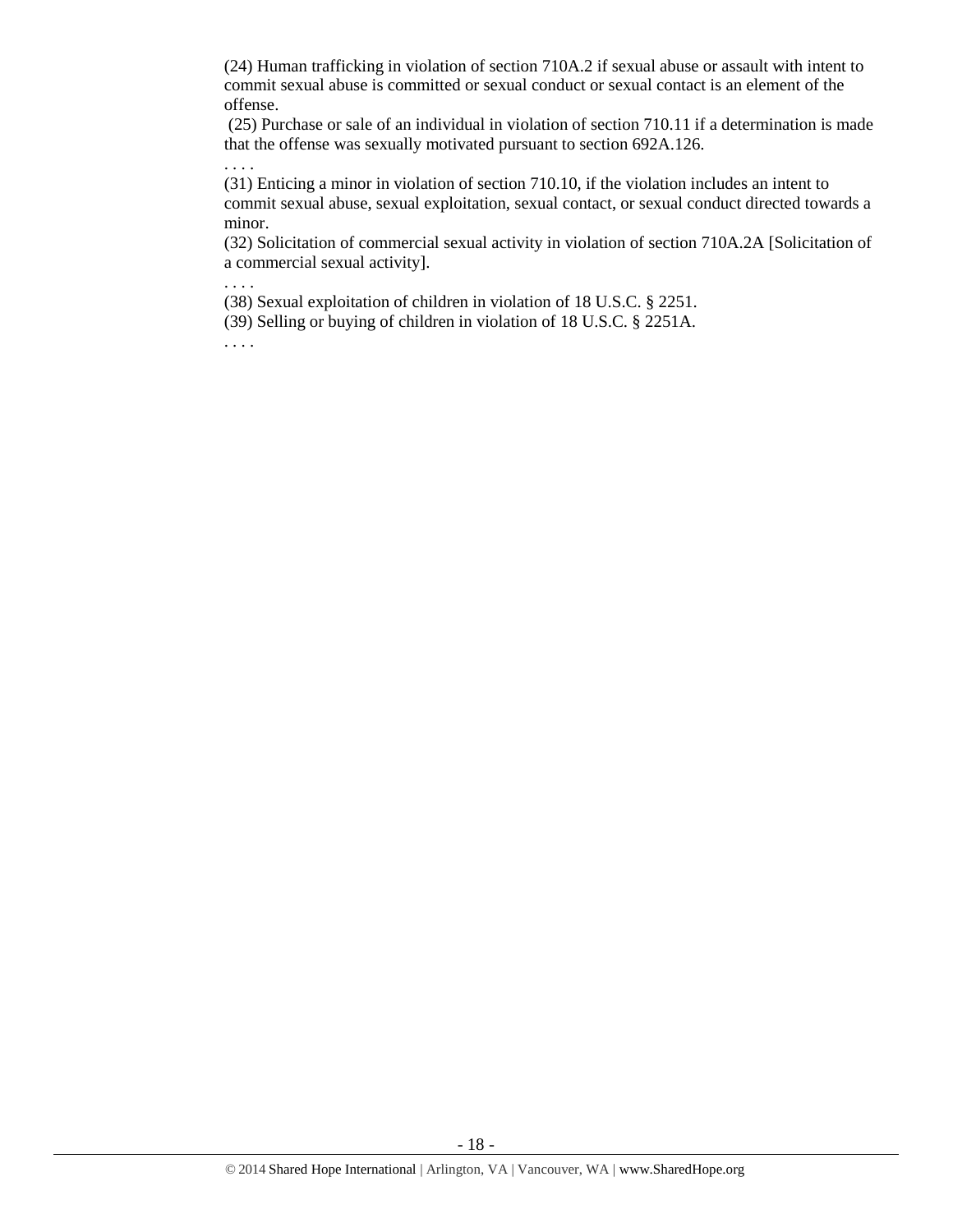(24) Human trafficking in violation of section 710A.2 if sexual abuse or assault with intent to commit sexual abuse is committed or sexual conduct or sexual contact is an element of the offense.

(25) Purchase or sale of an individual in violation of section 710.11 if a determination is made that the offense was sexually motivated pursuant to section 692A.126.

(31) Enticing a minor in violation of section 710.10, if the violation includes an intent to commit sexual abuse, sexual exploitation, sexual contact, or sexual conduct directed towards a minor.

(32) Solicitation of commercial sexual activity in violation of section 710A.2A [Solicitation of a commercial sexual activity].

(38) Sexual exploitation of children in violation of [18 U.S.C. § 2251.](https://www.lexis.com/research/buttonTFLink?_m=4fc730b00228455ff3529e63593f5654&_xfercite=%3ccite%20cc%3d%22USA%22%3e%3c%21%5bCDATA%5bIowa%20Code%20%a7%20692A.102%5d%5d%3e%3c%2fcite%3e&_butType=4&_butStat=0&_butNum=23&_butInline=1&_butinfo=18%20USC%202251&_fmtstr=FULL&docnum=1&_startdoc=1&wchp=dGLbVzV-zSkAW&_md5=9aec939dada19e89d789d2adabfddf89)

(39) Selling or buying of children in violation of [18 U.S.C. § 2251A.](https://www.lexis.com/research/buttonTFLink?_m=4fc730b00228455ff3529e63593f5654&_xfercite=%3ccite%20cc%3d%22USA%22%3e%3c%21%5bCDATA%5bIowa%20Code%20%a7%20692A.102%5d%5d%3e%3c%2fcite%3e&_butType=4&_butStat=0&_butNum=24&_butInline=1&_butinfo=18%20USC%202251A&_fmtstr=FULL&docnum=1&_startdoc=1&wchp=dGLbVzV-zSkAW&_md5=9293aacd54f5da281c2803161a7ba782)

. . . .

. . . .

. . . .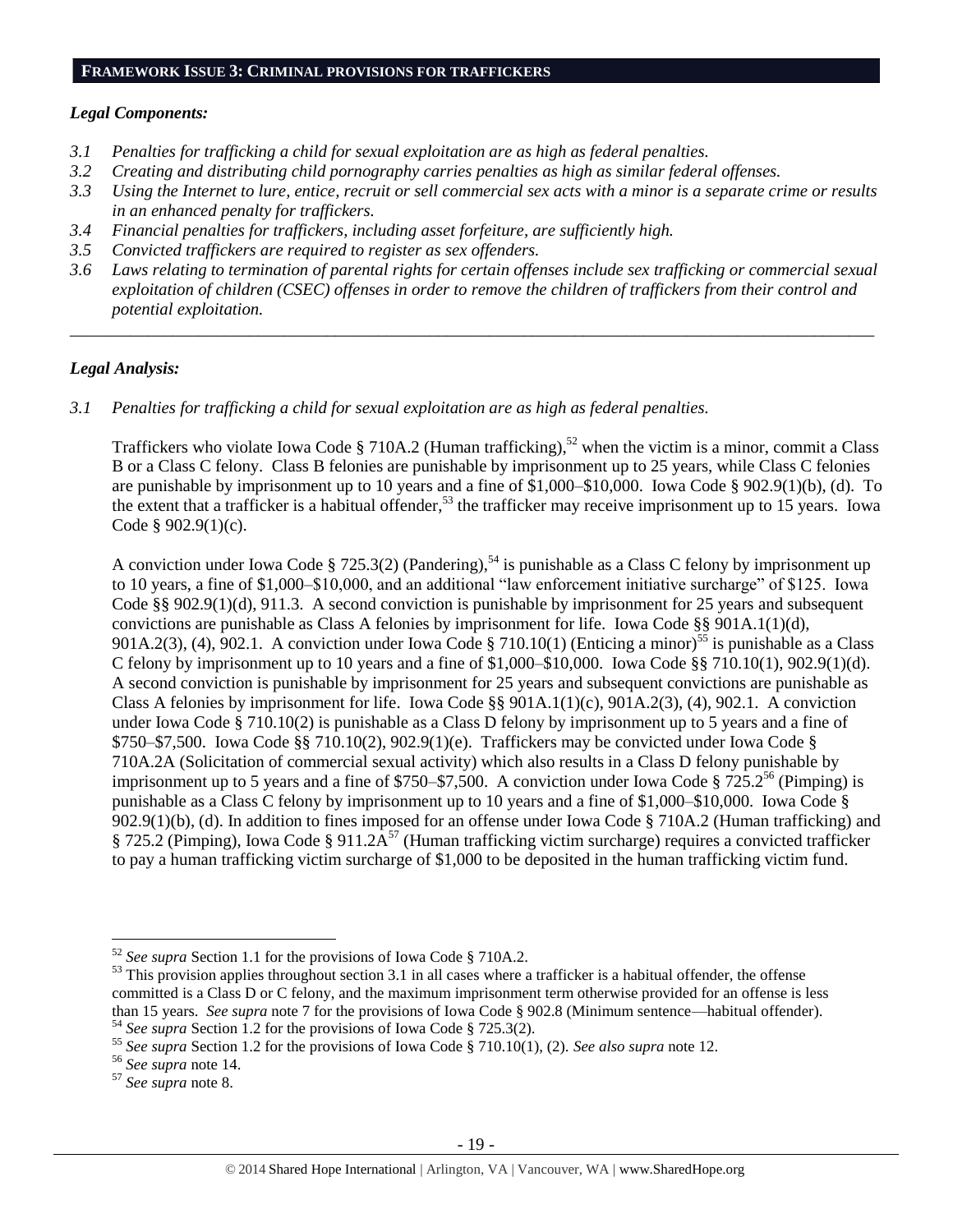#### *Legal Components:*

- *3.1 Penalties for trafficking a child for sexual exploitation are as high as federal penalties.*
- *3.2 Creating and distributing child pornography carries penalties as high as similar federal offenses.*
- *3.3 Using the Internet to lure, entice, recruit or sell commercial sex acts with a minor is a separate crime or results in an enhanced penalty for traffickers.*
- *3.4 Financial penalties for traffickers, including asset forfeiture, are sufficiently high.*
- *3.5 Convicted traffickers are required to register as sex offenders.*
- *3.6 Laws relating to termination of parental rights for certain offenses include sex trafficking or commercial sexual exploitation of children (CSEC) offenses in order to remove the children of traffickers from their control and potential exploitation.*

*\_\_\_\_\_\_\_\_\_\_\_\_\_\_\_\_\_\_\_\_\_\_\_\_\_\_\_\_\_\_\_\_\_\_\_\_\_\_\_\_\_\_\_\_\_\_\_\_\_\_\_\_\_\_\_\_\_\_\_\_\_\_\_\_\_\_\_\_\_\_\_\_\_\_\_\_\_\_\_\_\_\_\_\_\_\_\_\_\_\_\_\_\_\_*

#### *Legal Analysis:*

*3.1 Penalties for trafficking a child for sexual exploitation are as high as federal penalties.* 

Traffickers who violate Iowa Code § 710A.2 (Human trafficking),<sup>52</sup> when the victim is a minor, commit a Class B or a Class C felony. Class B felonies are punishable by imprisonment up to 25 years, while Class C felonies are punishable by imprisonment up to 10 years and a fine of \$1,000–\$10,000. Iowa Code § 902.9(1)(b), (d). To the extent that a trafficker is a habitual offender,<sup>53</sup> the trafficker may receive imprisonment up to 15 years. Iowa Code § 902.9(1)(c).

A conviction under Iowa Code § 725.3(2) (Pandering),<sup>54</sup> is punishable as a Class C felony by imprisonment up to 10 years, a fine of \$1,000–\$10,000, and an additional "law enforcement initiative surcharge" of \$125. Iowa Code §§ 902.9(1)(d), 911.3. A second conviction is punishable by imprisonment for 25 years and subsequent convictions are punishable as Class A felonies by imprisonment for life. Iowa Code §§ 901A.1(1)(d), 901A.2(3), (4), 902.1. A conviction under Iowa Code § 710.10(1) (Enticing a minor)<sup>55</sup> is punishable as a Class C felony by imprisonment up to 10 years and a fine of \$1,000–\$10,000. Iowa Code §§ 710.10(1), 902.9(1)(d). A second conviction is punishable by imprisonment for 25 years and subsequent convictions are punishable as Class A felonies by imprisonment for life. Iowa Code §§ 901A.1(1)(c), 901A.2(3), (4), 902.1. A conviction under Iowa Code § 710.10(2) is punishable as a Class D felony by imprisonment up to 5 years and a fine of  $$750–$7,500. Iowa Code  $\S\$  710.10(2), 902.9(1)(e). Traffickers may be convicted under Iowa Code  $\S$$ 710A.2A (Solicitation of commercial sexual activity) which also results in a Class D felony punishable by imprisonment up to 5 years and a fine of \$750–\$7,500. A conviction under Iowa Code § 725.2<sup>56</sup> (Pimping) is punishable as a Class C felony by imprisonment up to 10 years and a fine of \$1,000–\$10,000. Iowa Code § 902.9(1)(b), (d). In addition to fines imposed for an offense under Iowa Code § 710A.2 (Human trafficking) and § 725.2 (Pimping), Iowa Code § 911.2 $\tilde{A}^{57}$  (Human trafficking victim surcharge) requires a convicted trafficker to pay a human trafficking victim surcharge of \$1,000 to be deposited in the human trafficking victim fund.

<sup>52</sup> *See supra* Section 1.1 for the provisions of Iowa Code § 710A.2.

 $53$  This provision applies throughout section 3.1 in all cases where a trafficker is a habitual offender, the offense committed is a Class D or C felony, and the maximum imprisonment term otherwise provided for an offense is less than 15 years. *See supra* note [7](#page-2-1) for the provisions of Iowa Code § 902.8 (Minimum sentence—habitual offender). <sup>54</sup> *See supra* Section 1.2 for the provisions of Iowa Code § 725.3(2).

<sup>55</sup> *See supra* Section 1.2 for the provisions of Iowa Code § 710.10(1), (2). *See also supra* note [12.](#page-3-0)

<sup>56</sup> *See supra* note [14.](#page-4-2)

<sup>57</sup> *See supra* note [8.](#page-2-0)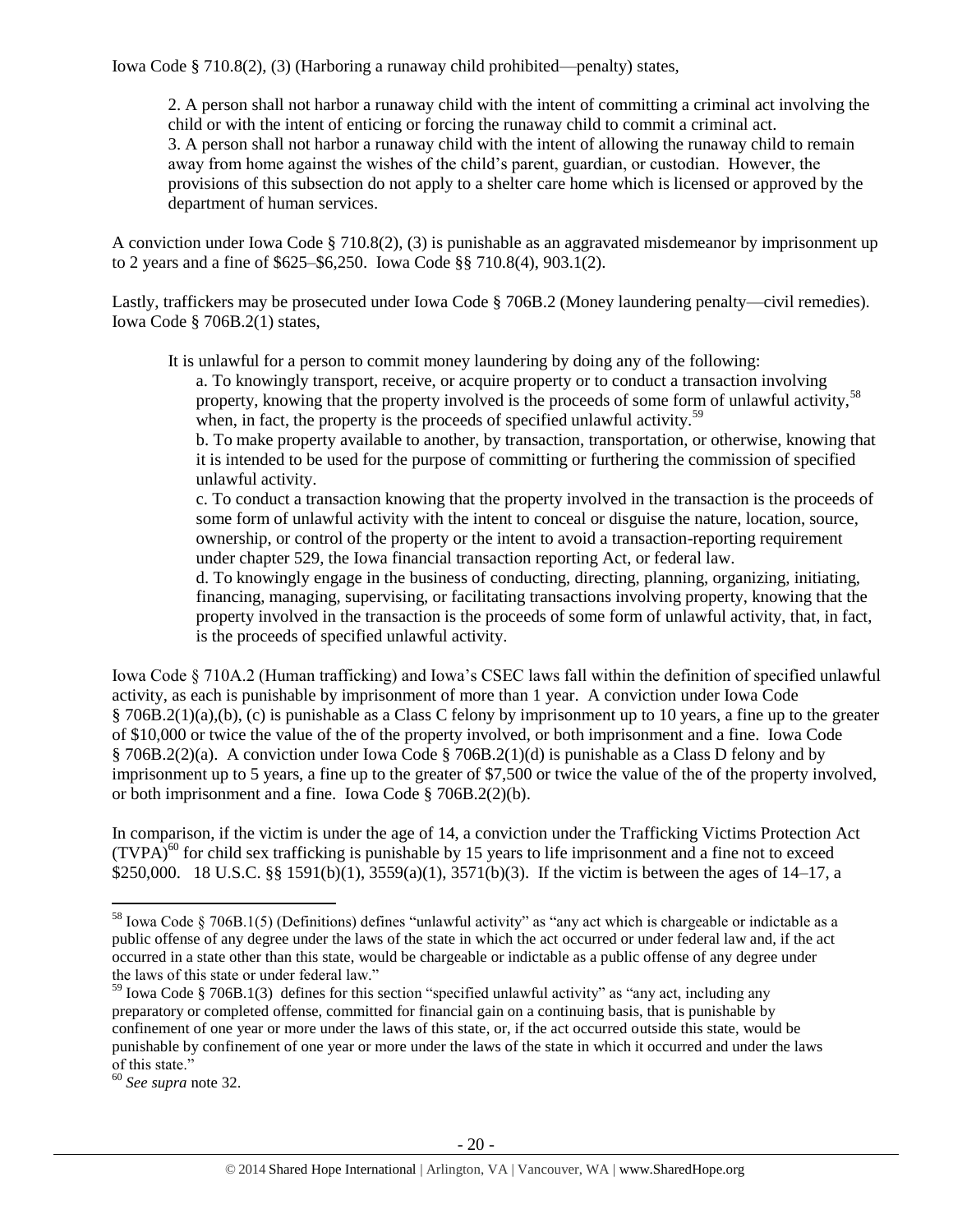Iowa Code § 710.8(2), (3) (Harboring a runaway child prohibited—penalty) states,

2. A person shall not harbor a runaway child with the intent of committing a criminal act involving the child or with the intent of enticing or forcing the runaway child to commit a criminal act. 3. A person shall not harbor a runaway child with the intent of allowing the runaway child to remain away from home against the wishes of the child's parent, guardian, or custodian. However, the provisions of this subsection do not apply to a shelter care home which is licensed or approved by the department of human services.

A conviction under Iowa Code § 710.8(2), (3) is punishable as an aggravated misdemeanor by imprisonment up to 2 years and a fine of \$625–\$6,250. Iowa Code §§ 710.8(4), 903.1(2).

Lastly, traffickers may be prosecuted under Iowa Code § 706B.2 (Money laundering penalty—civil remedies). Iowa Code § 706B.2(1) states,

It is unlawful for a person to commit money laundering by doing any of the following:

a. To knowingly transport, receive, or acquire property or to conduct a transaction involving property, knowing that the property involved is the proceeds of some form of unlawful activity.<sup>58</sup> when, in fact, the property is the proceeds of specified unlawful activity.<sup>59</sup>

b. To make property available to another, by transaction, transportation, or otherwise, knowing that it is intended to be used for the purpose of committing or furthering the commission of specified unlawful activity.

c. To conduct a transaction knowing that the property involved in the transaction is the proceeds of some form of unlawful activity with the intent to conceal or disguise the nature, location, source, ownership, or control of the property or the intent to avoid a transaction-reporting requirement under chapter 529, the Iowa financial transaction reporting Act, or federal law.

d. To knowingly engage in the business of conducting, directing, planning, organizing, initiating, financing, managing, supervising, or facilitating transactions involving property, knowing that the property involved in the transaction is the proceeds of some form of unlawful activity, that, in fact, is the proceeds of specified unlawful activity.

Iowa Code § 710A.2 (Human trafficking) and Iowa's CSEC laws fall within the definition of specified unlawful activity, as each is punishable by imprisonment of more than 1 year. A conviction under Iowa Code § 706B.2(1)(a),(b), (c) is punishable as a Class C felony by imprisonment up to 10 years, a fine up to the greater of \$10,000 or twice the value of the of the property involved, or both imprisonment and a fine. Iowa Code § 706B.2(2)(a). A conviction under Iowa Code § 706B.2(1)(d) is punishable as a Class D felony and by imprisonment up to 5 years, a fine up to the greater of \$7,500 or twice the value of the of the property involved, or both imprisonment and a fine. Iowa Code § 706B.2(2)(b).

In comparison, if the victim is under the age of 14, a conviction under the Trafficking Victims Protection Act  $(TVPA)<sup>60</sup>$  for child sex trafficking is punishable by 15 years to life imprisonment and a fine not to exceed \$250,000. 18 U.S.C. §§ 1591(b)(1), 3559(a)(1), 3571(b)(3). If the victim is between the ages of 14–17, a

<sup>&</sup>lt;sup>58</sup> Iowa Code § 706B.1(5) (Definitions) defines "unlawful activity" as "any act which is chargeable or indictable as a public offense of any degree under the laws of the state in which the act occurred or under federal law and, if the act occurred in a state other than this state, would be chargeable or indictable as a public offense of any degree under the laws of this state or under federal law."

 $59$  Iowa Code § 706B.1(3) defines for this section "specified unlawful activity" as "any act, including any preparatory or completed offense, committed for financial gain on a continuing basis, that is punishable by confinement of one year or more under the laws of this state, or, if the act occurred outside this state, would be punishable by confinement of one year or more under the laws of the state in which it occurred and under the laws of this state."

<sup>60</sup> *See supra* note [32.](#page-11-0)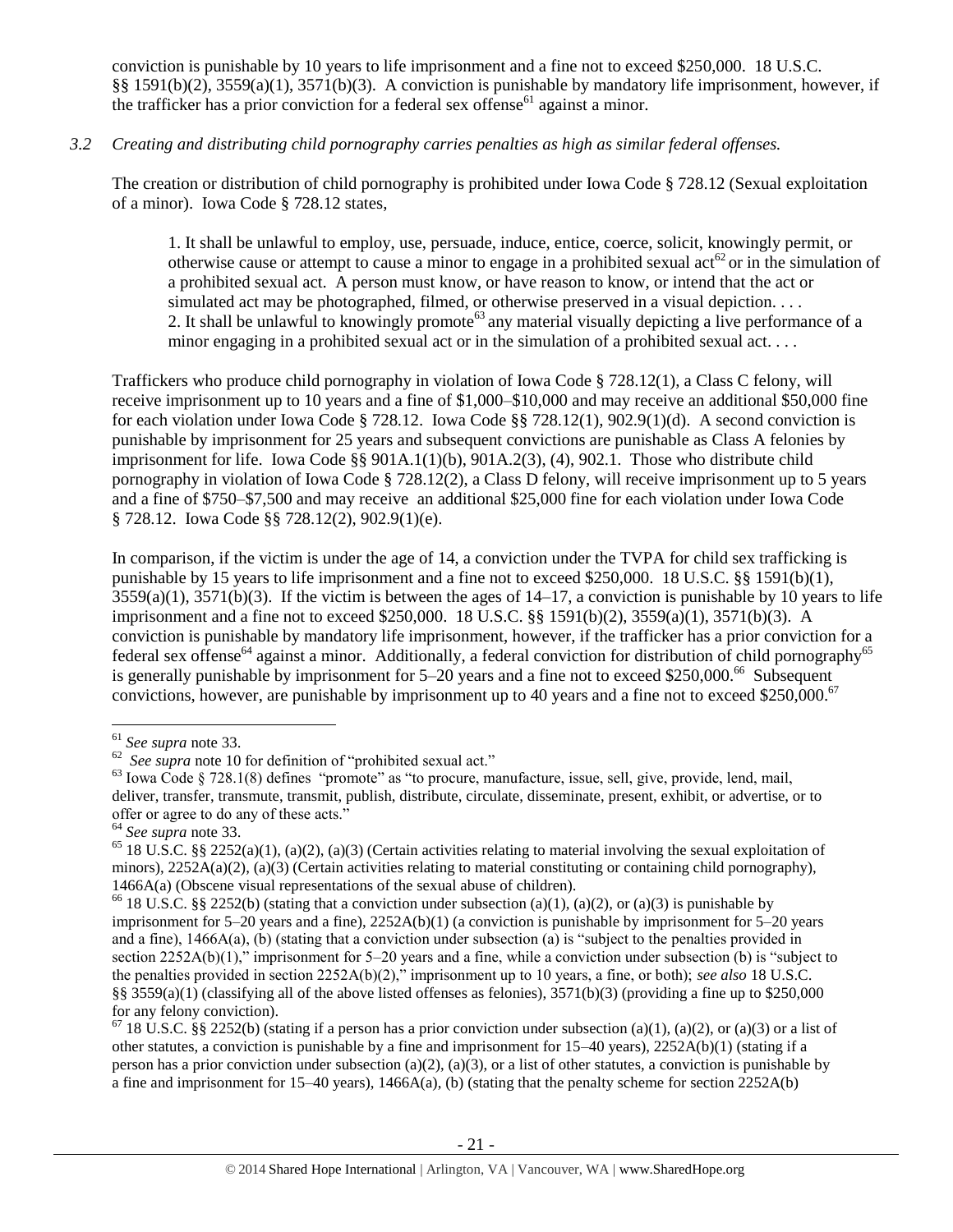conviction is punishable by 10 years to life imprisonment and a fine not to exceed \$250,000. 18 U.S.C. §§ 1591(b)(2), 3559(a)(1), 3571(b)(3). A conviction is punishable by mandatory life imprisonment, however, if the trafficker has a prior conviction for a federal sex offense<sup>61</sup> against a minor.

#### *3.2 Creating and distributing child pornography carries penalties as high as similar federal offenses.*

The creation or distribution of child pornography is prohibited under Iowa Code § 728.12 (Sexual exploitation of a minor). Iowa Code § 728.12 states,

1. It shall be unlawful to employ, use, persuade, induce, entice, coerce, solicit, knowingly permit, or otherwise cause or attempt to cause a minor to engage in a prohibited sexual act<sup>62</sup> or in the simulation of a prohibited sexual act. A person must know, or have reason to know, or intend that the act or simulated act may be photographed, filmed, or otherwise preserved in a visual depiction. . . . 2. It shall be unlawful to knowingly promote<sup>63</sup> any material visually depicting a live performance of a minor engaging in a prohibited sexual act or in the simulation of a prohibited sexual act. . . .

Traffickers who produce child pornography in violation of Iowa Code § 728.12(1), a Class C felony, will receive imprisonment up to 10 years and a fine of \$1,000–\$10,000 and may receive an additional \$50,000 fine for each violation under Iowa Code § 728.12. Iowa Code §§ 728.12(1), 902.9(1)(d). A second conviction is punishable by imprisonment for 25 years and subsequent convictions are punishable as Class A felonies by imprisonment for life. Iowa Code §§ 901A.1(1)(b), 901A.2(3), (4), 902.1. Those who distribute child pornography in violation of Iowa Code § 728.12(2), a Class D felony, will receive imprisonment up to 5 years and a fine of \$750–\$7,500 and may receive an additional \$25,000 fine for each violation under Iowa Code § 728.12. Iowa Code §§ 728.12(2), 902.9(1)(e).

In comparison, if the victim is under the age of 14, a conviction under the TVPA for child sex trafficking is punishable by 15 years to life imprisonment and a fine not to exceed \$250,000. 18 U.S.C. §§ 1591(b)(1),  $3559(a)(1)$ ,  $3571(b)(3)$ . If the victim is between the ages of  $14-17$ , a conviction is punishable by 10 years to life imprisonment and a fine not to exceed \$250,000. 18 U.S.C. §§ 1591(b)(2), 3559(a)(1), 3571(b)(3). A conviction is punishable by mandatory life imprisonment, however, if the trafficker has a prior conviction for a federal sex offense<sup>64</sup> against a minor. Additionally, a federal conviction for distribution of child pornography<sup>65</sup> is generally punishable by imprisonment for  $5-20$  years and a fine not to exceed \$250,000.<sup>66</sup> Subsequent convictions, however, are punishable by imprisonment up to 40 years and a fine not to exceed \$250,000.<sup>67</sup>

<sup>61</sup> *See supra* note [33.](#page-11-1)

<sup>62</sup> *See supra* note [10](#page-2-2) for definition of "prohibited sexual act."

<sup>&</sup>lt;sup>63</sup> Iowa Code § 728.1(8) defines "promote" as "to procure, manufacture, issue, sell, give, provide, lend, mail, deliver, transfer, transmute, transmit, publish, distribute, circulate, disseminate, present, exhibit, or advertise, or to offer or agree to do any of these acts."

<sup>64</sup> *See supra* note [33.](#page-11-1)

<sup>&</sup>lt;sup>65</sup> 18 U.S.C. §§ 2252(a)(1), (a)(2), (a)(3) (Certain activities relating to material involving the sexual exploitation of minors),  $2252A(a)(2)$ ,  $(a)(3)$  (Certain activities relating to material constituting or containing child pornography), 1466A(a) (Obscene visual representations of the sexual abuse of children).

<sup>&</sup>lt;sup>66</sup> 18 U.S.C. §§ 2252(b) (stating that a conviction under subsection (a)(1), (a)(2), or (a)(3) is punishable by imprisonment for 5–20 years and a fine), 2252A(b)(1) (a conviction is punishable by imprisonment for 5–20 years and a fine),  $1466A(a)$ , (b) (stating that a conviction under subsection (a) is "subject to the penalties provided in section 2252A(b)(1)," imprisonment for 5–20 years and a fine, while a conviction under subsection (b) is "subject to the penalties provided in section 2252A(b)(2)," imprisonment up to 10 years, a fine, or both); *see also* 18 U.S.C. §§ 3559(a)(1) (classifying all of the above listed offenses as felonies),  $3571(b)(3)$  (providing a fine up to \$250,000 for any felony conviction).

<sup>&</sup>lt;sup>67</sup> 18 U.S.C. §§ 2252(b) (stating if a person has a prior conviction under subsection (a)(1), (a)(2), or (a)(3) or a list of other statutes, a conviction is punishable by a fine and imprisonment for  $15-40$  years),  $2252A(b)(1)$  (stating if a person has a prior conviction under subsection (a)(2), (a)(3), or a list of other statutes, a conviction is punishable by a fine and imprisonment for  $15-40$  years),  $1466A(a)$ , (b) (stating that the penalty scheme for section  $2252A(b)$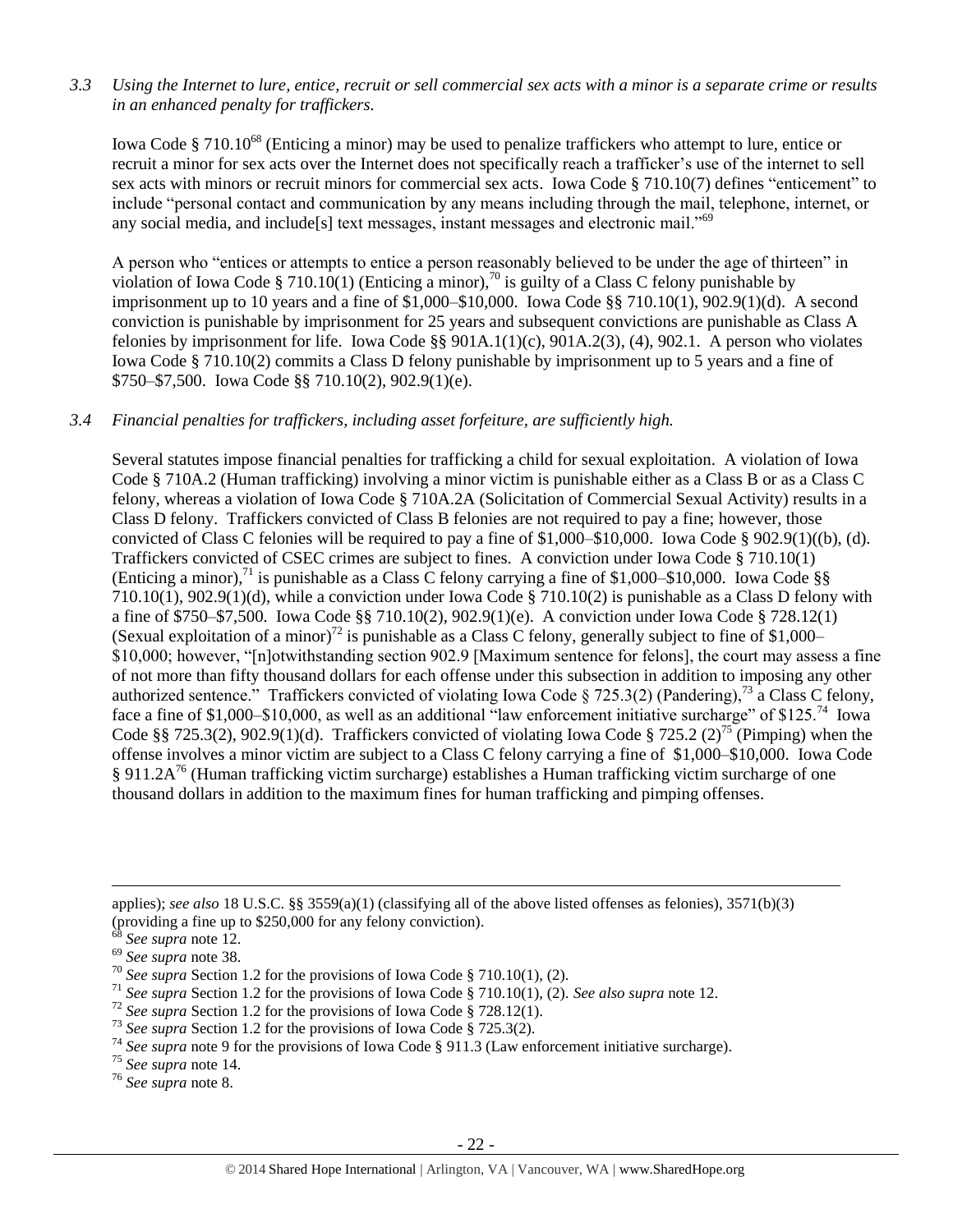#### *3.3 Using the Internet to lure, entice, recruit or sell commercial sex acts with a minor is a separate crime or results in an enhanced penalty for traffickers.*

Iowa Code § 710.10<sup>68</sup> (Enticing a minor) may be used to penalize traffickers who attempt to lure, entice or recruit a minor for sex acts over the Internet does not specifically reach a trafficker's use of the internet to sell sex acts with minors or recruit minors for commercial sex acts. Iowa Code § 710.10(7) defines "enticement" to include "personal contact and communication by any means including through the mail, telephone, internet, or any social media, and include[s] text messages, instant messages and electronic mail."<sup>69</sup>

A person who "entices or attempts to entice a person reasonably believed to be under the age of thirteen" in violation of Iowa Code § 710.10(1) (Enticing a minor),<sup>70</sup> is guilty of a Class C felony punishable by imprisonment up to 10 years and a fine of \$1,000–\$10,000. Iowa Code §§ 710.10(1), 902.9(1)(d). A second conviction is punishable by imprisonment for 25 years and subsequent convictions are punishable as Class A felonies by imprisonment for life. Iowa Code §§  $901A.1(1)(c)$ ,  $901A.2(3)$ , (4),  $902.1$ . A person who violates Iowa Code § 710.10(2) commits a Class D felony punishable by imprisonment up to 5 years and a fine of \$750–\$7,500. Iowa Code §§ 710.10(2), 902.9(1)(e).

#### *3.4 Financial penalties for traffickers, including asset forfeiture, are sufficiently high.*

Several statutes impose financial penalties for trafficking a child for sexual exploitation. A violation of Iowa Code § 710A.2 (Human trafficking) involving a minor victim is punishable either as a Class B or as a Class C felony, whereas a violation of Iowa Code § 710A.2A (Solicitation of Commercial Sexual Activity) results in a Class D felony. Traffickers convicted of Class B felonies are not required to pay a fine; however, those convicted of Class C felonies will be required to pay a fine of \$1,000–\$10,000. Iowa Code § 902.9(1)((b), (d). Traffickers convicted of CSEC crimes are subject to fines. A conviction under Iowa Code § 710.10(1) (Enticing a minor),<sup>71</sup> is punishable as a Class C felony carrying a fine of \$1,000–\$10,000. Iowa Code §§  $710.10(1)$ ,  $902.9(1)(d)$ , while a conviction under Iowa Code § 710.10(2) is punishable as a Class D felony with a fine of \$750–\$7,500. Iowa Code §§ 710.10(2), 902.9(1)(e). A conviction under Iowa Code § 728.12(1) (Sexual exploitation of a minor)<sup>72</sup> is punishable as a Class C felony, generally subject to fine of \$1,000– \$10,000; however, "[n]otwithstanding section 902.9 [Maximum sentence for felons], the court may assess a fine of not more than fifty thousand dollars for each offense under this subsection in addition to imposing any other authorized sentence." Traffickers convicted of violating Iowa Code § 725.3(2) (Pandering),<sup>73</sup> a Class C felony, face a fine of \$1,000–\$10,000, as well as an additional "law enforcement initiative surcharge" of \$125.<sup>74</sup> Iowa Code §§ 725.3(2), 902.9(1)(d). Traffickers convicted of violating Iowa Code § 725.2 (2)<sup>75</sup> (Pimping) when the offense involves a minor victim are subject to a Class C felony carrying a fine of \$1,000–\$10,000. Iowa Code  $\S 911.2A^{76}$  (Human trafficking victim surcharge) establishes a Human trafficking victim surcharge of one thousand dollars in addition to the maximum fines for human trafficking and pimping offenses.

applies); *see also* 18 U.S.C. §§ 3559(a)(1) (classifying all of the above listed offenses as felonies), 3571(b)(3) (providing a fine up to \$250,000 for any felony conviction).

See supra note [12.](#page-3-0)

<sup>69</sup> *See supra* note [38.](#page-12-0)

<sup>&</sup>lt;sup>70</sup> *See supra* Section 1.2 for the provisions of Iowa Code § 710.10(1), (2).

<sup>71</sup> *See supra* Section 1.2 for the provisions of Iowa Code § 710.10(1), (2). *See also supra* note [12.](#page-3-0)

<sup>72</sup> *See supra* Section 1.2 for the provisions of Iowa Code § 728.12(1).

<sup>73</sup> *See supra* Section 1.2 for the provisions of Iowa Code § 725.3(2).

<sup>74</sup> *See supra* note [9](#page-2-3) for the provisions of Iowa Code § 911.3 (Law enforcement initiative surcharge).

<sup>75</sup> *See supra* note [14.](#page-4-2)

<sup>76</sup> *See supra* note [8.](#page-2-0)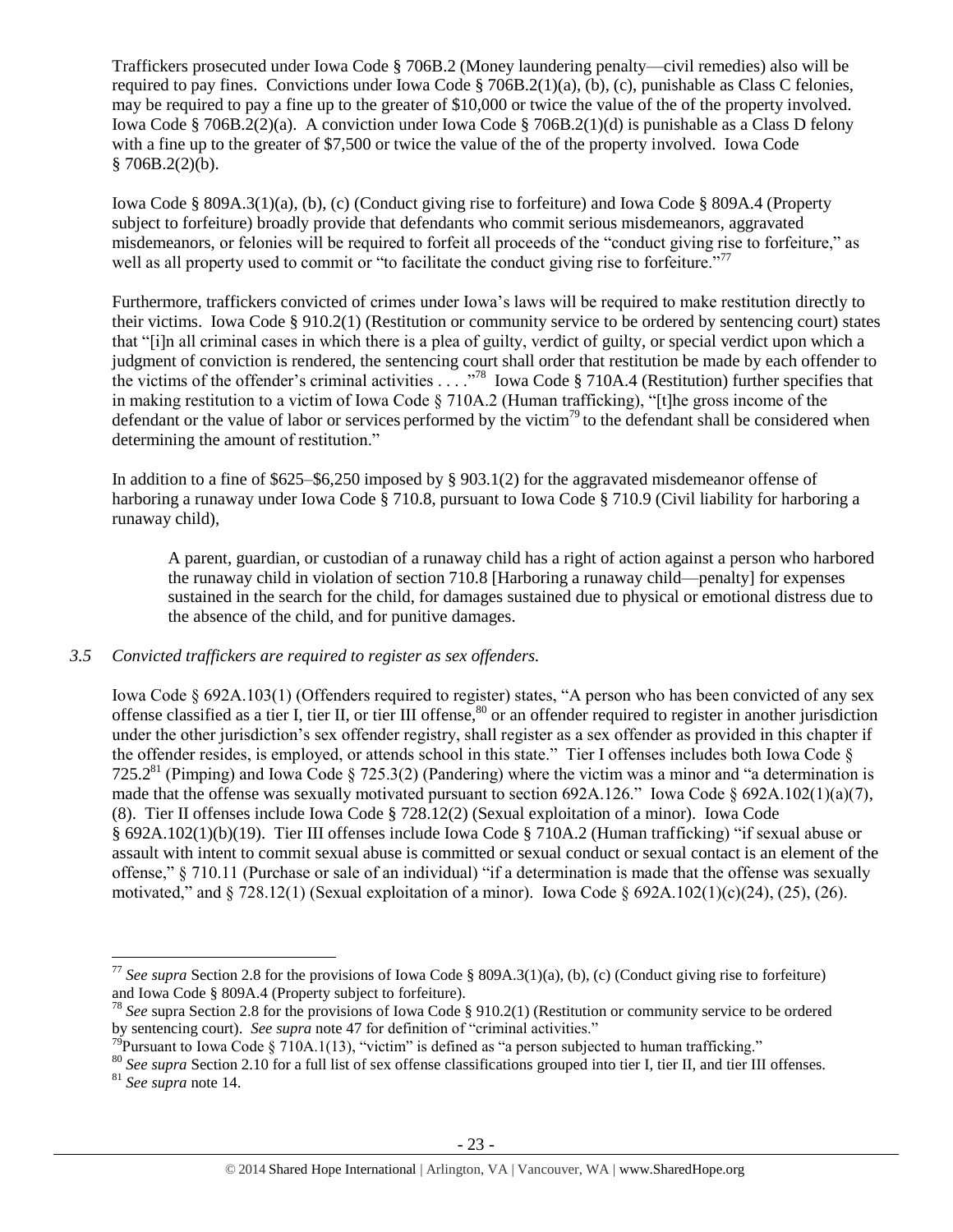Traffickers prosecuted under Iowa Code § 706B.2 (Money laundering penalty—civil remedies) also will be required to pay fines. Convictions under Iowa Code § 706B.2(1)(a), (b), (c), punishable as Class C felonies, may be required to pay a fine up to the greater of \$10,000 or twice the value of the of the property involved. Iowa Code § 706B.2(2)(a). A conviction under Iowa Code § 706B.2(1)(d) is punishable as a Class D felony with a fine up to the greater of \$7,500 or twice the value of the of the property involved. Iowa Code  $$706B.2(2)(b).$ 

Iowa Code § 809A.3(1)(a), (b), (c) (Conduct giving rise to forfeiture) and Iowa Code § 809A.4 (Property subject to forfeiture) broadly provide that defendants who commit serious misdemeanors, aggravated misdemeanors, or felonies will be required to forfeit all proceeds of the "conduct giving rise to forfeiture," as well as all property used to commit or "to facilitate the conduct giving rise to forfeiture."<sup>77</sup>

Furthermore, traffickers convicted of crimes under Iowa's laws will be required to make restitution directly to their victims. Iowa Code § 910.2(1) (Restitution or community service to be ordered by sentencing court) states that "[i]n all criminal cases in which there is a plea of guilty, verdict of guilty, or special verdict upon which a judgment of conviction is rendered, the sentencing court shall order that restitution be made by each offender to the victims of the offender's criminal activities . . . ."<sup>78</sup> Iowa Code § 710A.4 (Restitution) further specifies that in making restitution to a victim of Iowa Code § 710A.2 (Human trafficking), "[t]he gross income of the defendant or the value of labor or services performed by the victim<sup>79</sup> to the defendant shall be considered when determining the amount of restitution."

In addition to a fine of \$625–\$6,250 imposed by § 903.1(2) for the aggravated misdemeanor offense of harboring a runaway under Iowa Code § 710.8, pursuant to Iowa Code § 710.9 (Civil liability for harboring a runaway child),

<span id="page-22-0"></span>A parent, guardian, or custodian of a runaway child has a right of action against a person who harbored the runaway child in violation of section 710.8 [Harboring a runaway child—penalty] for expenses sustained in the search for the child, for damages sustained due to physical or emotional distress due to the absence of the child, and for punitive damages.

# *3.5 Convicted traffickers are required to register as sex offenders.*

Iowa Code § 692A.103(1) (Offenders required to register) states, "A person who has been convicted of any sex offense classified as a tier I, tier II, or tier III offense, $\frac{80}{2}$  or an offender required to register in another jurisdiction under the other jurisdiction's sex offender registry, shall register as a sex offender as provided in this chapter if the offender resides, is employed, or attends school in this state." Tier I offenses includes both Iowa Code § 725.2<sup>81</sup> (Pimping) and Iowa Code § 725.3(2) (Pandering) where the victim was a minor and "a determination is made that the offense was sexually motivated pursuant to section 692A.126." Iowa Code § 692A.102(1)(a)(7), (8). Tier II offenses include Iowa Code § 728.12(2) (Sexual exploitation of a minor). Iowa Code § 692A.102(1)(b)(19). Tier III offenses include Iowa Code § 710A.2 (Human trafficking) "if sexual abuse or assault with intent to commit sexual abuse is committed or sexual conduct or sexual contact is an element of the offense," § 710.11 (Purchase or sale of an individual) "if a determination is made that the offense was sexually motivated," and § 728.12(1) (Sexual exploitation of a minor). Iowa Code § 692A.102(1)(c)(24), (25), (26).

<sup>&</sup>lt;sup>77</sup> *See supra* Section 2.8 for the provisions of Iowa Code § 809A.3(1)(a), (b), (c) (Conduct giving rise to forfeiture) and Iowa Code § 809A.4 (Property subject to forfeiture).

<sup>78</sup> *See* supra Section 2.8 for the provisions of Iowa Code § 910.2(1) (Restitution or community service to be ordered by sentencing court). *See supra* note [47](#page-14-0) for definition of "criminal activities."

<sup>&</sup>lt;sup>79</sup>Pursuant to Iowa Code § 710A.1(13), "victim" is defined as "a person subjected to human trafficking."

<sup>&</sup>lt;sup>80</sup> See supra Section 2.10 for a full list of sex offense classifications grouped into tier I, tier II, and tier III offenses. <sup>81</sup> *See supra* note [14.](#page-4-2)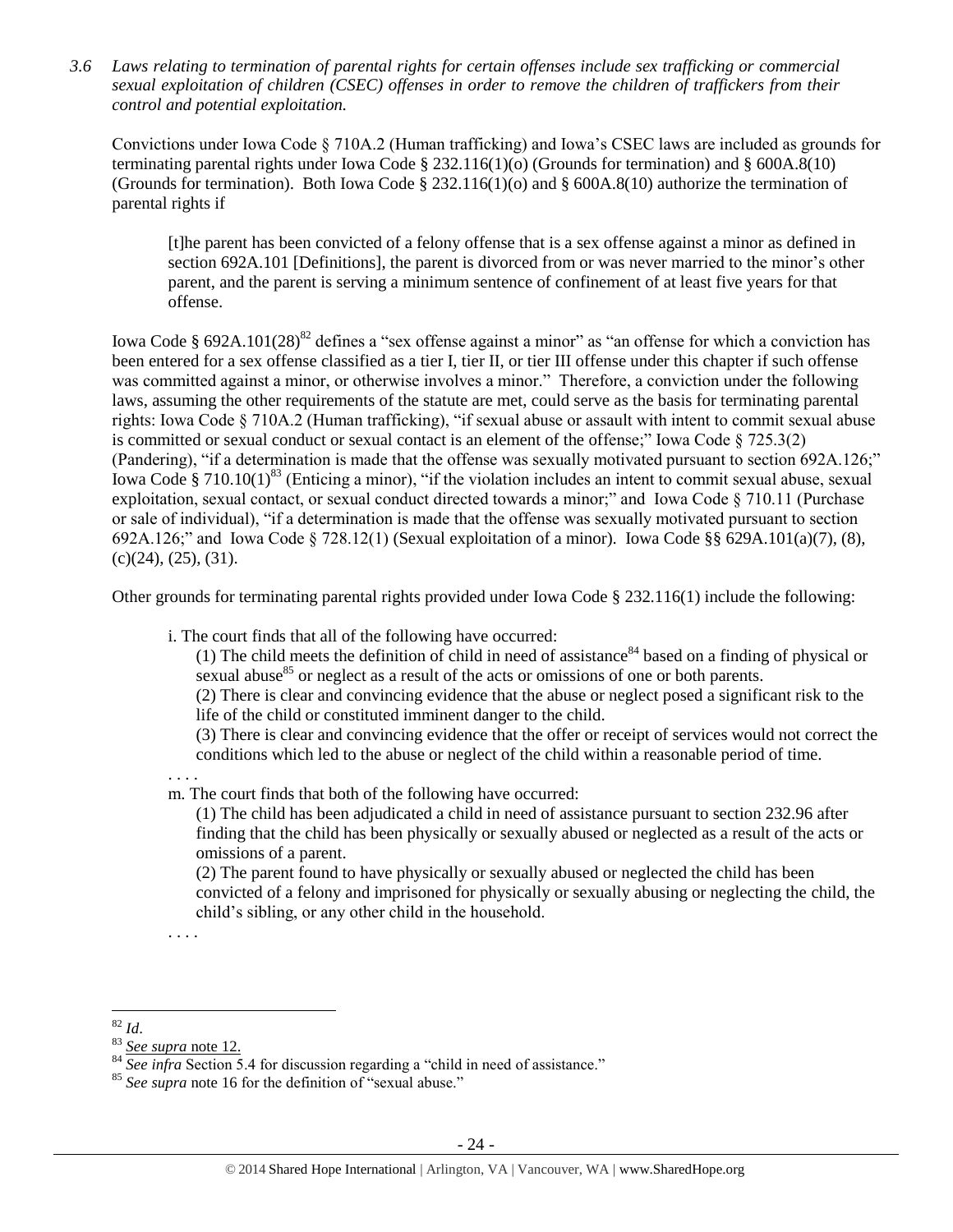*3.6 Laws relating to termination of parental rights for certain offenses include sex trafficking or commercial sexual exploitation of children (CSEC) offenses in order to remove the children of traffickers from their control and potential exploitation.* 

Convictions under Iowa Code § 710A.2 (Human trafficking) and Iowa's CSEC laws are included as grounds for terminating parental rights under Iowa Code § 232.116(1)(o) (Grounds for termination) and § 600A.8(10) (Grounds for termination). Both Iowa Code § 232.116(1)(o) and § 600A.8(10) authorize the termination of parental rights if

[t]he parent has been convicted of a felony offense that is a sex offense against a minor as defined in section 692A.101 [Definitions], the parent is divorced from or was never married to the minor's other parent, and the parent is serving a minimum sentence of confinement of at least five years for that offense.

Iowa Code § 692A.101(28)<sup>82</sup> defines a "sex offense against a minor" as "an offense for which a conviction has been entered for a sex offense classified as a tier I, tier II, or tier III offense under this chapter if such offense was committed against a minor, or otherwise involves a minor." Therefore, a conviction under the following laws, assuming the other requirements of the statute are met, could serve as the basis for terminating parental rights: Iowa Code § 710A.2 (Human trafficking), "if sexual abuse or assault with intent to commit sexual abuse is committed or sexual conduct or sexual contact is an element of the offense;" Iowa Code § 725.3(2) (Pandering), "if a determination is made that the offense was sexually motivated pursuant to section 692A.126;" Iowa Code § 710.10(1)<sup>83</sup> (Enticing a minor), "if the violation includes an intent to commit sexual abuse, sexual exploitation, sexual contact, or sexual conduct directed towards a minor;" and Iowa Code § 710.11 (Purchase or sale of individual), "if a determination is made that the offense was sexually motivated pursuant to section 692A.126;" and Iowa Code § 728.12(1) (Sexual exploitation of a minor). Iowa Code §§ 629A.101(a)(7), (8),  $(c)(24)$ ,  $(25)$ ,  $(31)$ .

Other grounds for terminating parental rights provided under Iowa Code § 232.116(1) include the following:

i. The court finds that all of the following have occurred:

(1) The child meets the definition of child in need of assistance  $84$  based on a finding of physical or sexual abuse $^{85}$  or neglect as a result of the acts or omissions of one or both parents.

(2) There is clear and convincing evidence that the abuse or neglect posed a significant risk to the life of the child or constituted imminent danger to the child.

(3) There is clear and convincing evidence that the offer or receipt of services would not correct the conditions which led to the abuse or neglect of the child within a reasonable period of time.

. . . . m. The court finds that both of the following have occurred:

(1) The child has been adjudicated a child in need of assistance pursuant to section 232.96 after finding that the child has been physically or sexually abused or neglected as a result of the acts or omissions of a parent.

(2) The parent found to have physically or sexually abused or neglected the child has been convicted of a felony and imprisoned for physically or sexually abusing or neglecting the child, the child's sibling, or any other child in the household.

. . . .

 $\overline{a}$ <sup>82</sup> *Id*.

<sup>83</sup> *See supra* note [12.](#page-3-0)

<sup>&</sup>lt;sup>84</sup> *See infra* Section 5.4 for discussion regarding a "child in need of assistance."

<sup>85</sup> *See supra* note [16](#page-4-0) for the definition of "sexual abuse."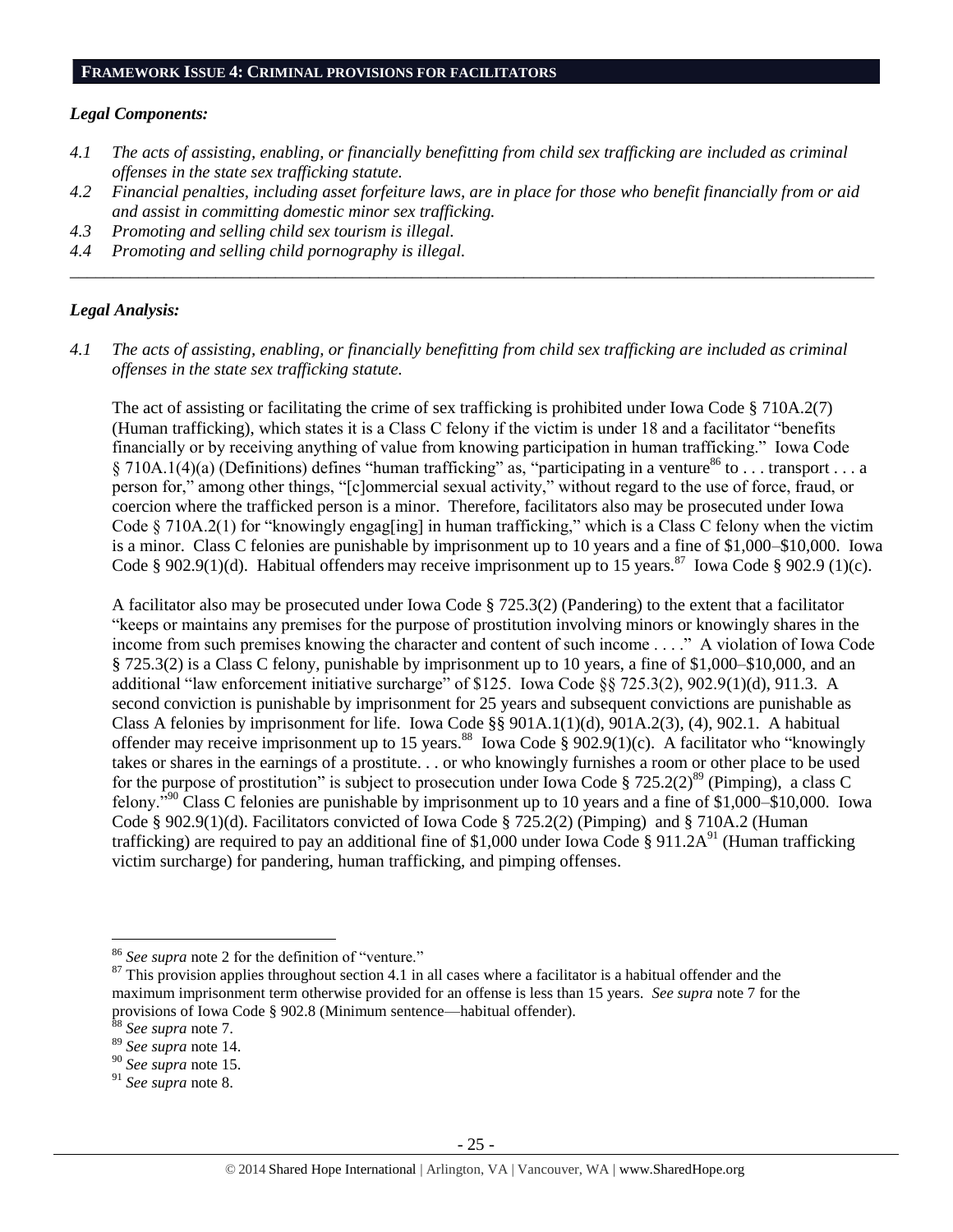#### *Legal Components:*

- *4.1 The acts of assisting, enabling, or financially benefitting from child sex trafficking are included as criminal offenses in the state sex trafficking statute.*
- *4.2 Financial penalties, including asset forfeiture laws, are in place for those who benefit financially from or aid and assist in committing domestic minor sex trafficking.*

*\_\_\_\_\_\_\_\_\_\_\_\_\_\_\_\_\_\_\_\_\_\_\_\_\_\_\_\_\_\_\_\_\_\_\_\_\_\_\_\_\_\_\_\_\_\_\_\_\_\_\_\_\_\_\_\_\_\_\_\_\_\_\_\_\_\_\_\_\_\_\_\_\_\_\_\_\_\_\_\_\_\_\_\_\_\_\_\_\_\_\_\_\_\_*

- *4.3 Promoting and selling child sex tourism is illegal.*
- *4.4 Promoting and selling child pornography is illegal.*

#### *Legal Analysis:*

*4.1 The acts of assisting, enabling, or financially benefitting from child sex trafficking are included as criminal offenses in the state sex trafficking statute.*

The act of assisting or facilitating the crime of sex trafficking is prohibited under Iowa Code § 710A.2(7) (Human trafficking), which states it is a Class C felony if the victim is under 18 and a facilitator "benefits financially or by receiving anything of value from knowing participation in human trafficking." Iowa Code § 710A.1(4)(a) (Definitions) defines "human trafficking" as, "participating in a venture<sup>86</sup> to . . . transport . . . a person for," among other things, "[c]ommercial sexual activity," without regard to the use of force, fraud, or coercion where the trafficked person is a minor. Therefore, facilitators also may be prosecuted under Iowa Code § 710A.2(1) for "knowingly engag[ing] in human trafficking," which is a Class C felony when the victim is a minor. Class C felonies are punishable by imprisonment up to 10 years and a fine of \$1,000–\$10,000. Iowa Code § 902.9(1)(d). Habitual offenders may receive imprisonment up to 15 years.<sup>87</sup> Iowa Code § 902.9 (1)(c).

A facilitator also may be prosecuted under Iowa Code § 725.3(2) (Pandering) to the extent that a facilitator "keeps or maintains any premises for the purpose of prostitution involving minors or knowingly shares in the income from such premises knowing the character and content of such income . . . ." A violation of Iowa Code § 725.3(2) is a Class C felony, punishable by imprisonment up to 10 years, a fine of \$1,000–\$10,000, and an additional "law enforcement initiative surcharge" of \$125. Iowa Code §§ 725.3(2), 902.9(1)(d), 911.3. A second conviction is punishable by imprisonment for 25 years and subsequent convictions are punishable as Class A felonies by imprisonment for life. Iowa Code §§ 901A.1(1)(d), 901A.2(3), (4), 902.1. A habitual offender may receive imprisonment up to 15 years.<sup>88</sup> Iowa Code § 902.9(1)(c). A facilitator who "knowingly takes or shares in the earnings of a prostitute. . . or who knowingly furnishes a room or other place to be used for the purpose of prostitution" is subject to prosecution under Iowa Code § 725.2(2)<sup>89</sup> (Pimping), a class C felony."<sup>90</sup> Class C felonies are punishable by imprisonment up to 10 years and a fine of \$1,000–\$10,000. Iowa Code § 902.9(1)(d). Facilitators convicted of Iowa Code § 725.2(2) (Pimping) and § 710A.2 (Human trafficking) are required to pay an additional fine of \$1,000 under Iowa Code § 911.2A<sup>91</sup> (Human trafficking victim surcharge) for pandering, human trafficking, and pimping offenses.

<sup>86</sup> *See supra* note [2](#page-1-0) for the definition of "venture."

 $87$  This provision applies throughout section 4.1 in all cases where a facilitator is a habitual offender and the maximum imprisonment term otherwise provided for an offense is less than 15 years. *See supra* note [7](#page-2-1) for the provisions of Iowa Code § 902.8 (Minimum sentence—habitual offender).

<sup>88</sup> *See supra* note [7.](#page-2-1)

<sup>89</sup> *See supra* note [14.](#page-4-2)

<sup>90</sup> *See supra* note 15.

<sup>91</sup> *See supra* note [8.](#page-2-0)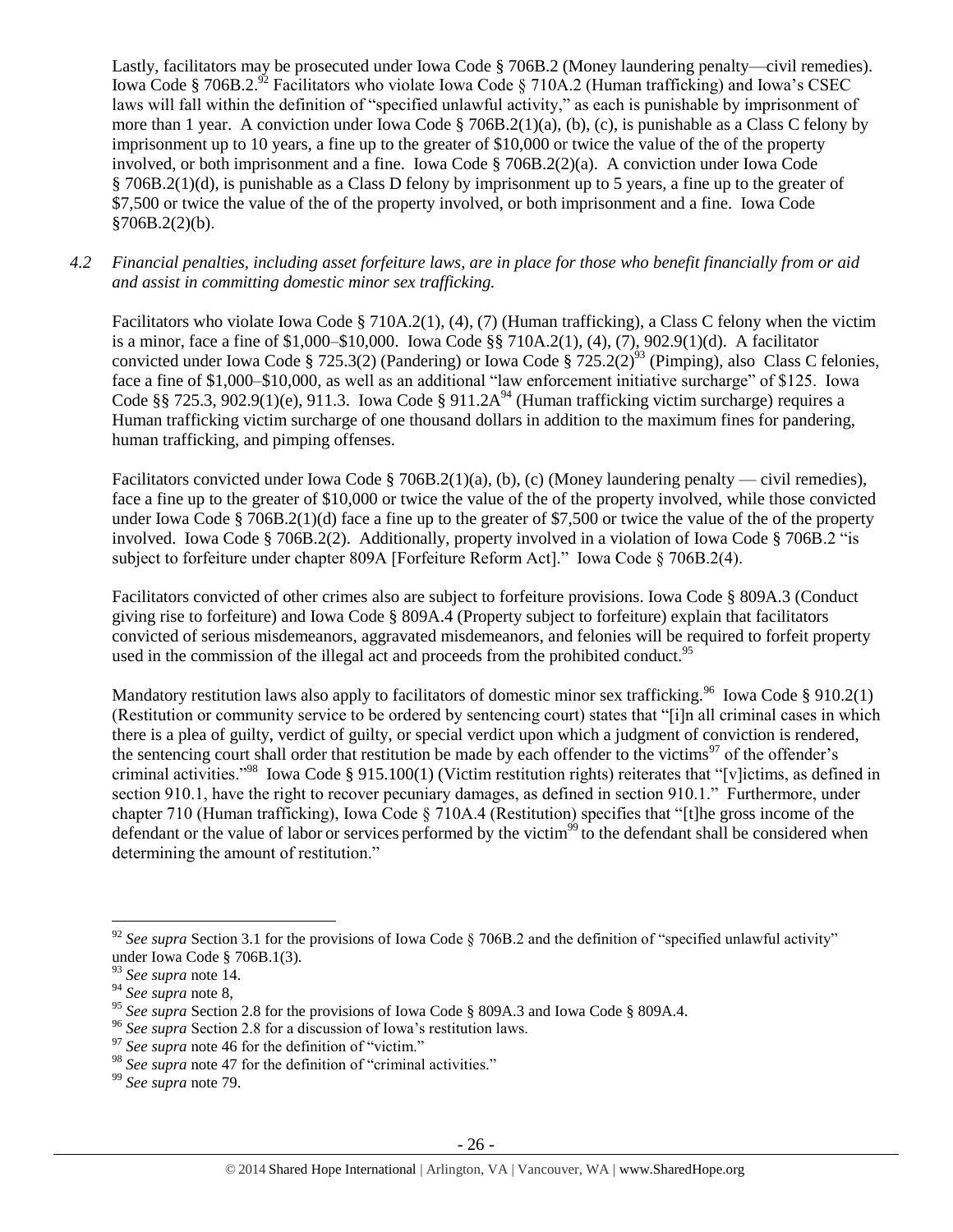Lastly, facilitators may be prosecuted under Iowa Code § 706B.2 (Money laundering penalty—civil remedies). Iowa Code § 706B.2.<sup>92</sup> Facilitators who violate Iowa Code § 710A.2 (Human trafficking) and Iowa's CSEC laws will fall within the definition of "specified unlawful activity," as each is punishable by imprisonment of more than 1 year. A conviction under Iowa Code § 706B.2(1)(a), (b), (c), is punishable as a Class C felony by imprisonment up to 10 years, a fine up to the greater of \$10,000 or twice the value of the of the property involved, or both imprisonment and a fine. Iowa Code § 706B.2(2)(a). A conviction under Iowa Code § 706B.2(1)(d), is punishable as a Class D felony by imprisonment up to 5 years, a fine up to the greater of \$7,500 or twice the value of the of the property involved, or both imprisonment and a fine. Iowa Code  $§706B.2(2)(b).$ 

*4.2 Financial penalties, including asset forfeiture laws, are in place for those who benefit financially from or aid and assist in committing domestic minor sex trafficking.*

Facilitators who violate Iowa Code § 710A.2(1), (4), (7) (Human trafficking), a Class C felony when the victim is a minor, face a fine of \$1,000–\$10,000. Iowa Code §§ 710A.2(1), (4), (7), 902.9(1)(d). A facilitator convicted under Iowa Code § 725.3(2) (Pandering) or Iowa Code § 725.2(2)<sup>93</sup> (Pimping), also Class C felonies, face a fine of \$1,000–\$10,000, as well as an additional "law enforcement initiative surcharge" of \$125. Iowa Code §§ 725.3, 902.9(1)(e), 911.3. Iowa Code § 911.2A<sup>94</sup> (Human trafficking victim surcharge) requires a Human trafficking victim surcharge of one thousand dollars in addition to the maximum fines for pandering, human trafficking, and pimping offenses.

Facilitators convicted under Iowa Code § 706B.2(1)(a), (b), (c) (Money laundering penalty — civil remedies), face a fine up to the greater of \$10,000 or twice the value of the of the property involved, while those convicted under Iowa Code § 706B.2(1)(d) face a fine up to the greater of \$7,500 or twice the value of the of the property involved. Iowa Code § 706B.2(2). Additionally, property involved in a violation of Iowa Code § 706B.2 "is subject to forfeiture under chapter 809A [Forfeiture Reform Act]." Iowa Code § 706B.2(4).

Facilitators convicted of other crimes also are subject to forfeiture provisions. Iowa Code § 809A.3 (Conduct giving rise to forfeiture) and Iowa Code § 809A.4 (Property subject to forfeiture) explain that facilitators convicted of serious misdemeanors, aggravated misdemeanors, and felonies will be required to forfeit property used in the commission of the illegal act and proceeds from the prohibited conduct.<sup>95</sup>

Mandatory restitution laws also apply to facilitators of domestic minor sex trafficking.<sup>96</sup> Iowa Code § 910.2(1) (Restitution or community service to be ordered by sentencing court) states that "[i]n all criminal cases in which there is a plea of guilty, verdict of guilty, or special verdict upon which a judgment of conviction is rendered, the sentencing court shall order that restitution be made by each offender to the victims<sup>97</sup> of the offender's criminal activities."<sup>98</sup> Iowa Code § 915.100(1) (Victim restitution rights) reiterates that "[v]ictims, as defined in section 910.1, have the right to recover pecuniary damages, as defined in section 910.1." Furthermore, under chapter 710 (Human trafficking), Iowa Code § 710A.4 (Restitution) specifies that "[t]he gross income of the defendant or the value of labor or services performed by the victim<sup>99</sup> to the defendant shall be considered when determining the amount of restitution."

<sup>&</sup>lt;sup>92</sup> See supra Section 3.1 for the provisions of Iowa Code  $\S$  706B.2 and the definition of "specified unlawful activity" under Iowa Code § 706B.1(3).

<sup>93</sup> *See supra* note [14.](#page-4-2)

<sup>94</sup> *See supra* note [8,](#page-2-0)

<sup>&</sup>lt;sup>95</sup> See supra Section 2.8 for the provisions of Iowa Code § 809A.3 and Iowa Code § 809A.4.

<sup>96</sup> *See supra* Section 2.8 for a discussion of Iowa's restitution laws.

<sup>&</sup>lt;sup>97</sup> See supra note [46](#page-14-1) for the definition of "victim."

<sup>98</sup> *See supra* note [47](#page-14-0) for the definition of "criminal activities."

<sup>99</sup> *See supra* note [79.](#page-22-0)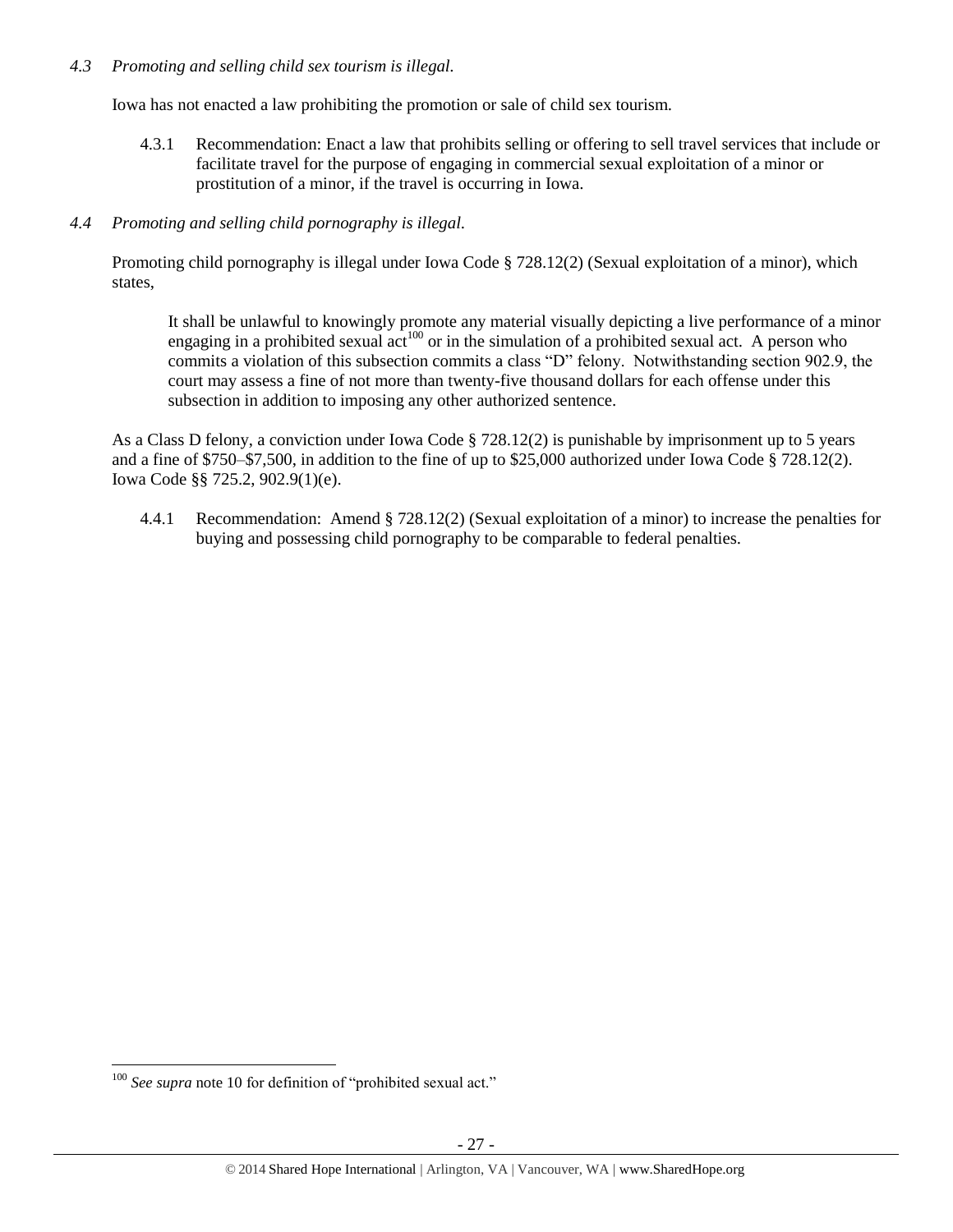# *4.3 Promoting and selling child sex tourism is illegal.*

Iowa has not enacted a law prohibiting the promotion or sale of child sex tourism.

4.3.1 Recommendation: Enact a law that prohibits selling or offering to sell travel services that include or facilitate travel for the purpose of engaging in commercial sexual exploitation of a minor or prostitution of a minor, if the travel is occurring in Iowa.

# *4.4 Promoting and selling child pornography is illegal.*

Promoting child pornography is illegal under Iowa Code § 728.12(2) (Sexual exploitation of a minor), which states,

It shall be unlawful to knowingly promote any material visually depicting a live performance of a minor engaging in a prohibited sexual  $\text{act}^{100}$  or in the simulation of a prohibited sexual act. A person who commits a violation of this subsection commits a class "D" felony. Notwithstanding section 902.9, the court may assess a fine of not more than twenty-five thousand dollars for each offense under this subsection in addition to imposing any other authorized sentence.

As a Class D felony, a conviction under Iowa Code § 728.12(2) is punishable by imprisonment up to 5 years and a fine of \$750–\$7,500, in addition to the fine of up to \$25,000 authorized under Iowa Code § 728.12(2). Iowa Code §§ 725.2, 902.9(1)(e).

4.4.1 Recommendation: Amend § 728.12(2) (Sexual exploitation of a minor) to increase the penalties for buying and possessing child pornography to be comparable to federal penalties.

 $\overline{a}$ <sup>100</sup> *See supra* not[e 10](#page-2-2) for definition of "prohibited sexual act."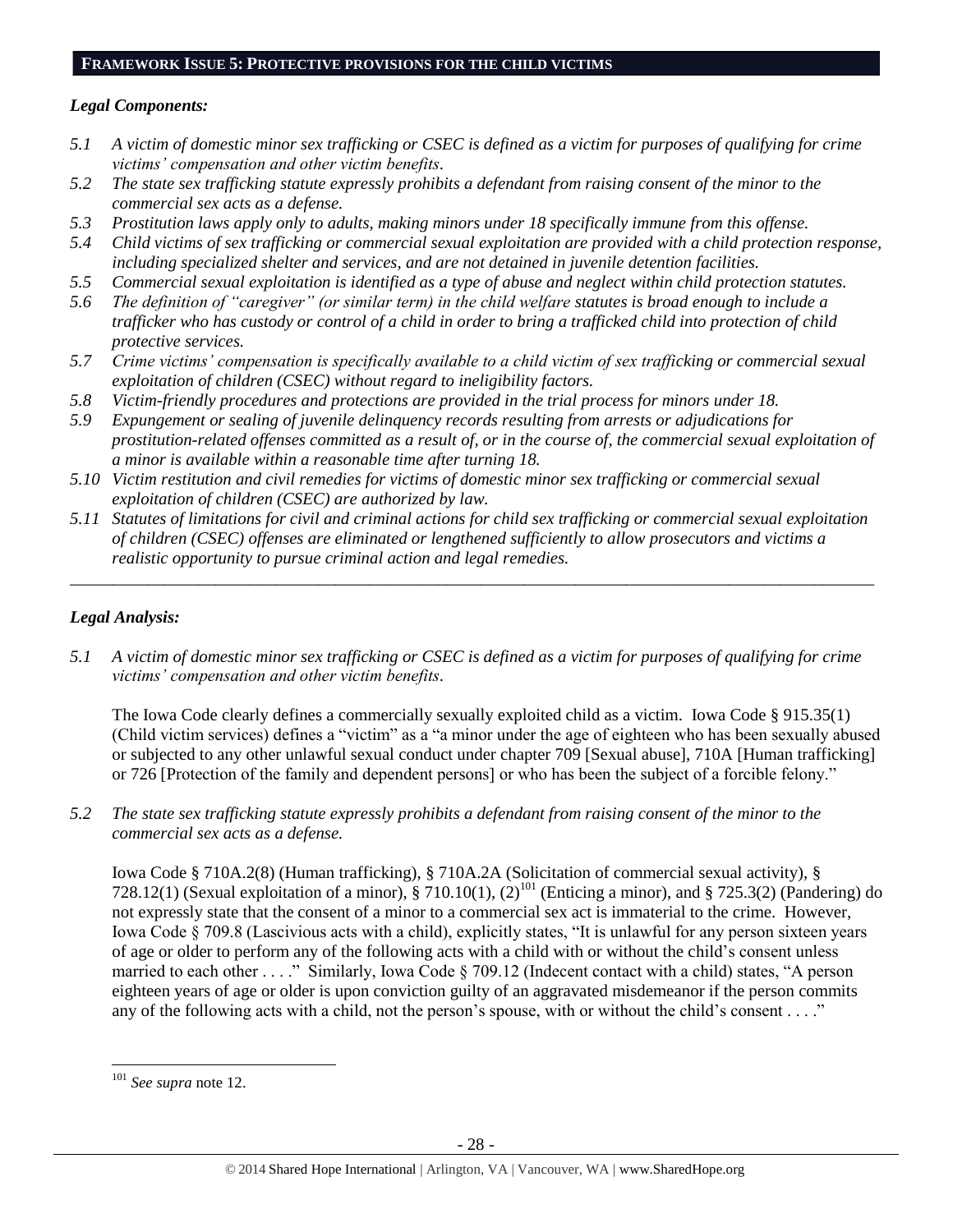# **FRAMEWORK ISSUE 5: PROTECTIVE PROVISIONS FOR THE CHILD VICTIMS**

#### *Legal Components:*

- *5.1 A victim of domestic minor sex trafficking or CSEC is defined as a victim for purposes of qualifying for crime victims' compensation and other victim benefits.*
- *5.2 The state sex trafficking statute expressly prohibits a defendant from raising consent of the minor to the commercial sex acts as a defense.*
- *5.3 Prostitution laws apply only to adults, making minors under 18 specifically immune from this offense.*
- *5.4 Child victims of sex trafficking or commercial sexual exploitation are provided with a child protection response, including specialized shelter and services, and are not detained in juvenile detention facilities.*
- *5.5 Commercial sexual exploitation is identified as a type of abuse and neglect within child protection statutes.*
- *5.6 The definition of "caregiver" (or similar term) in the child welfare statutes is broad enough to include a trafficker who has custody or control of a child in order to bring a trafficked child into protection of child protective services.*
- *5.7 Crime victims' compensation is specifically available to a child victim of sex trafficking or commercial sexual exploitation of children (CSEC) without regard to ineligibility factors.*
- *5.8 Victim-friendly procedures and protections are provided in the trial process for minors under 18.*
- *5.9 Expungement or sealing of juvenile delinquency records resulting from arrests or adjudications for prostitution-related offenses committed as a result of, or in the course of, the commercial sexual exploitation of a minor is available within a reasonable time after turning 18.*
- *5.10 Victim restitution and civil remedies for victims of domestic minor sex trafficking or commercial sexual exploitation of children (CSEC) are authorized by law.*
- *5.11 Statutes of limitations for civil and criminal actions for child sex trafficking or commercial sexual exploitation of children (CSEC) offenses are eliminated or lengthened sufficiently to allow prosecutors and victims a realistic opportunity to pursue criminal action and legal remedies.*

*\_\_\_\_\_\_\_\_\_\_\_\_\_\_\_\_\_\_\_\_\_\_\_\_\_\_\_\_\_\_\_\_\_\_\_\_\_\_\_\_\_\_\_\_\_\_\_\_\_\_\_\_\_\_\_\_\_\_\_\_\_\_\_\_\_\_\_\_\_\_\_\_\_\_\_\_\_\_\_\_\_\_\_\_\_\_\_\_\_\_\_\_\_\_*

# *Legal Analysis:*

*5.1 A victim of domestic minor sex trafficking or CSEC is defined as a victim for purposes of qualifying for crime victims' compensation and other victim benefits.*

The Iowa Code clearly defines a commercially sexually exploited child as a victim. Iowa Code § 915.35(1) (Child victim services) defines a "victim" as a "a minor under the age of eighteen who has been sexually abused or subjected to any other unlawful sexual conduct under chapter 709 [Sexual abuse], 710A [Human trafficking] or 726 [Protection of the family and dependent persons] or who has been the subject of a forcible felony."

*5.2 The state sex trafficking statute expressly prohibits a defendant from raising consent of the minor to the commercial sex acts as a defense.*

Iowa Code § 710A.2(8) (Human trafficking), § 710A.2A (Solicitation of commercial sexual activity), § 728.12(1) (Sexual exploitation of a minor),  $\S 710.10(1)$ ,  $(2)^{101}$  (Enticing a minor), and  $\S 725.3(2)$  (Pandering) do not expressly state that the consent of a minor to a commercial sex act is immaterial to the crime. However, Iowa Code § 709.8 (Lascivious acts with a child), explicitly states, "It is unlawful for any person sixteen years of age or older to perform any of the following acts with a child with or without the child's consent unless married to each other . . . ." Similarly, Iowa Code § 709.12 (Indecent contact with a child) states, "A person eighteen years of age or older is upon conviction guilty of an aggravated misdemeanor if the person commits any of the following acts with a child, not the person's spouse, with or without the child's consent . . . ."

 $\overline{a}$ <sup>101</sup> *See supra* not[e 12.](#page-3-0)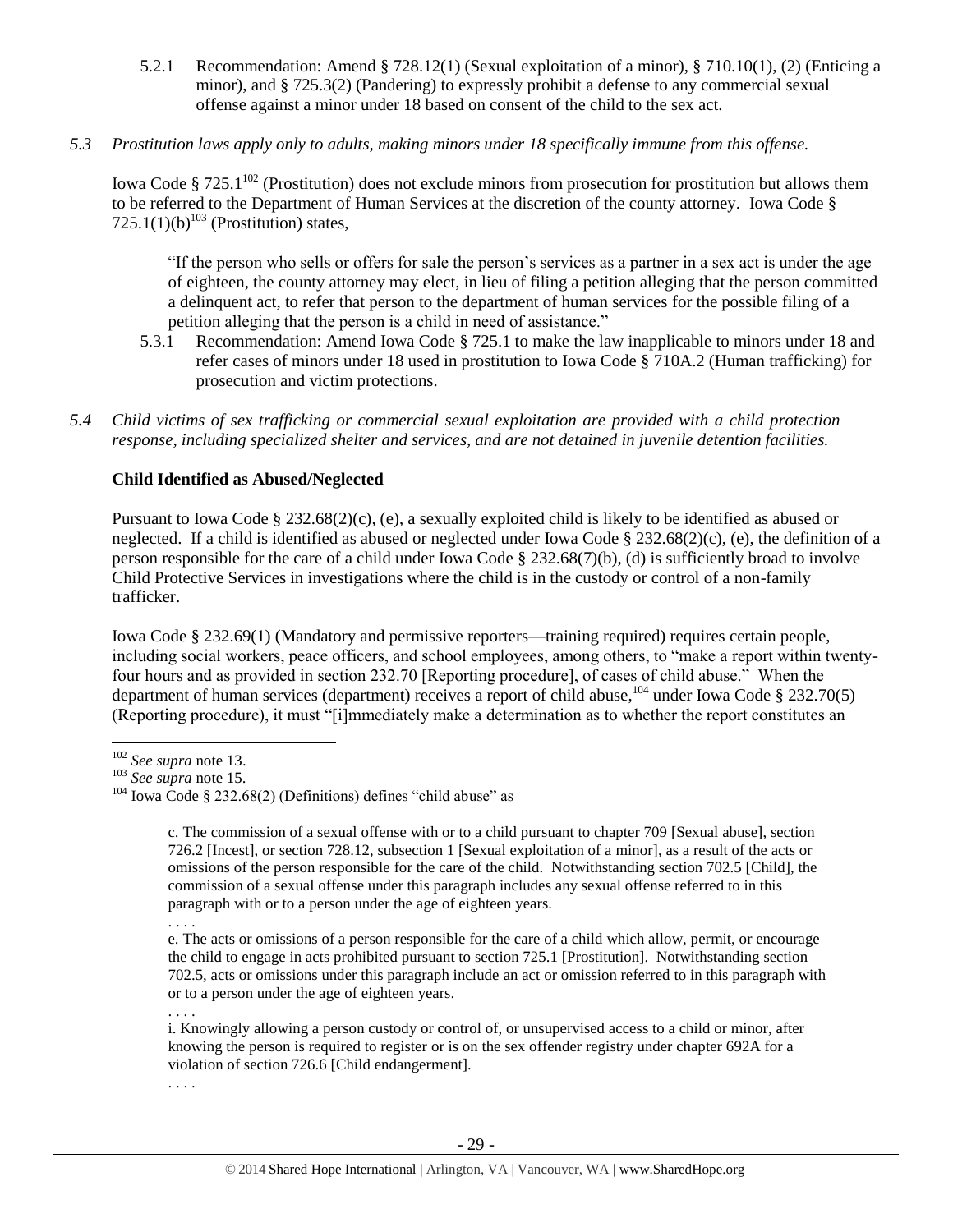- 5.2.1 Recommendation: Amend § 728.12(1) (Sexual exploitation of a minor), § 710.10(1), (2) (Enticing a minor), and § 725.3(2) (Pandering) to expressly prohibit a defense to any commercial sexual offense against a minor under 18 based on consent of the child to the sex act.
- *5.3 Prostitution laws apply only to adults, making minors under 18 specifically immune from this offense.*

Iowa Code § 725.1<sup>102</sup> (Prostitution) does not exclude minors from prosecution for prostitution but allows them to be referred to the Department of Human Services at the discretion of the county attorney. Iowa Code § 725.1(1)(b)<sup>103</sup> (Prostitution) states,

"If the person who sells or offers for sale the person's services as a partner in a sex act is under the age of eighteen, the county attorney may elect, in lieu of filing a petition alleging that the person committed a delinquent act, to refer that person to the department of human services for the possible filing of a petition alleging that the person is a child in need of assistance."

- 5.3.1 Recommendation: Amend Iowa Code § 725.1 to make the law inapplicable to minors under 18 and refer cases of minors under 18 used in prostitution to Iowa Code § 710A.2 (Human trafficking) for prosecution and victim protections.
- *5.4 Child victims of sex trafficking or commercial sexual exploitation are provided with a child protection response, including specialized shelter and services, and are not detained in juvenile detention facilities.*

#### **Child Identified as Abused/Neglected**

Pursuant to Iowa Code § 232.68(2)(c), (e), a sexually exploited child is likely to be identified as abused or neglected. If a child is identified as abused or neglected under Iowa Code § 232.68(2)(c), (e), the definition of a person responsible for the care of a child under Iowa Code § 232.68(7)(b), (d) is sufficiently broad to involve Child Protective Services in investigations where the child is in the custody or control of a non-family trafficker.

Iowa Code § 232.69(1) (Mandatory and permissive reporters—training required) requires certain people, including social workers, peace officers, and school employees, among others, to "make a report within twentyfour hours and as provided in section 232.70 [Reporting procedure], of cases of child abuse." When the department of human services (department) receives a report of child abuse,  $^{104}$  under Iowa Code § 232.70(5) (Reporting procedure), it must "[i]mmediately make a determination as to whether the report constitutes an

 $\overline{a}$ 

. . . .

e. The acts or omissions of a person responsible for the care of a child which allow, permit, or encourage the child to engage in acts prohibited pursuant to section 725.1 [Prostitution]. Notwithstanding section 702.5, acts or omissions under this paragraph include an act or omission referred to in this paragraph with or to a person under the age of eighteen years.

. . . . i. Knowingly allowing a person custody or control of, or unsupervised access to a child or minor, after knowing the person is required to register or is on the sex offender registry under chapter 692A for a violation of section 726.6 [Child endangerment].

. . . .

<sup>102</sup> *See supra* not[e 13.](#page-4-1)

<sup>103</sup> *See supra* note 15.

 $104$  Iowa Code § 232.68(2) (Definitions) defines "child abuse" as

c. The commission of a sexual offense with or to a child pursuant to chapter 709 [Sexual abuse], section 726.2 [Incest], or section 728.12, subsection 1 [Sexual exploitation of a minor], as a result of the acts or omissions of the person responsible for the care of the child. Notwithstanding section 702.5 [Child], the commission of a sexual offense under this paragraph includes any sexual offense referred to in this paragraph with or to a person under the age of eighteen years.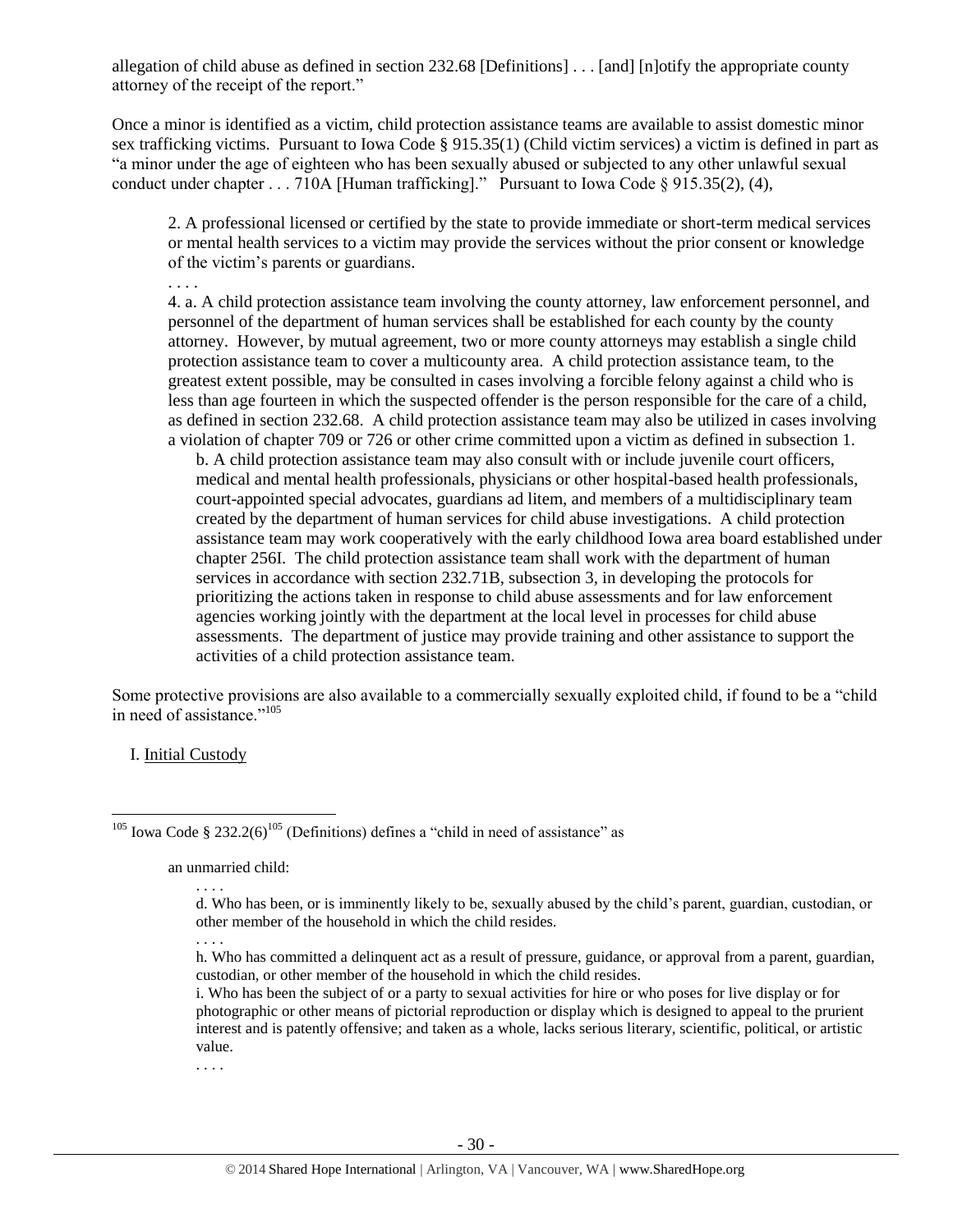allegation of child abuse as defined in section 232.68 [Definitions] . . . [and] [n]otify the appropriate county attorney of the receipt of the report."

Once a minor is identified as a victim, child protection assistance teams are available to assist domestic minor sex trafficking victims. Pursuant to Iowa Code § 915.35(1) (Child victim services) a victim is defined in part as "a minor under the age of eighteen who has been sexually abused or subjected to any other unlawful sexual conduct under chapter . . . 710A [Human trafficking]." Pursuant to Iowa Code § 915.35(2), (4),

2. A professional licensed or certified by the state to provide immediate or short-term medical services or mental health services to a victim may provide the services without the prior consent or knowledge of the victim's parents or guardians.

. . . .

4. a. A child protection assistance team involving the county attorney, law enforcement personnel, and personnel of the department of human services shall be established for each county by the county attorney. However, by mutual agreement, two or more county attorneys may establish a single child protection assistance team to cover a multicounty area. A child protection assistance team, to the greatest extent possible, may be consulted in cases involving a forcible felony against a child who is less than age fourteen in which the suspected offender is the person responsible for the care of a child, as defined in section 232.68. A child protection assistance team may also be utilized in cases involving a violation of chapter 709 or 726 or other crime committed upon a victim as defined in subsection 1.

b. A child protection assistance team may also consult with or include juvenile court officers, medical and mental health professionals, physicians or other hospital-based health professionals, court-appointed special advocates, guardians ad litem, and members of a multidisciplinary team created by the department of human services for child abuse investigations. A child protection assistance team may work cooperatively with the early childhood Iowa area board established under chapter 256I. The child protection assistance team shall work with the department of human services in accordance with section 232.71B, subsection 3, in developing the protocols for prioritizing the actions taken in response to child abuse assessments and for law enforcement agencies working jointly with the department at the local level in processes for child abuse assessments. The department of justice may provide training and other assistance to support the activities of a child protection assistance team.

Some protective provisions are also available to a commercially sexually exploited child, if found to be a "child in need of assistance."<sup>105</sup>

I. Initial Custody

 $\overline{a}$ 

<sup>105</sup> Iowa Code § 232.2(6)<sup>105</sup> (Definitions) defines a "child in need of assistance" as

an unmarried child:

. . . .

. . . .

d. Who has been, or is imminently likely to be, sexually abused by the child's parent, guardian, custodian, or other member of the household in which the child resides.

<sup>. . . .</sup> h. Who has committed a delinquent act as a result of pressure, guidance, or approval from a parent, guardian, custodian, or other member of the household in which the child resides.

i. Who has been the subject of or a party to sexual activities for hire or who poses for live display or for photographic or other means of pictorial reproduction or display which is designed to appeal to the prurient interest and is patently offensive; and taken as a whole, lacks serious literary, scientific, political, or artistic value.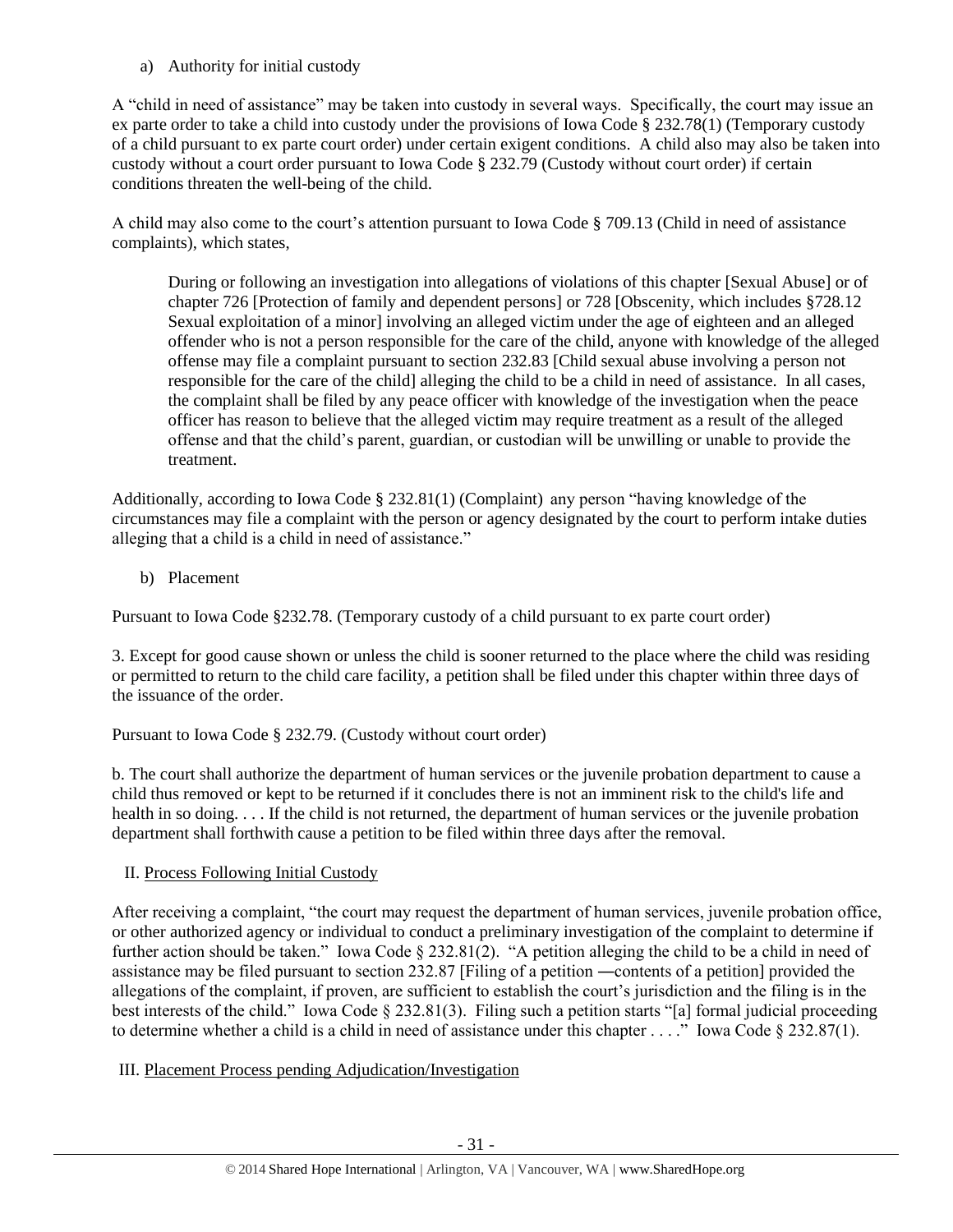a) Authority for initial custody

A "child in need of assistance" may be taken into custody in several ways. Specifically, the court may issue an ex parte order to take a child into custody under the provisions of Iowa Code § 232.78(1) (Temporary custody of a child pursuant to ex parte court order) under certain exigent conditions. A child also may also be taken into custody without a court order pursuant to Iowa Code § 232.79 (Custody without court order) if certain conditions threaten the well-being of the child.

A child may also come to the court's attention pursuant to Iowa Code § 709.13 (Child in need of assistance complaints), which states,

During or following an investigation into allegations of violations of this chapter [Sexual Abuse] or of chapter 726 [Protection of family and dependent persons] or 728 [Obscenity, which includes §728.12 Sexual exploitation of a minor] involving an alleged victim under the age of eighteen and an alleged offender who is not a person responsible for the care of the child, anyone with knowledge of the alleged offense may file a complaint pursuant to section 232.83 [Child sexual abuse involving a person not responsible for the care of the child] alleging the child to be a child in need of assistance. In all cases, the complaint shall be filed by any peace officer with knowledge of the investigation when the peace officer has reason to believe that the alleged victim may require treatment as a result of the alleged offense and that the child's parent, guardian, or custodian will be unwilling or unable to provide the treatment.

Additionally, according to Iowa Code § 232.81(1) (Complaint) any person "having knowledge of the circumstances may file a complaint with the person or agency designated by the court to perform intake duties alleging that a child is a child in need of assistance."

b) Placement

Pursuant to Iowa Code §232.78. (Temporary custody of a child pursuant to ex parte court order)

3. Except for good cause shown or unless the child is sooner returned to the place where the child was residing or permitted to return to the child care facility, a petition shall be filed under this chapter within three days of the issuance of the order.

Pursuant to Iowa Code § 232.79. (Custody without court order)

b. The court shall authorize the department of human services or the juvenile probation department to cause a child thus removed or kept to be returned if it concludes there is not an imminent risk to the child's life and health in so doing. . . . If the child is not returned, the department of human services or the juvenile probation department shall forthwith cause a petition to be filed within three days after the removal.

II. Process Following Initial Custody

After receiving a complaint, "the court may request the department of human services, juvenile probation office, or other authorized agency or individual to conduct a preliminary investigation of the complaint to determine if further action should be taken." Iowa Code § 232.81(2). "A petition alleging the child to be a child in need of assistance may be filed pursuant to section 232.87 [Filing of a petition ―contents of a petition] provided the allegations of the complaint, if proven, are sufficient to establish the court's jurisdiction and the filing is in the best interests of the child." Iowa Code § 232.81(3). Filing such a petition starts "[a] formal judicial proceeding to determine whether a child is a child in need of assistance under this chapter . . . ." Iowa Code § 232.87(1).

# III. Placement Process pending Adjudication/Investigation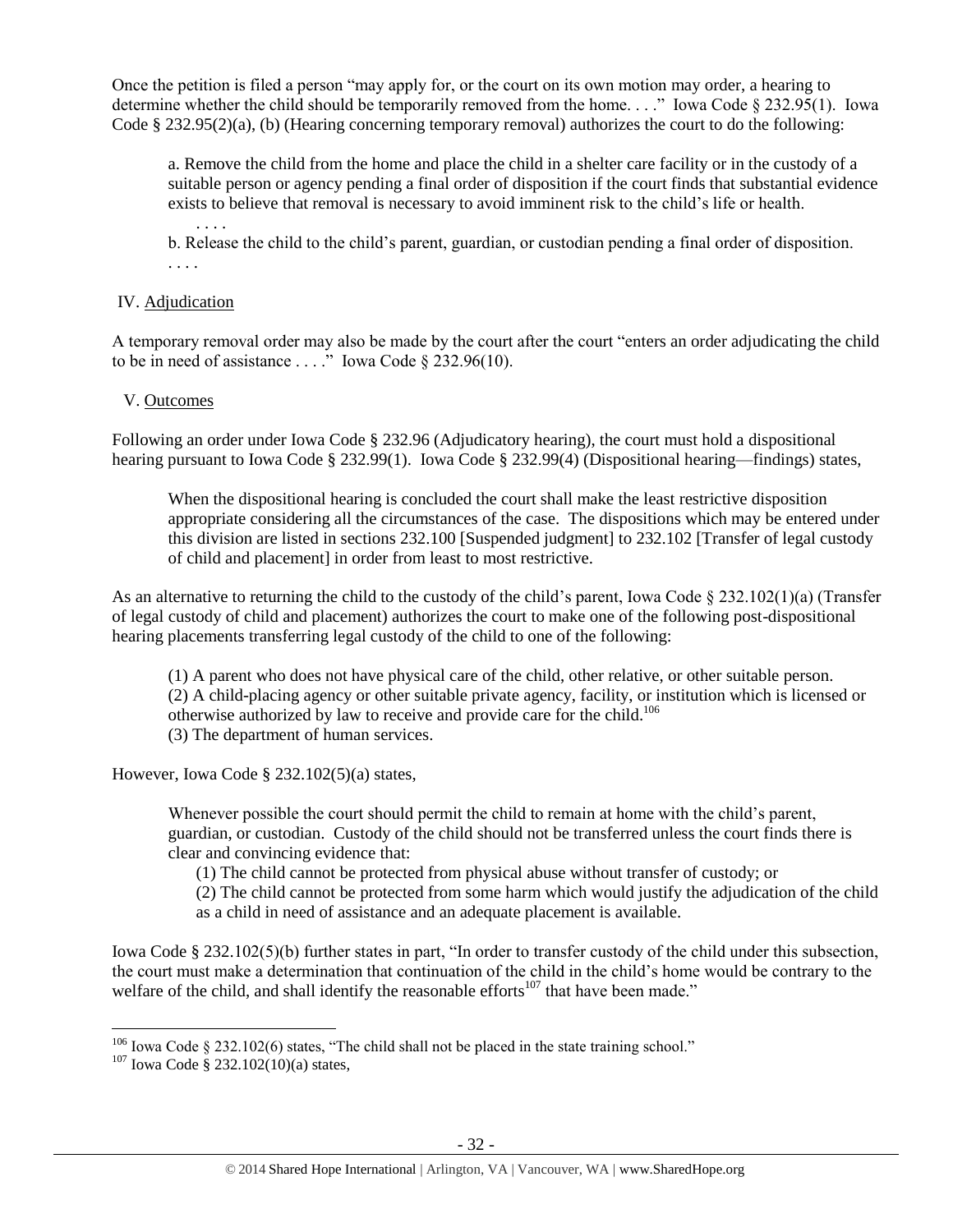Once the petition is filed a person "may apply for, or the court on its own motion may order, a hearing to determine whether the child should be temporarily removed from the home. . . ." Iowa Code § 232.95(1). Iowa Code § 232.95(2)(a), (b) (Hearing concerning temporary removal) authorizes the court to do the following:

a. Remove the child from the home and place the child in a shelter care facility or in the custody of a suitable person or agency pending a final order of disposition if the court finds that substantial evidence exists to believe that removal is necessary to avoid imminent risk to the child's life or health.

. . . . b. Release the child to the child's parent, guardian, or custodian pending a final order of disposition. . . . .

#### IV. Adjudication

A temporary removal order may also be made by the court after the court "enters an order adjudicating the child to be in need of assistance  $\ldots$  ." Iowa Code § 232.96(10).

#### V. Outcomes

Following an order under Iowa Code § 232.96 (Adjudicatory hearing), the court must hold a dispositional hearing pursuant to Iowa Code § 232.99(1). Iowa Code § 232.99(4) (Dispositional hearing—findings) states,

When the dispositional hearing is concluded the court shall make the least restrictive disposition appropriate considering all the circumstances of the case. The dispositions which may be entered under this division are listed in sections 232.100 [Suspended judgment] to 232.102 [Transfer of legal custody of child and placement] in order from least to most restrictive.

As an alternative to returning the child to the custody of the child's parent, Iowa Code  $\S 232.102(1)(a)$  (Transfer of legal custody of child and placement) authorizes the court to make one of the following post-dispositional hearing placements transferring legal custody of the child to one of the following:

(1) A parent who does not have physical care of the child, other relative, or other suitable person. (2) A child-placing agency or other suitable private agency, facility, or institution which is licensed or otherwise authorized by law to receive and provide care for the child.<sup>106</sup> (3) The department of human services.

However, Iowa Code § 232.102(5)(a) states,

Whenever possible the court should permit the child to remain at home with the child's parent, guardian, or custodian. Custody of the child should not be transferred unless the court finds there is clear and convincing evidence that:

(1) The child cannot be protected from physical abuse without transfer of custody; or

(2) The child cannot be protected from some harm which would justify the adjudication of the child as a child in need of assistance and an adequate placement is available.

Iowa Code § 232.102(5)(b) further states in part, "In order to transfer custody of the child under this subsection, the court must make a determination that continuation of the child in the child's home would be contrary to the welfare of the child, and shall identify the reasonable efforts<sup>107</sup> that have been made."

 $106$  Iowa Code § 232.102(6) states, "The child shall not be placed in the state training school."

 $107$  Iowa Code § 232.102(10)(a) states,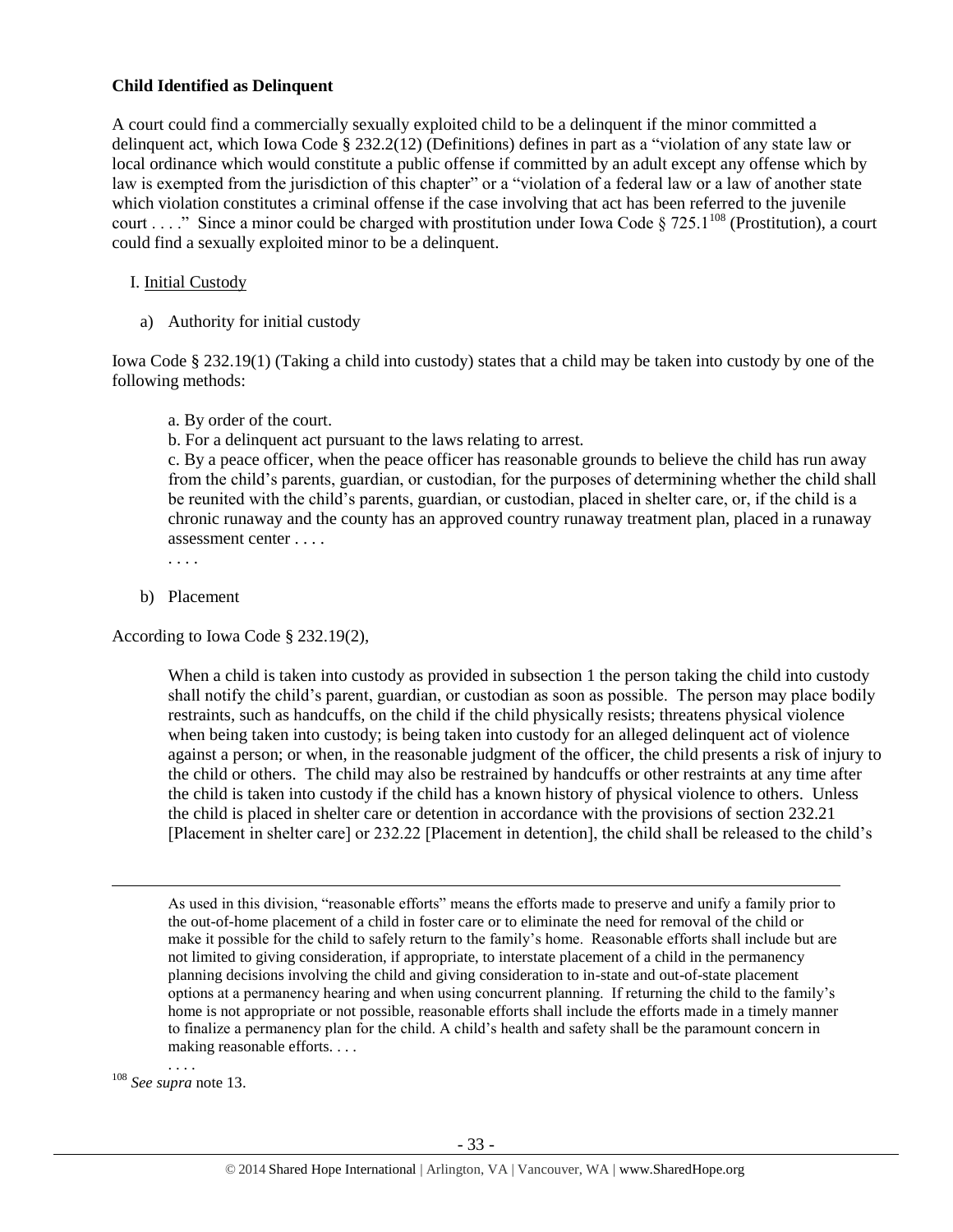#### **Child Identified as Delinquent**

A court could find a commercially sexually exploited child to be a delinquent if the minor committed a delinquent act, which Iowa Code § 232.2(12) (Definitions) defines in part as a "violation of any state law or local ordinance which would constitute a public offense if committed by an adult except any offense which by law is exempted from the jurisdiction of this chapter" or a "violation of a federal law or a law of another state which violation constitutes a criminal offense if the case involving that act has been referred to the juvenile court . . . ." Since a minor could be charged with prostitution under Iowa Code § 725.1<sup>108</sup> (Prostitution), a court could find a sexually exploited minor to be a delinquent.

#### I. Initial Custody

a) Authority for initial custody

Iowa Code § 232.19(1) (Taking a child into custody) states that a child may be taken into custody by one of the following methods:

a. By order of the court.

b. For a delinquent act pursuant to the laws relating to arrest.

c. By a peace officer, when the peace officer has reasonable grounds to believe the child has run away from the child's parents, guardian, or custodian, for the purposes of determining whether the child shall be reunited with the child's parents, guardian, or custodian, placed in shelter care, or, if the child is a chronic runaway and the county has an approved country runaway treatment plan, placed in a runaway assessment center . . . .

. . . .

b) Placement

According to Iowa Code § 232.19(2),

When a child is taken into custody as provided in subsection 1 the person taking the child into custody shall notify the child's parent, guardian, or custodian as soon as possible. The person may place bodily restraints, such as handcuffs, on the child if the child physically resists; threatens physical violence when being taken into custody; is being taken into custody for an alleged delinquent act of violence against a person; or when, in the reasonable judgment of the officer, the child presents a risk of injury to the child or others. The child may also be restrained by handcuffs or other restraints at any time after the child is taken into custody if the child has a known history of physical violence to others. Unless the child is placed in shelter care or detention in accordance with the provisions of section 232.21 [Placement in shelter care] or 232.22 [Placement in detention], the child shall be released to the child's

As used in this division, "reasonable efforts" means the efforts made to preserve and unify a family prior to the out-of-home placement of a child in foster care or to eliminate the need for removal of the child or make it possible for the child to safely return to the family's home. Reasonable efforts shall include but are not limited to giving consideration, if appropriate, to interstate placement of a child in the permanency planning decisions involving the child and giving consideration to in-state and out-of-state placement options at a permanency hearing and when using concurrent planning. If returning the child to the family's home is not appropriate or not possible, reasonable efforts shall include the efforts made in a timely manner to finalize a permanency plan for the child. A child's health and safety shall be the paramount concern in making reasonable efforts. . . .

. . . . <sup>108</sup> *See supra* not[e 13.](#page-4-1)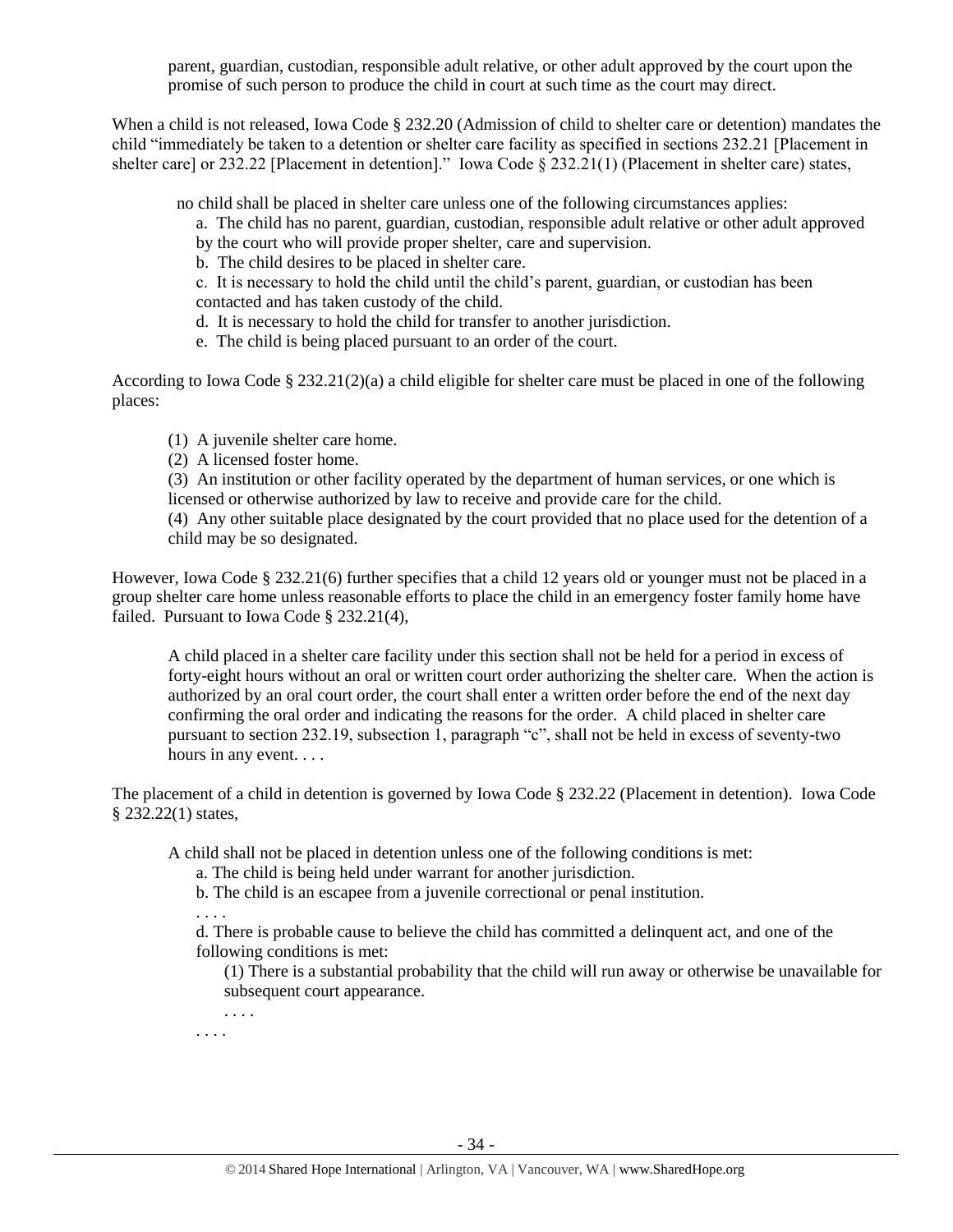parent, guardian, custodian, responsible adult relative, or other adult approved by the court upon the promise of such person to produce the child in court at such time as the court may direct.

When a child is not released, Iowa Code § 232.20 (Admission of child to shelter care or detention) mandates the child "immediately be taken to a detention or shelter care facility as specified in sections 232.21 [Placement in shelter care] or 232.22 [Placement in detention]." Iowa Code § 232.21(1) (Placement in shelter care) states,

no child shall be placed in shelter care unless one of the following circumstances applies:

- a. The child has no parent, guardian, custodian, responsible adult relative or other adult approved
- by the court who will provide proper shelter, care and supervision.
- b. The child desires to be placed in shelter care.
- c. It is necessary to hold the child until the child's parent, guardian, or custodian has been contacted and has taken custody of the child.
- d. It is necessary to hold the child for transfer to another jurisdiction.
- e. The child is being placed pursuant to an order of the court.

According to Iowa Code § 232.21(2)(a) a child eligible for shelter care must be placed in one of the following places:

- (1) A juvenile shelter care home.
- (2) A licensed foster home.

(3) An institution or other facility operated by the department of human services, or one which is licensed or otherwise authorized by law to receive and provide care for the child.

(4) Any other suitable place designated by the court provided that no place used for the detention of a child may be so designated.

However, Iowa Code § 232.21(6) further specifies that a child 12 years old or younger must not be placed in a group shelter care home unless reasonable efforts to place the child in an emergency foster family home have failed. Pursuant to Iowa Code § 232.21(4),

A child placed in a shelter care facility under this section shall not be held for a period in excess of forty-eight hours without an oral or written court order authorizing the shelter care. When the action is authorized by an oral court order, the court shall enter a written order before the end of the next day confirming the oral order and indicating the reasons for the order. A child placed in shelter care pursuant to section 232.19, subsection 1, paragraph "c", shall not be held in excess of seventy-two hours in any event. . . .

The placement of a child in detention is governed by Iowa Code § 232.22 (Placement in detention). Iowa Code § 232.22(1) states,

A child shall not be placed in detention unless one of the following conditions is met:

- a. The child is being held under warrant for another jurisdiction.
- b. The child is an escapee from a juvenile correctional or penal institution.
- . . . .
- d. There is probable cause to believe the child has committed a delinquent act, and one of the following conditions is met:
	- (1) There is a substantial probability that the child will run away or otherwise be unavailable for subsequent court appearance.
	- . . . .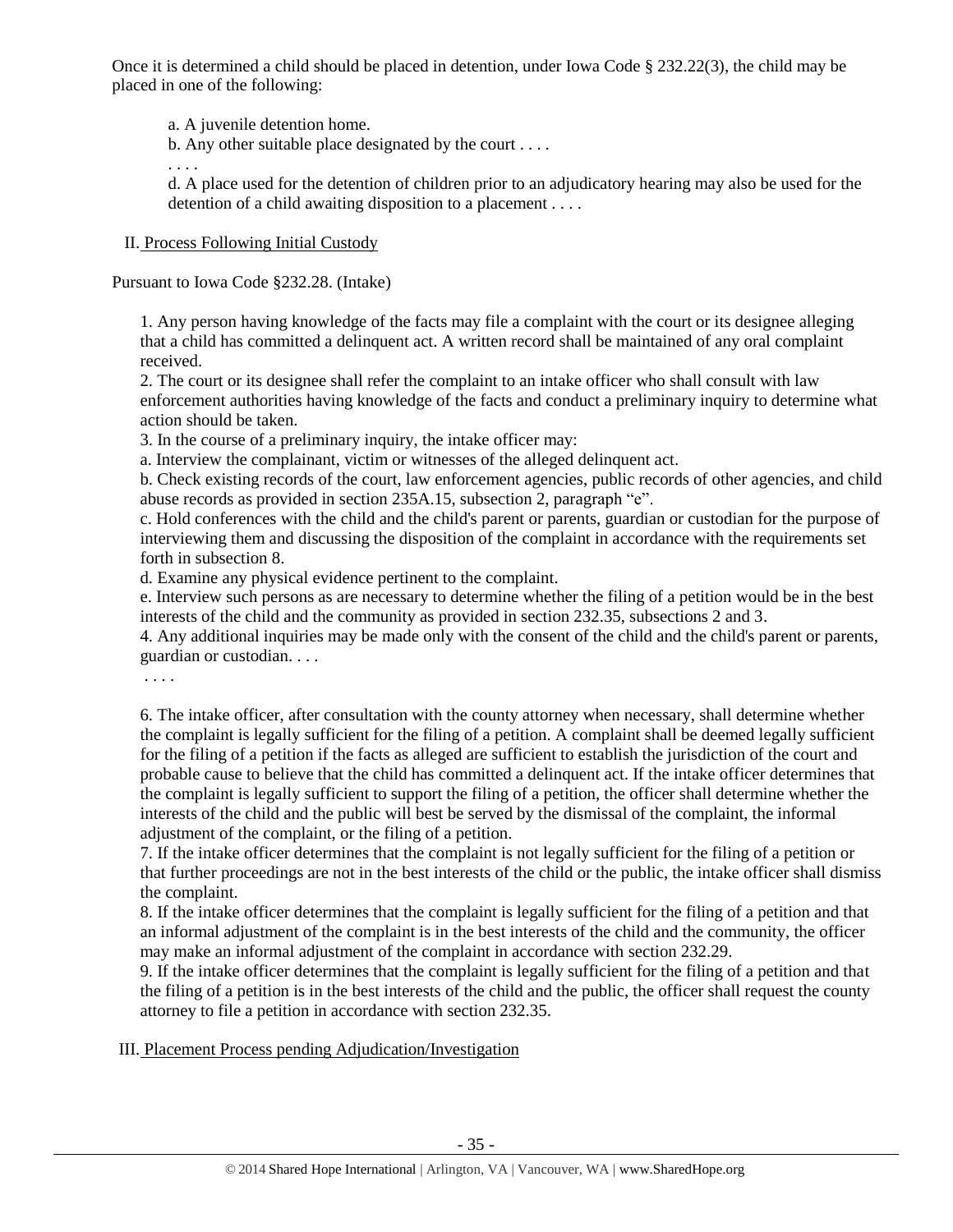Once it is determined a child should be placed in detention, under Iowa Code § 232.22(3), the child may be placed in one of the following:

a. A juvenile detention home.

b. Any other suitable place designated by the court . . . .

d. A place used for the detention of children prior to an adjudicatory hearing may also be used for the detention of a child awaiting disposition to a placement . . . .

# II. Process Following Initial Custody

. . . .

Pursuant to Iowa Code §232.28. (Intake)

1. Any person having knowledge of the facts may file a complaint with the court or its designee alleging that a child has committed a delinquent act. A written record shall be maintained of any oral complaint received.

2. The court or its designee shall refer the complaint to an intake officer who shall consult with law enforcement authorities having knowledge of the facts and conduct a preliminary inquiry to determine what action should be taken.

3. In the course of a preliminary inquiry, the intake officer may:

a. Interview the complainant, victim or witnesses of the alleged delinquent act.

b. Check existing records of the court, law enforcement agencies, public records of other agencies, and child abuse records as provided in section 235A.15, subsection 2, paragraph "e".

c. Hold conferences with the child and the child's parent or parents, guardian or custodian for the purpose of interviewing them and discussing the disposition of the complaint in accordance with the requirements set forth in subsection 8.

d. Examine any physical evidence pertinent to the complaint.

e. Interview such persons as are necessary to determine whether the filing of a petition would be in the best interests of the child and the community as provided in section 232.35, subsections 2 and 3.

4. Any additional inquiries may be made only with the consent of the child and the child's parent or parents, guardian or custodian. . . .

. . . .

6. The intake officer, after consultation with the county attorney when necessary, shall determine whether the complaint is legally sufficient for the filing of a petition. A complaint shall be deemed legally sufficient for the filing of a petition if the facts as alleged are sufficient to establish the jurisdiction of the court and probable cause to believe that the child has committed a delinquent act. If the intake officer determines that the complaint is legally sufficient to support the filing of a petition, the officer shall determine whether the interests of the child and the public will best be served by the dismissal of the complaint, the informal adjustment of the complaint, or the filing of a petition.

7. If the intake officer determines that the complaint is not legally sufficient for the filing of a petition or that further proceedings are not in the best interests of the child or the public, the intake officer shall dismiss the complaint.

8. If the intake officer determines that the complaint is legally sufficient for the filing of a petition and that an informal adjustment of the complaint is in the best interests of the child and the community, the officer may make an informal adjustment of the complaint in accordance with [section 232.29.](https://1.next.westlaw.com/Link/Document/FullText?findType=L&pubNum=1000256&cite=IASTS232.29&originatingDoc=N88D264A0C73511E2B88BBA4867CBAEFF&refType=LQ&originationContext=document&transitionType=DocumentItem&contextData=(sc.Category))

9. If the intake officer determines that the complaint is legally sufficient for the filing of a petition and that the filing of a petition is in the best interests of the child and the public, the officer shall request the county attorney to file a petition in accordance with [section 232.35.](https://1.next.westlaw.com/Link/Document/FullText?findType=L&pubNum=1000256&cite=IASTS232.35&originatingDoc=N88D264A0C73511E2B88BBA4867CBAEFF&refType=LQ&originationContext=document&transitionType=DocumentItem&contextData=(sc.Category))

# III. Placement Process pending Adjudication/Investigation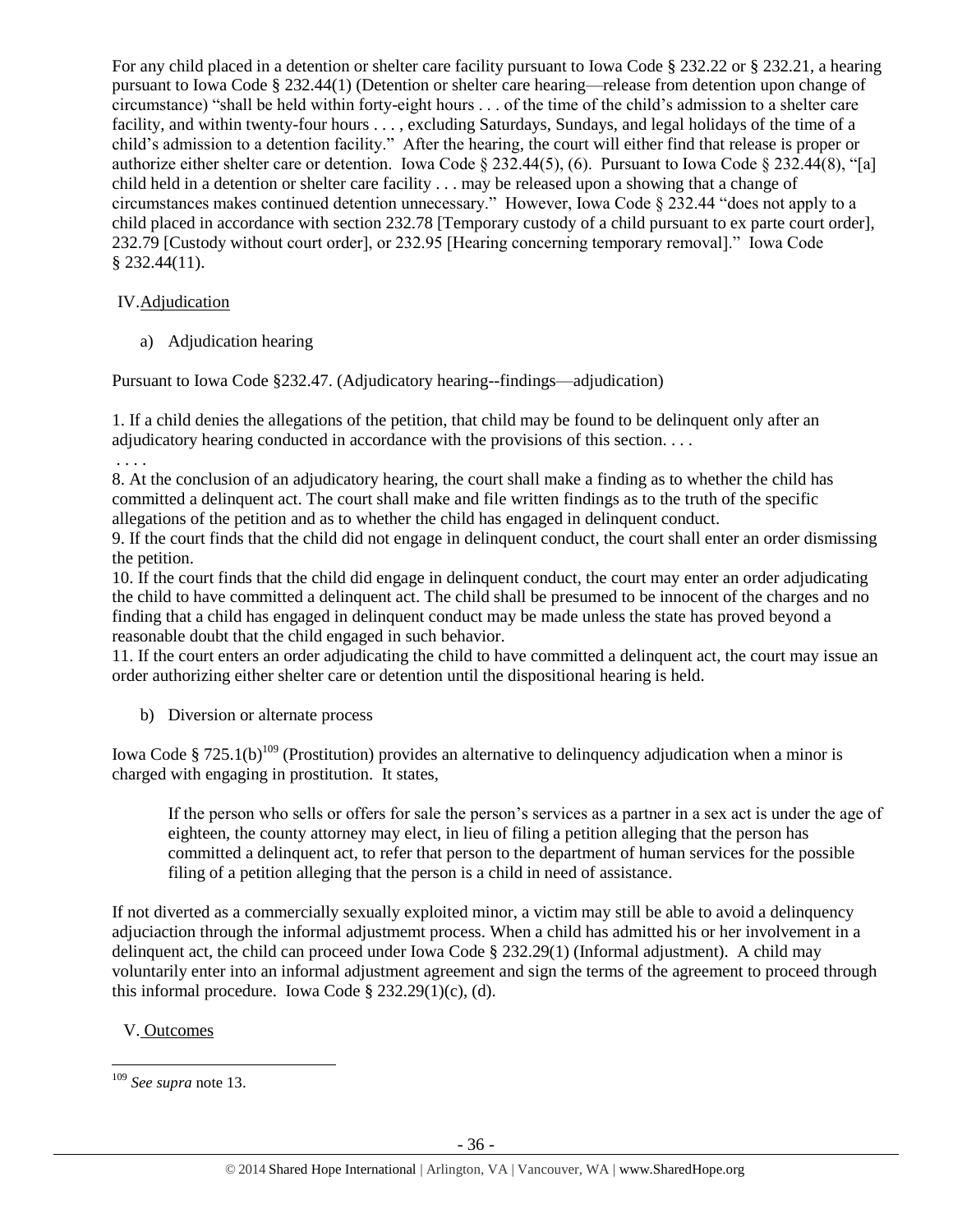For any child placed in a detention or shelter care facility pursuant to Iowa Code § 232.22 or § 232.21, a hearing pursuant to Iowa Code § 232.44(1) (Detention or shelter care hearing—release from detention upon change of circumstance) "shall be held within forty-eight hours . . . of the time of the child's admission to a shelter care facility, and within twenty-four hours . . . , excluding Saturdays, Sundays, and legal holidays of the time of a child's admission to a detention facility." After the hearing, the court will either find that release is proper or authorize either shelter care or detention. Iowa Code § 232.44(5), (6). Pursuant to Iowa Code § 232.44(8), "[a] child held in a detention or shelter care facility . . . may be released upon a showing that a change of circumstances makes continued detention unnecessary." However, Iowa Code § 232.44 "does not apply to a child placed in accordance with section 232.78 [Temporary custody of a child pursuant to ex parte court order], 232.79 [Custody without court order], or 232.95 [Hearing concerning temporary removal]." Iowa Code § 232.44(11).

# IV.Adjudication

a) Adjudication hearing

Pursuant to Iowa Code §232.47. (Adjudicatory hearing--findings—adjudication)

1. If a child denies the allegations of the petition, that child may be found to be delinquent only after an adjudicatory hearing conducted in accordance with the provisions of this section. . . .

. . . .

8. At the conclusion of an adjudicatory hearing, the court shall make a finding as to whether the child has committed a delinquent act. The court shall make and file written findings as to the truth of the specific allegations of the petition and as to whether the child has engaged in delinquent conduct.

9. If the court finds that the child did not engage in delinquent conduct, the court shall enter an order dismissing the petition.

10. If the court finds that the child did engage in delinquent conduct, the court may enter an order adjudicating the child to have committed a delinquent act. The child shall be presumed to be innocent of the charges and no finding that a child has engaged in delinquent conduct may be made unless the state has proved beyond a reasonable doubt that the child engaged in such behavior.

11. If the court enters an order adjudicating the child to have committed a delinquent act, the court may issue an order authorizing either shelter care or detention until the dispositional hearing is held.

b) Diversion or alternate process

Iowa Code § 725.1(b)<sup>109</sup> (Prostitution) provides an alternative to delinquency adjudication when a minor is charged with engaging in prostitution. It states,

If the person who sells or offers for sale the person's services as a partner in a sex act is under the age of eighteen, the county attorney may elect, in lieu of filing a petition alleging that the person has committed a delinquent act, to refer that person to the department of human services for the possible filing of a petition alleging that the person is a child in need of assistance.

If not diverted as a commercially sexually exploited minor, a victim may still be able to avoid a delinquency adjuciaction through the informal adjustmemt process. When a child has admitted his or her involvement in a delinquent act, the child can proceed under Iowa Code § 232.29(1) (Informal adjustment). A child may voluntarily enter into an informal adjustment agreement and sign the terms of the agreement to proceed through this informal procedure. Iowa Code  $\S 232.29(1)(c)$ , (d).

V. Outcomes

 $\overline{a}$ <sup>109</sup> *See supra* not[e 13.](#page-4-1)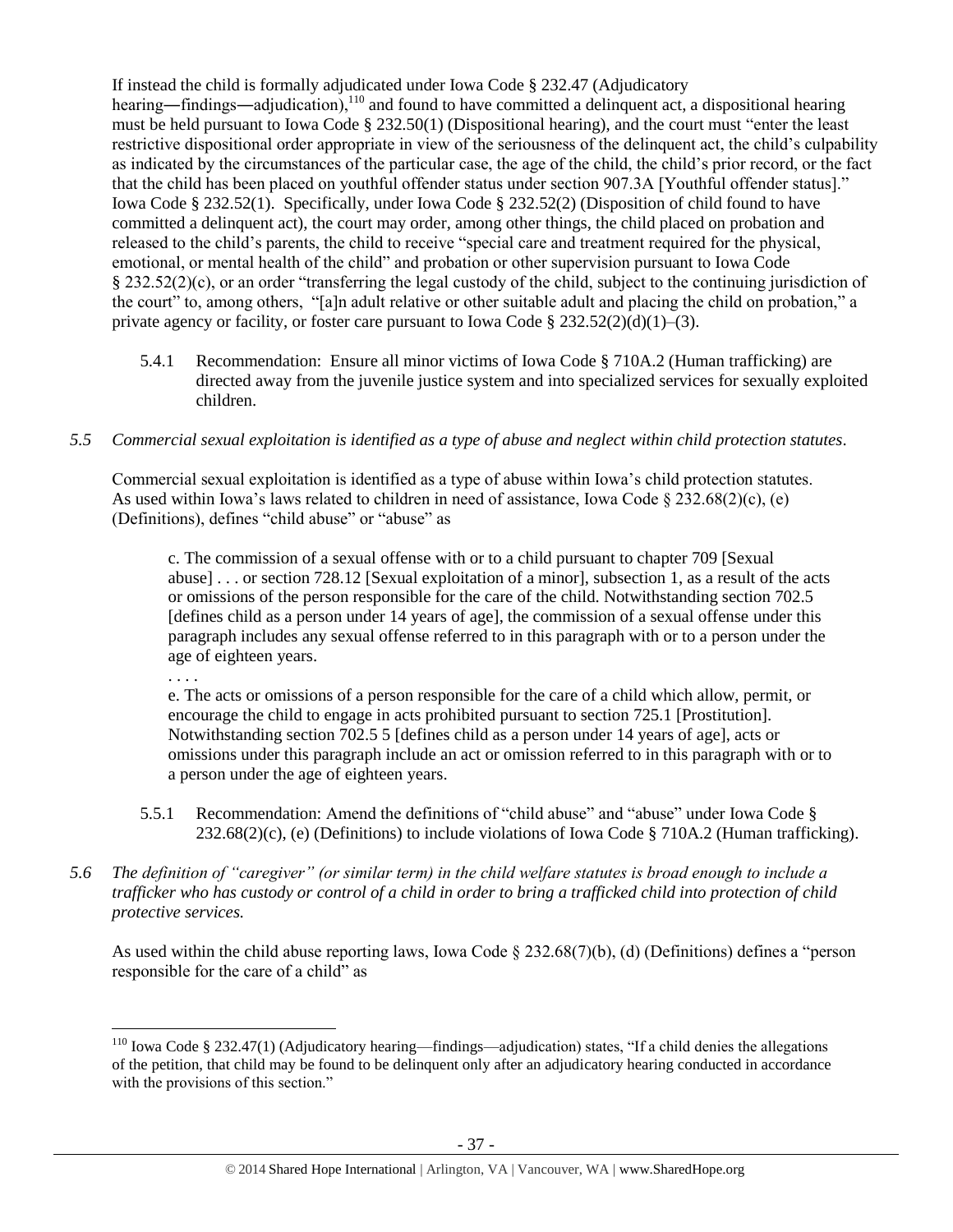If instead the child is formally adjudicated under Iowa Code § 232.47 (Adjudicatory hearing—findings—adjudication),<sup>110</sup> and found to have committed a delinquent act, a dispositional hearing must be held pursuant to Iowa Code § 232.50(1) (Dispositional hearing), and the court must "enter the least restrictive dispositional order appropriate in view of the seriousness of the delinquent act, the child's culpability as indicated by the circumstances of the particular case, the age of the child, the child's prior record, or the fact that the child has been placed on youthful offender status under section 907.3A [Youthful offender status]." Iowa Code § 232.52(1). Specifically, under Iowa Code § 232.52(2) (Disposition of child found to have committed a delinquent act), the court may order, among other things, the child placed on probation and released to the child's parents, the child to receive "special care and treatment required for the physical, emotional, or mental health of the child" and probation or other supervision pursuant to Iowa Code § 232.52(2)(c), or an order "transferring the legal custody of the child, subject to the continuing jurisdiction of the court" to, among others, "[a]n adult relative or other suitable adult and placing the child on probation," a private agency or facility, or foster care pursuant to Iowa Code  $\S 232.52(2)(d)(1)–(3)$ .

- 5.4.1 Recommendation: Ensure all minor victims of Iowa Code § 710A.2 (Human trafficking) are directed away from the juvenile justice system and into specialized services for sexually exploited children.
- *5.5 Commercial sexual exploitation is identified as a type of abuse and neglect within child protection statutes.*

Commercial sexual exploitation is identified as a type of abuse within Iowa's child protection statutes. As used within Iowa's laws related to children in need of assistance, Iowa Code  $\S 232.68(2)(c)$ , (e) (Definitions), defines "child abuse" or "abuse" as

c. The commission of a sexual offense with or to a child pursuant to chapter 709 [Sexual abuse] . . . or section 728.12 [Sexual exploitation of a minor], subsection 1, as a result of the acts or omissions of the person responsible for the care of the child. Notwithstanding section 702.5 [defines child as a person under 14 years of age], the commission of a sexual offense under this paragraph includes any sexual offense referred to in this paragraph with or to a person under the age of eighteen years.

. . . .

e. The acts or omissions of a person responsible for the care of a child which allow, permit, or encourage the child to engage in acts prohibited pursuant to section 725.1 [Prostitution]. Notwithstanding section 702.5 5 [defines child as a person under 14 years of age], acts or omissions under this paragraph include an act or omission referred to in this paragraph with or to a person under the age of eighteen years.

- 5.5.1 Recommendation: Amend the definitions of "child abuse" and "abuse" under Iowa Code §  $232.68(2)$ (c), (e) (Definitions) to include violations of Iowa Code § 710A.2 (Human trafficking).
- *5.6 The definition of "caregiver" (or similar term) in the child welfare statutes is broad enough to include a trafficker who has custody or control of a child in order to bring a trafficked child into protection of child protective services.*

As used within the child abuse reporting laws, Iowa Code § 232.68(7)(b), (d) (Definitions) defines a "person responsible for the care of a child" as

 $\overline{a}$ <sup>110</sup> Iowa Code § 232.47(1) (Adjudicatory hearing—findings—adjudication) states, "If a child denies the allegations of the petition, that child may be found to be delinquent only after an adjudicatory hearing conducted in accordance with the provisions of this section."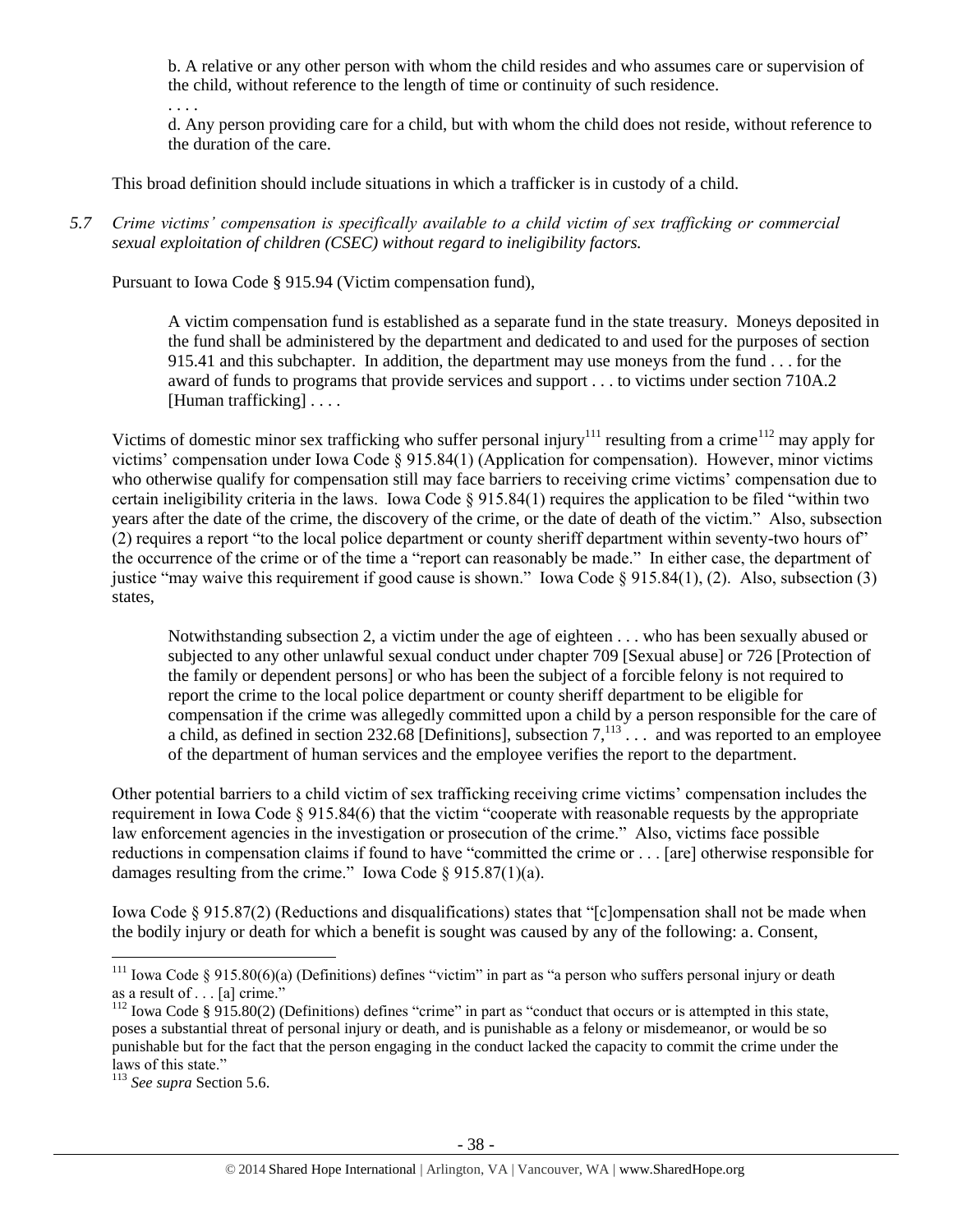b. A relative or any other person with whom the child resides and who assumes care or supervision of the child, without reference to the length of time or continuity of such residence.

d. Any person providing care for a child, but with whom the child does not reside, without reference to the duration of the care.

This broad definition should include situations in which a trafficker is in custody of a child.

*5.7 Crime victims' compensation is specifically available to a child victim of sex trafficking or commercial sexual exploitation of children (CSEC) without regard to ineligibility factors.*

Pursuant to Iowa Code § 915.94 (Victim compensation fund),

. . . .

A victim compensation fund is established as a separate fund in the state treasury. Moneys deposited in the fund shall be administered by the department and dedicated to and used for the purposes of section 915.41 and this subchapter. In addition, the department may use moneys from the fund . . . for the award of funds to programs that provide services and support . . . to victims under section 710A.2 [Human trafficking] ....

Victims of domestic minor sex trafficking who suffer personal injury<sup>111</sup> resulting from a crime<sup>112</sup> may apply for victims' compensation under Iowa Code § 915.84(1) (Application for compensation). However, minor victims who otherwise qualify for compensation still may face barriers to receiving crime victims' compensation due to certain ineligibility criteria in the laws. Iowa Code § 915.84(1) requires the application to be filed "within two years after the date of the crime, the discovery of the crime, or the date of death of the victim." Also, subsection (2) requires a report "to the local police department or county sheriff department within seventy-two hours of" the occurrence of the crime or of the time a "report can reasonably be made." In either case, the department of justice "may waive this requirement if good cause is shown." Iowa Code § 915.84(1), (2). Also, subsection (3) states,

Notwithstanding subsection 2, a victim under the age of eighteen . . . who has been sexually abused or subjected to any other unlawful sexual conduct under chapter 709 [Sexual abuse] or 726 [Protection of the family or dependent persons] or who has been the subject of a forcible felony is not required to report the crime to the local police department or county sheriff department to be eligible for compensation if the crime was allegedly committed upon a child by a person responsible for the care of a child, as defined in section 232.68 [Definitions], subsection  $7^{113}$ ... and was reported to an employee of the department of human services and the employee verifies the report to the department.

Other potential barriers to a child victim of sex trafficking receiving crime victims' compensation includes the requirement in Iowa Code § 915.84(6) that the victim "cooperate with reasonable requests by the appropriate law enforcement agencies in the investigation or prosecution of the crime." Also, victims face possible reductions in compensation claims if found to have "committed the crime or . . . [are] otherwise responsible for damages resulting from the crime." Iowa Code § 915.87(1)(a).

Iowa Code § 915.87(2) (Reductions and disqualifications) states that "[c]ompensation shall not be made when the bodily injury or death for which a benefit is sought was caused by any of the following: a. Consent,

<sup>&</sup>lt;sup>111</sup> Iowa Code § 915.80(6)(a) (Definitions) defines "victim" in part as "a person who suffers personal injury or death as a result of . . . [a] crime."

 $112$  Iowa Code § 915.80(2) (Definitions) defines "crime" in part as "conduct that occurs or is attempted in this state, poses a substantial threat of personal injury or death, and is punishable as a felony or misdemeanor, or would be so punishable but for the fact that the person engaging in the conduct lacked the capacity to commit the crime under the laws of this state."

<sup>113</sup> *See supra* Section 5.6.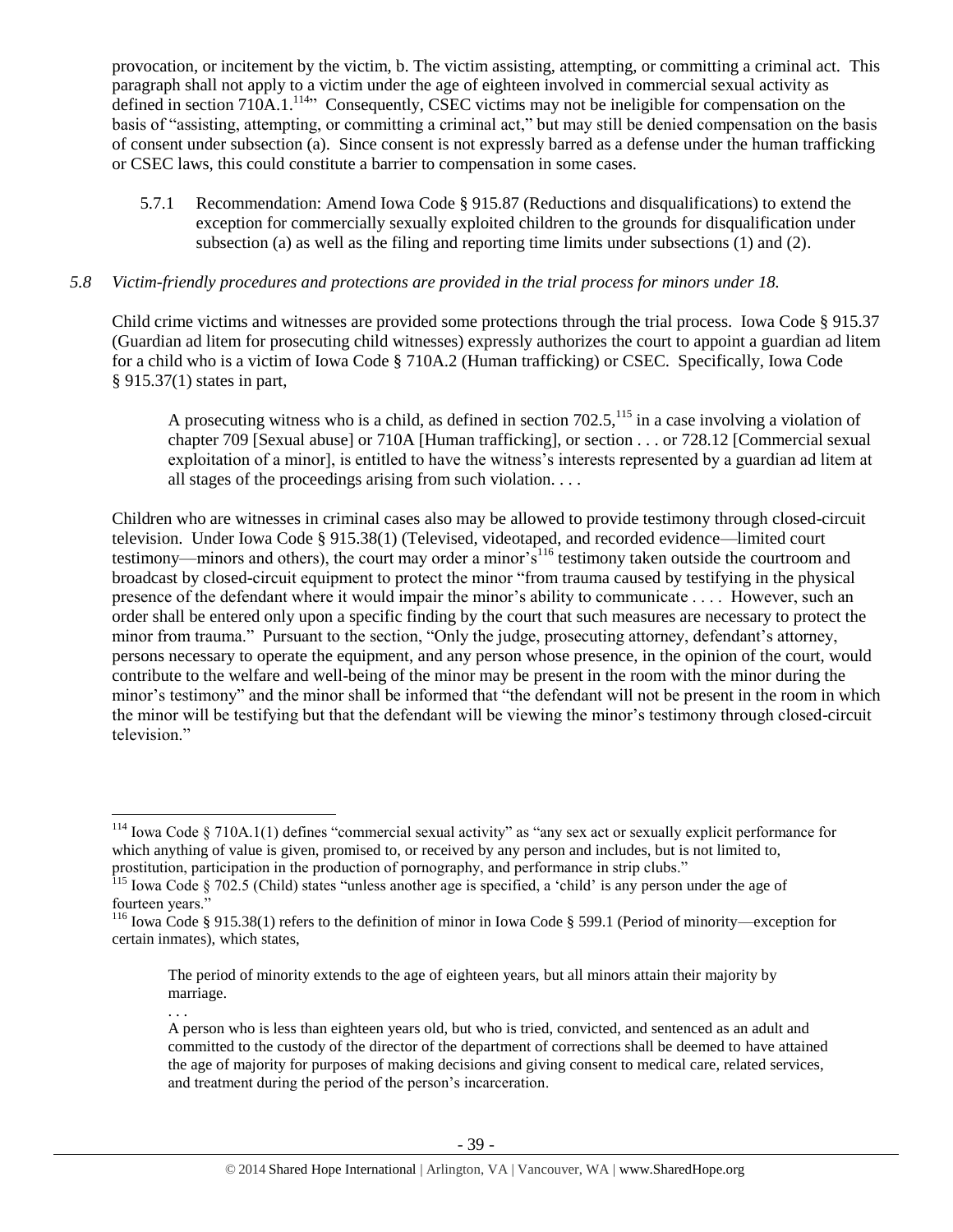provocation, or incitement by the victim, b. The victim assisting, attempting, or committing a criminal act. This paragraph shall not apply to a victim under the age of eighteen involved in commercial sexual activity as defined in section 710A.1.<sup>114</sup><sup>1</sup> Consequently, CSEC victims may not be ineligible for compensation on the basis of "assisting, attempting, or committing a criminal act," but may still be denied compensation on the basis of consent under subsection (a). Since consent is not expressly barred as a defense under the human trafficking or CSEC laws, this could constitute a barrier to compensation in some cases.

5.7.1 Recommendation: Amend Iowa Code § 915.87 (Reductions and disqualifications) to extend the exception for commercially sexually exploited children to the grounds for disqualification under subsection (a) as well as the filing and reporting time limits under subsections (1) and (2).

# *5.8 Victim-friendly procedures and protections are provided in the trial process for minors under 18.*

Child crime victims and witnesses are provided some protections through the trial process. Iowa Code § 915.37 (Guardian ad litem for prosecuting child witnesses) expressly authorizes the court to appoint a guardian ad litem for a child who is a victim of Iowa Code § 710A.2 (Human trafficking) or CSEC. Specifically, Iowa Code § 915.37(1) states in part,

A prosecuting witness who is a child, as defined in section  $702.5$ ,  $^{115}$  in a case involving a violation of chapter 709 [Sexual abuse] or 710A [Human trafficking], or section . . . or 728.12 [Commercial sexual exploitation of a minor], is entitled to have the witness's interests represented by a guardian ad litem at all stages of the proceedings arising from such violation. . . .

Children who are witnesses in criminal cases also may be allowed to provide testimony through closed-circuit television. Under Iowa Code § 915.38(1) (Televised, videotaped, and recorded evidence—limited court testimony—minors and others), the court may order a minor  $\hat{s}^{116}$  testimony taken outside the courtroom and broadcast by closed-circuit equipment to protect the minor "from trauma caused by testifying in the physical presence of the defendant where it would impair the minor's ability to communicate . . . . However, such an order shall be entered only upon a specific finding by the court that such measures are necessary to protect the minor from trauma." Pursuant to the section, "Only the judge, prosecuting attorney, defendant's attorney, persons necessary to operate the equipment, and any person whose presence, in the opinion of the court, would contribute to the welfare and well-being of the minor may be present in the room with the minor during the minor's testimony" and the minor shall be informed that "the defendant will not be present in the room in which the minor will be testifying but that the defendant will be viewing the minor's testimony through closed-circuit television."

 $\overline{a}$ 

. . .

 $114$  Iowa Code § 710A.1(1) defines "commercial sexual activity" as "any sex act or sexually explicit performance for which anything of value is given, promised to, or received by any person and includes, but is not limited to, prostitution, participation in the production of pornography, and performance in strip clubs."

<sup>115</sup> Iowa Code § 702.5 (Child) states "unless another age is specified, a 'child' is any person under the age of fourteen years.'

<sup>116</sup> Iowa Code § 915.38(1) refers to the definition of minor in Iowa Code § 599.1 (Period of minority—exception for certain inmates), which states,

The period of minority extends to the age of eighteen years, but all minors attain their majority by marriage.

A person who is less than eighteen years old, but who is tried, convicted, and sentenced as an adult and committed to the custody of the director of the department of corrections shall be deemed to have attained the age of majority for purposes of making decisions and giving consent to medical care, related services, and treatment during the period of the person's incarceration.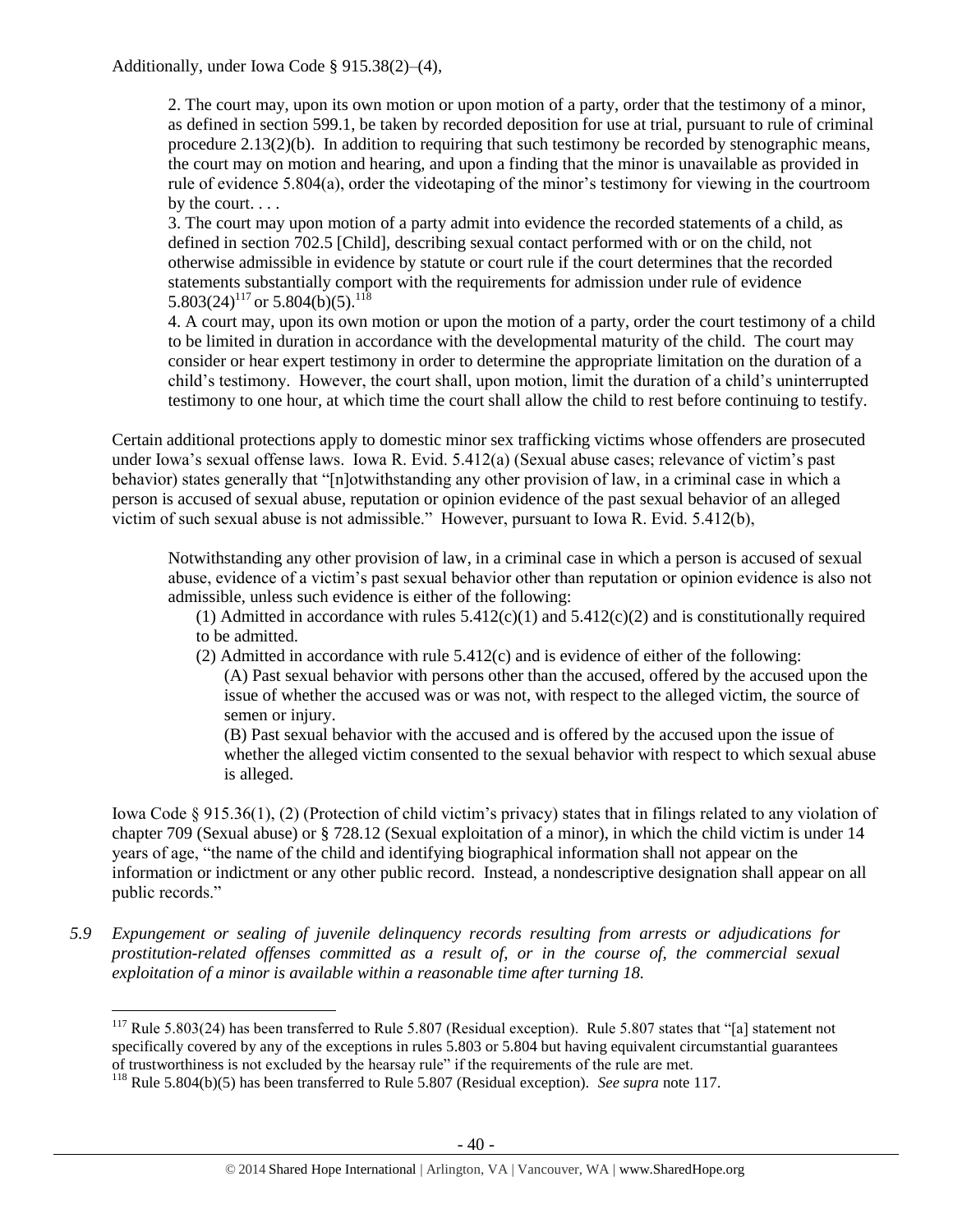## Additionally, under Iowa Code § 915.38(2)–(4),

2. The court may, upon its own motion or upon motion of a party, order that the testimony of a minor, as defined in section 599.1, be taken by recorded deposition for use at trial, pursuant to rule of criminal procedure 2.13(2)(b). In addition to requiring that such testimony be recorded by stenographic means, the court may on motion and hearing, and upon a finding that the minor is unavailable as provided in rule of evidence 5.804(a), order the videotaping of the minor's testimony for viewing in the courtroom by the court. . . .

3. The court may upon motion of a party admit into evidence the recorded statements of a child, as defined in section 702.5 [Child], describing sexual contact performed with or on the child, not otherwise admissible in evidence by statute or court rule if the court determines that the recorded statements substantially comport with the requirements for admission under rule of evidence 5.803(24)<sup>117</sup> or 5.804(b)(5).<sup>118</sup>

<span id="page-39-0"></span>4. A court may, upon its own motion or upon the motion of a party, order the court testimony of a child to be limited in duration in accordance with the developmental maturity of the child. The court may consider or hear expert testimony in order to determine the appropriate limitation on the duration of a child's testimony. However, the court shall, upon motion, limit the duration of a child's uninterrupted testimony to one hour, at which time the court shall allow the child to rest before continuing to testify.

Certain additional protections apply to domestic minor sex trafficking victims whose offenders are prosecuted under Iowa's sexual offense laws. Iowa R. Evid. 5.412(a) (Sexual abuse cases; relevance of victim's past behavior) states generally that "[n]otwithstanding any other provision of law, in a criminal case in which a person is accused of sexual abuse, reputation or opinion evidence of the past sexual behavior of an alleged victim of such sexual abuse is not admissible." However, pursuant to Iowa R. Evid. 5.412(b),

Notwithstanding any other provision of law, in a criminal case in which a person is accused of sexual abuse, evidence of a victim's past sexual behavior other than reputation or opinion evidence is also not admissible, unless such evidence is either of the following:

(1) Admitted in accordance with rules  $5.412(c)(1)$  and  $5.412(c)(2)$  and is constitutionally required to be admitted.

(2) Admitted in accordance with rule 5.412(c) and is evidence of either of the following: (A) Past sexual behavior with persons other than the accused, offered by the accused upon the issue of whether the accused was or was not, with respect to the alleged victim, the source of semen or injury.

(B) Past sexual behavior with the accused and is offered by the accused upon the issue of whether the alleged victim consented to the sexual behavior with respect to which sexual abuse is alleged.

Iowa Code § 915.36(1), (2) (Protection of child victim's privacy) states that in filings related to any violation of chapter 709 (Sexual abuse) or § 728.12 (Sexual exploitation of a minor), in which the child victim is under 14 years of age, "the name of the child and identifying biographical information shall not appear on the information or indictment or any other public record. Instead, a nondescriptive designation shall appear on all public records."

*5.9 Expungement or sealing of juvenile delinquency records resulting from arrests or adjudications for prostitution-related offenses committed as a result of, or in the course of, the commercial sexual exploitation of a minor is available within a reasonable time after turning 18.*

<sup>&</sup>lt;sup>117</sup> Rule 5.803(24) has been transferred to Rule 5.807 (Residual exception). Rule 5.807 states that "[a] statement not specifically covered by any of the exceptions in rules 5.803 or 5.804 but having equivalent circumstantial guarantees of trustworthiness is not excluded by the hearsay rule" if the requirements of the rule are met.

<sup>118</sup> Rule 5.804(b)(5) has been transferred to Rule 5.807 (Residual exception). *See supra* not[e 117.](#page-39-0)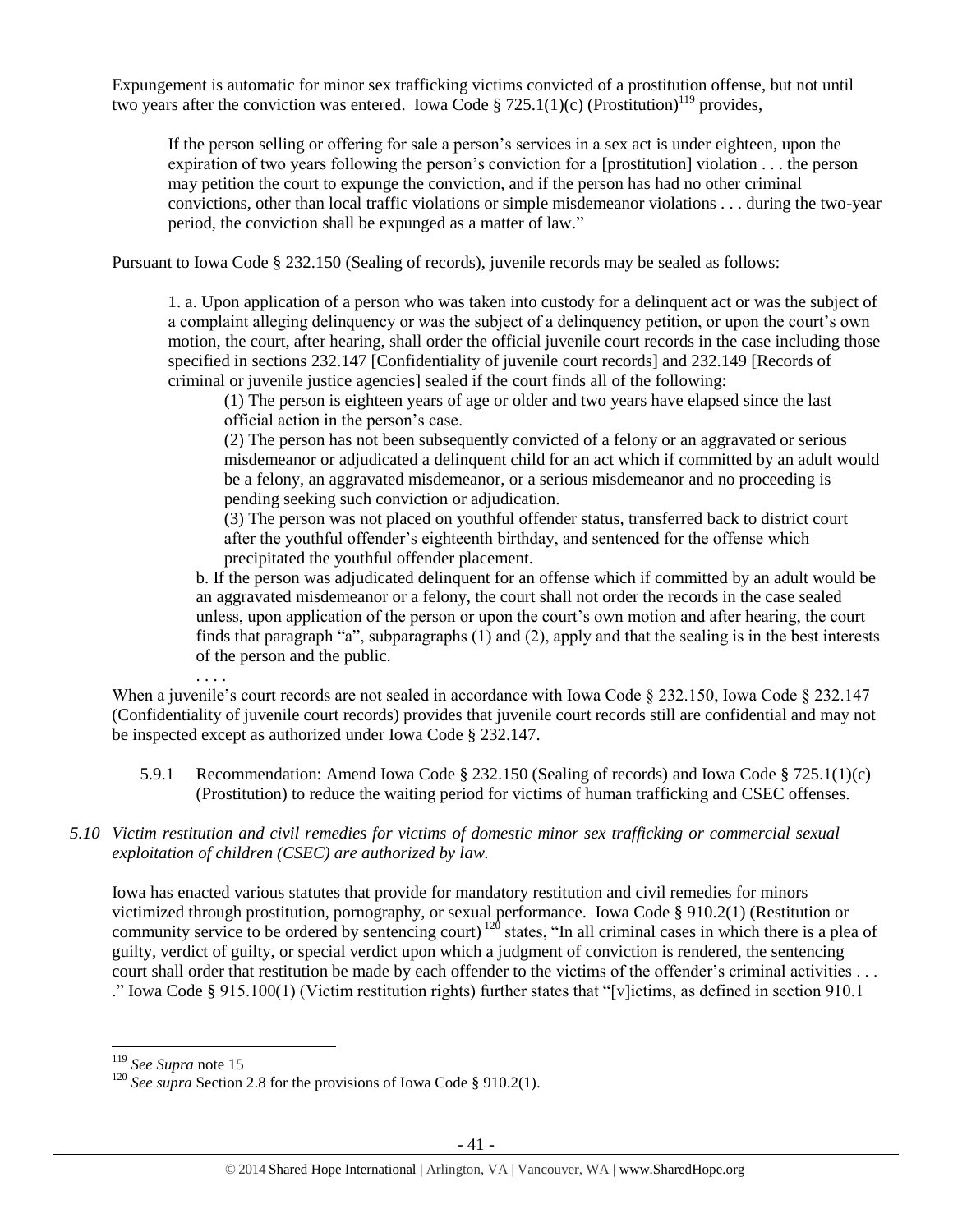Expungement is automatic for minor sex trafficking victims convicted of a prostitution offense, but not until two years after the conviction was entered. Iowa Code § 725.1(1)(c) (Prostitution)<sup>119</sup> provides,

If the person selling or offering for sale a person's services in a sex act is under eighteen, upon the expiration of two years following the person's conviction for a [prostitution] violation . . . the person may petition the court to expunge the conviction, and if the person has had no other criminal convictions, other than local traffic violations or simple misdemeanor violations . . . during the two-year period, the conviction shall be expunged as a matter of law."

Pursuant to Iowa Code § 232.150 (Sealing of records), juvenile records may be sealed as follows:

1. a. Upon application of a person who was taken into custody for a delinquent act or was the subject of a complaint alleging delinquency or was the subject of a delinquency petition, or upon the court's own motion, the court, after hearing, shall order the official juvenile court records in the case including those specified in sections 232.147 [Confidentiality of juvenile court records] and 232.149 [Records of criminal or juvenile justice agencies] sealed if the court finds all of the following:

(1) The person is eighteen years of age or older and two years have elapsed since the last official action in the person's case.

(2) The person has not been subsequently convicted of a felony or an aggravated or serious misdemeanor or adjudicated a delinquent child for an act which if committed by an adult would be a felony, an aggravated misdemeanor, or a serious misdemeanor and no proceeding is pending seeking such conviction or adjudication.

(3) The person was not placed on youthful offender status, transferred back to district court after the youthful offender's eighteenth birthday, and sentenced for the offense which precipitated the youthful offender placement.

b. If the person was adjudicated delinquent for an offense which if committed by an adult would be an aggravated misdemeanor or a felony, the court shall not order the records in the case sealed unless, upon application of the person or upon the court's own motion and after hearing, the court finds that paragraph "a", subparagraphs (1) and (2), apply and that the sealing is in the best interests of the person and the public.

When a juvenile's court records are not sealed in accordance with Iowa Code § 232.150, Iowa Code § 232.147 (Confidentiality of juvenile court records) provides that juvenile court records still are confidential and may not be inspected except as authorized under Iowa Code § 232.147.

- 5.9.1 Recommendation: Amend Iowa Code § 232.150 (Sealing of records) and Iowa Code § 725.1(1)(c) (Prostitution) to reduce the waiting period for victims of human trafficking and CSEC offenses.
- *5.10 Victim restitution and civil remedies for victims of domestic minor sex trafficking or commercial sexual exploitation of children (CSEC) are authorized by law.*

Iowa has enacted various statutes that provide for mandatory restitution and civil remedies for minors victimized through prostitution, pornography, or sexual performance. Iowa Code § 910.2(1) (Restitution or community service to be ordered by sentencing court)  $120$  states, "In all criminal cases in which there is a plea of guilty, verdict of guilty, or special verdict upon which a judgment of conviction is rendered, the sentencing court shall order that restitution be made by each offender to the victims of the offender's criminal activities . . . ." Iowa Code § 915.100(1) (Victim restitution rights) further states that "[v]ictims, as defined in section 910.1

 $\overline{a}$ 

. . . .

<sup>119</sup> *See Supra* note 15

<sup>&</sup>lt;sup>120</sup> *See supra* Section 2.8 for the provisions of Iowa Code § 910.2(1).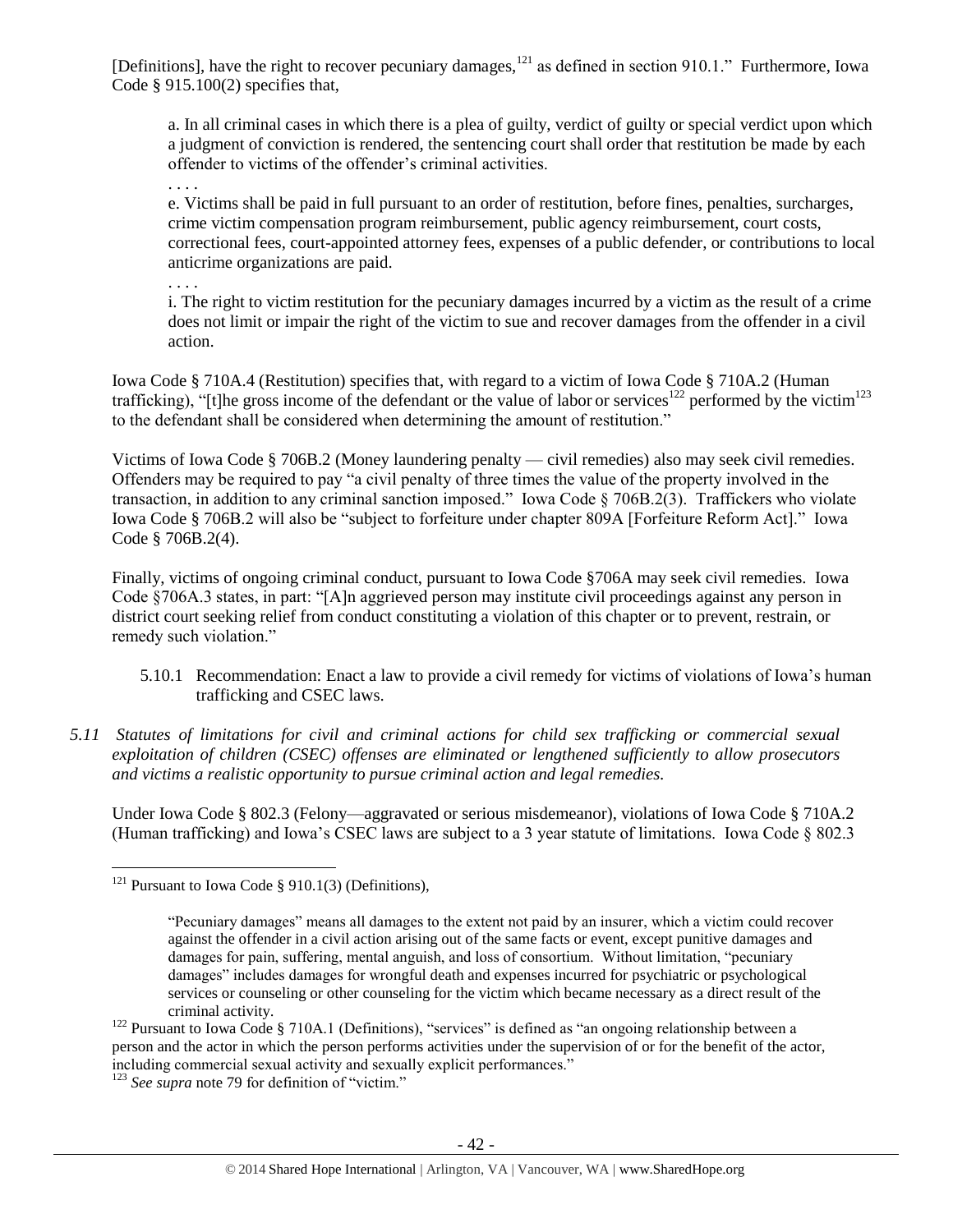[Definitions], have the right to recover pecuniary damages,  $^{121}$  as defined in section 910.1." Furthermore, Iowa Code § 915.100(2) specifies that,

a. In all criminal cases in which there is a plea of guilty, verdict of guilty or special verdict upon which a judgment of conviction is rendered, the sentencing court shall order that restitution be made by each offender to victims of the offender's criminal activities.

. . . .

e. Victims shall be paid in full pursuant to an order of restitution, before fines, penalties, surcharges, crime victim compensation program reimbursement, public agency reimbursement, court costs, correctional fees, court-appointed attorney fees, expenses of a public defender, or contributions to local anticrime organizations are paid.

. . . .

i. The right to victim restitution for the pecuniary damages incurred by a victim as the result of a crime does not limit or impair the right of the victim to sue and recover damages from the offender in a civil action.

Iowa Code § 710A.4 (Restitution) specifies that, with regard to a victim of Iowa Code § 710A.2 (Human trafficking), "[t]he gross income of the defendant or the value of labor or services<sup>122</sup> performed by the victim<sup>123</sup> to the defendant shall be considered when determining the amount of restitution."

Victims of Iowa Code § 706B.2 (Money laundering penalty — civil remedies) also may seek civil remedies. Offenders may be required to pay "a civil penalty of three times the value of the property involved in the transaction, in addition to any criminal sanction imposed." Iowa Code § 706B.2(3). Traffickers who violate Iowa Code § 706B.2 will also be "subject to forfeiture under chapter 809A [Forfeiture Reform Act]." Iowa Code § 706B.2(4).

Finally, victims of ongoing criminal conduct, pursuant to Iowa Code §706A may seek civil remedies. Iowa Code §706A.3 states, in part: "[A]n aggrieved person may institute civil proceedings against any person in district court seeking relief from conduct constituting a violation of this chapter or to prevent, restrain, or remedy such violation."

- 5.10.1 Recommendation: Enact a law to provide a civil remedy for victims of violations of Iowa's human trafficking and CSEC laws.
- *5.11 Statutes of limitations for civil and criminal actions for child sex trafficking or commercial sexual exploitation of children (CSEC) offenses are eliminated or lengthened sufficiently to allow prosecutors and victims a realistic opportunity to pursue criminal action and legal remedies.*

Under Iowa Code § 802.3 (Felony—aggravated or serious misdemeanor), violations of Iowa Code § 710A.2 (Human trafficking) and Iowa's CSEC laws are subject to a 3 year statute of limitations. Iowa Code § 802.3

<sup>&</sup>lt;sup>121</sup> Pursuant to Iowa Code  $\S$  910.1(3) (Definitions),

<sup>&</sup>quot;Pecuniary damages" means all damages to the extent not paid by an insurer, which a victim could recover against the offender in a civil action arising out of the same facts or event, except punitive damages and damages for pain, suffering, mental anguish, and loss of consortium. Without limitation, "pecuniary damages" includes damages for wrongful death and expenses incurred for psychiatric or psychological services or counseling or other counseling for the victim which became necessary as a direct result of the criminal activity.

<sup>&</sup>lt;sup>122</sup> Pursuant to Iowa Code § 710A.1 (Definitions), "services" is defined as "an ongoing relationship between a person and the actor in which the person performs activities under the supervision of or for the benefit of the actor, including commercial sexual activity and sexually explicit performances."

<sup>123</sup> *See supra* not[e 79](#page-22-0) for definition of "victim."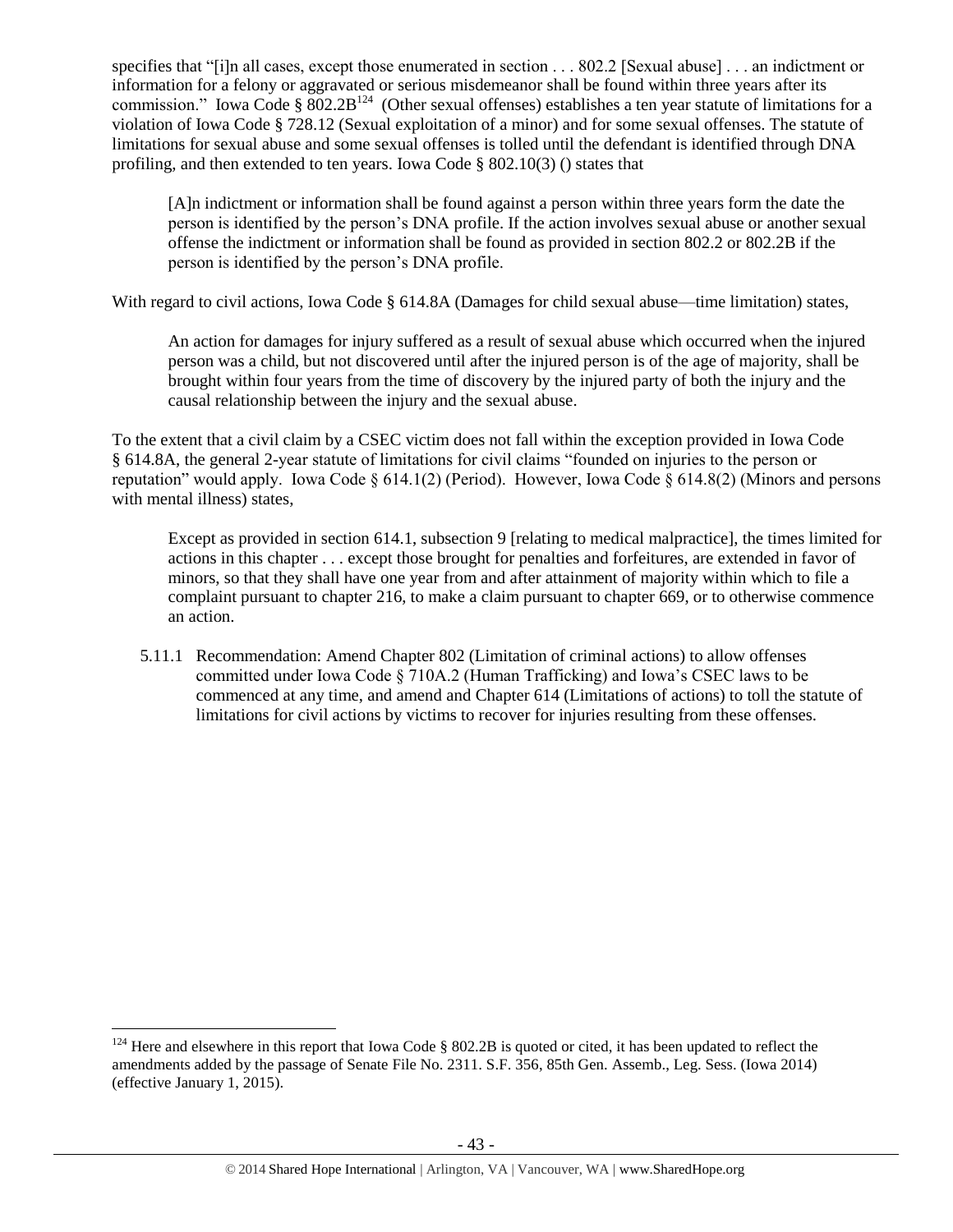specifies that "[i]n all cases, except those enumerated in section . . . 802.2 [Sexual abuse] . . . an indictment or information for a felony or aggravated or serious misdemeanor shall be found within three years after its commission." Iowa Code §  $802.2B^{124}$  (Other sexual offenses) establishes a ten year statute of limitations for a violation of Iowa Code § 728.12 (Sexual exploitation of a minor) and for some sexual offenses. The statute of limitations for sexual abuse and some sexual offenses is tolled until the defendant is identified through DNA profiling, and then extended to ten years. Iowa Code § 802.10(3) () states that

[A]n indictment or information shall be found against a person within three years form the date the person is identified by the person's DNA profile. If the action involves sexual abuse or another sexual offense the indictment or information shall be found as provided in section 802.2 or 802.2B if the person is identified by the person's DNA profile.

With regard to civil actions, Iowa Code § 614.8A (Damages for child sexual abuse—time limitation) states,

An action for damages for injury suffered as a result of sexual abuse which occurred when the injured person was a child, but not discovered until after the injured person is of the age of majority, shall be brought within four years from the time of discovery by the injured party of both the injury and the causal relationship between the injury and the sexual abuse.

To the extent that a civil claim by a CSEC victim does not fall within the exception provided in Iowa Code § 614.8A, the general 2-year statute of limitations for civil claims "founded on injuries to the person or reputation" would apply. Iowa Code § 614.1(2) (Period). However, Iowa Code § 614.8(2) (Minors and persons with mental illness) states,

Except as provided in section 614.1, subsection 9 [relating to medical malpractice], the times limited for actions in this chapter . . . except those brought for penalties and forfeitures, are extended in favor of minors, so that they shall have one year from and after attainment of majority within which to file a complaint pursuant to chapter 216, to make a claim pursuant to chapter 669, or to otherwise commence an action.

5.11.1 Recommendation: Amend Chapter 802 (Limitation of criminal actions) to allow offenses committed under Iowa Code § 710A.2 (Human Trafficking) and Iowa's CSEC laws to be commenced at any time, and amend and Chapter 614 (Limitations of actions) to toll the statute of limitations for civil actions by victims to recover for injuries resulting from these offenses.

 $124$  Here and elsewhere in this report that Iowa Code § 802.2B is quoted or cited, it has been updated to reflect the amendments added by the passage of Senate File No. 2311. S.F. 356, 85th Gen. Assemb., Leg. Sess. (Iowa 2014) (effective January 1, 2015).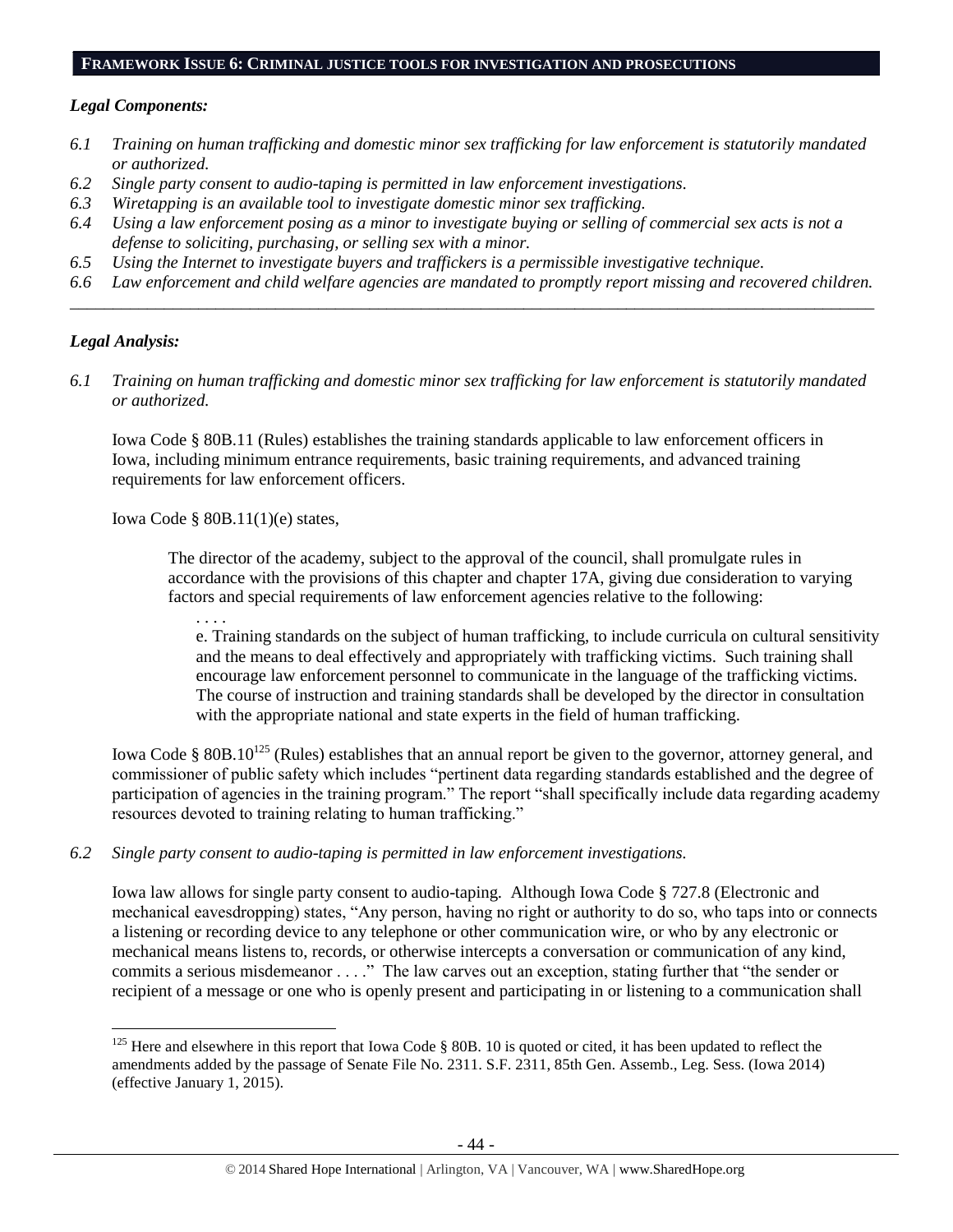#### **FRAMEWORK ISSUE 6: CRIMINAL JUSTICE TOOLS FOR INVESTIGATION AND PROSECUTIONS**

#### *Legal Components:*

- *6.1 Training on human trafficking and domestic minor sex trafficking for law enforcement is statutorily mandated or authorized.*
- *6.2 Single party consent to audio-taping is permitted in law enforcement investigations.*
- *6.3 Wiretapping is an available tool to investigate domestic minor sex trafficking.*
- *6.4 Using a law enforcement posing as a minor to investigate buying or selling of commercial sex acts is not a defense to soliciting, purchasing, or selling sex with a minor.*
- *6.5 Using the Internet to investigate buyers and traffickers is a permissible investigative technique.*
- *6.6 Law enforcement and child welfare agencies are mandated to promptly report missing and recovered children. \_\_\_\_\_\_\_\_\_\_\_\_\_\_\_\_\_\_\_\_\_\_\_\_\_\_\_\_\_\_\_\_\_\_\_\_\_\_\_\_\_\_\_\_\_\_\_\_\_\_\_\_\_\_\_\_\_\_\_\_\_\_\_\_\_\_\_\_\_\_\_\_\_\_\_\_\_\_\_\_\_\_\_\_\_\_\_\_\_\_\_\_\_\_*

#### *Legal Analysis:*

 $\overline{a}$ 

*6.1 Training on human trafficking and domestic minor sex trafficking for law enforcement is statutorily mandated or authorized.*

Iowa Code § 80B.11 (Rules) establishes the training standards applicable to law enforcement officers in Iowa, including minimum entrance requirements, basic training requirements, and advanced training requirements for law enforcement officers.

Iowa Code § 80B.11(1)(e) states,

The director of the academy, subject to the approval of the council, shall promulgate rules in accordance with the provisions of this chapter and chapter 17A, giving due consideration to varying factors and special requirements of law enforcement agencies relative to the following:

. . . .

e. Training standards on the subject of human trafficking, to include curricula on cultural sensitivity and the means to deal effectively and appropriately with trafficking victims. Such training shall encourage law enforcement personnel to communicate in the language of the trafficking victims. The course of instruction and training standards shall be developed by the director in consultation with the appropriate national and state experts in the field of human trafficking.

Iowa Code § 80B.10<sup>125</sup> (Rules) establishes that an annual report be given to the governor, attorney general, and commissioner of public safety which includes "pertinent data regarding standards established and the degree of participation of agencies in the training program." The report "shall specifically include data regarding academy resources devoted to training relating to human trafficking."

#### *6.2 Single party consent to audio-taping is permitted in law enforcement investigations.*

Iowa law allows for single party consent to audio-taping. Although Iowa Code § 727.8 (Electronic and mechanical eavesdropping) states, "Any person, having no right or authority to do so, who taps into or connects a listening or recording device to any telephone or other communication wire, or who by any electronic or mechanical means listens to, records, or otherwise intercepts a conversation or communication of any kind, commits a serious misdemeanor . . . ." The law carves out an exception, stating further that "the sender or recipient of a message or one who is openly present and participating in or listening to a communication shall

 $125$  Here and elsewhere in this report that Iowa Code § 80B. 10 is quoted or cited, it has been updated to reflect the amendments added by the passage of Senate File No. 2311. S.F. 2311, 85th Gen. Assemb., Leg. Sess. (Iowa 2014) (effective January 1, 2015).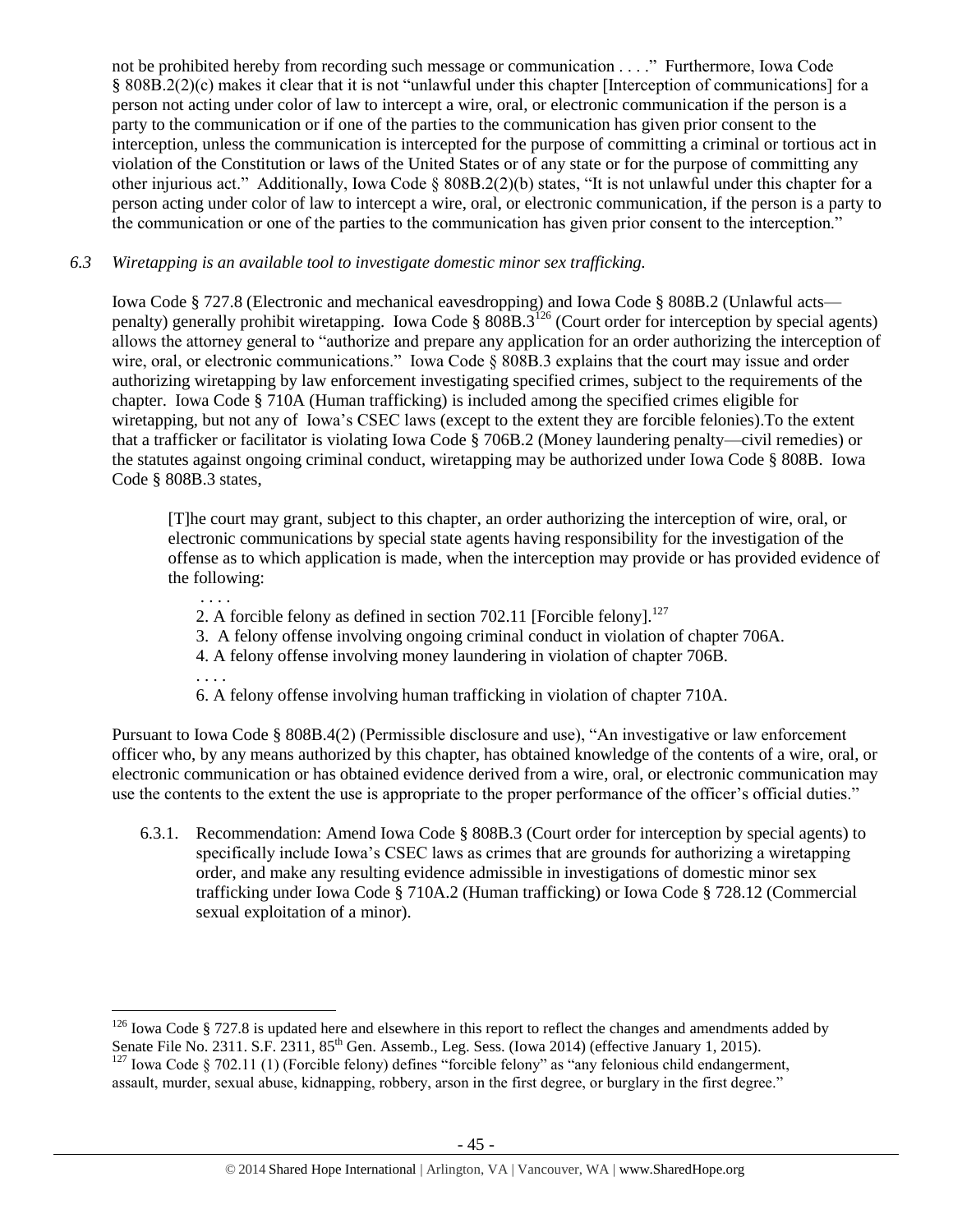not be prohibited hereby from recording such message or communication . . . ." Furthermore, Iowa Code § 808B.2(2)(c) makes it clear that it is not "unlawful under this chapter [Interception of communications] for a person not acting under color of law to intercept a wire, oral, or electronic communication if the person is a party to the communication or if one of the parties to the communication has given prior consent to the interception, unless the communication is intercepted for the purpose of committing a criminal or tortious act in violation of the Constitution or laws of the United States or of any state or for the purpose of committing any other injurious act." Additionally, Iowa Code § 808B.2(2)(b) states, "It is not unlawful under this chapter for a person acting under color of law to intercept a wire, oral, or electronic communication, if the person is a party to the communication or one of the parties to the communication has given prior consent to the interception."

#### *6.3 Wiretapping is an available tool to investigate domestic minor sex trafficking.*

Iowa Code § 727.8 (Electronic and mechanical eavesdropping) and Iowa Code § 808B.2 (Unlawful acts penalty) generally prohibit wiretapping. Iowa Code § 808B.3<sup>126</sup> (Court order for interception by special agents) allows the attorney general to "authorize and prepare any application for an order authorizing the interception of wire, oral, or electronic communications." Iowa Code § 808B.3 explains that the court may issue and order authorizing wiretapping by law enforcement investigating specified crimes, subject to the requirements of the chapter. Iowa Code § 710A (Human trafficking) is included among the specified crimes eligible for wiretapping, but not any of Iowa's CSEC laws (except to the extent they are forcible felonies).To the extent that a trafficker or facilitator is violating Iowa Code § 706B.2 (Money laundering penalty—civil remedies) or the statutes against ongoing criminal conduct, wiretapping may be authorized under Iowa Code § 808B. Iowa Code § 808B.3 states,

[T]he court may grant, subject to this chapter, an order authorizing the interception of wire, oral, or electronic communications by special state agents having responsibility for the investigation of the offense as to which application is made, when the interception may provide or has provided evidence of the following:

- 2. A forcible felony as defined in section 702.11 [Forcible felony]. $^{127}$
- 3. A felony offense involving ongoing criminal conduct in violation of chapter 706A.
- 4. A felony offense involving money laundering in violation of chapter 706B.

. . . .

. . . .

6. A felony offense involving human trafficking in violation of chapter 710A.

Pursuant to Iowa Code § 808B.4(2) (Permissible disclosure and use), "An investigative or law enforcement officer who, by any means authorized by this chapter, has obtained knowledge of the contents of a wire, oral, or electronic communication or has obtained evidence derived from a wire, oral, or electronic communication may use the contents to the extent the use is appropriate to the proper performance of the officer's official duties."

6.3.1. Recommendation: Amend Iowa Code § 808B.3 (Court order for interception by special agents) to specifically include Iowa's CSEC laws as crimes that are grounds for authorizing a wiretapping order, and make any resulting evidence admissible in investigations of domestic minor sex trafficking under Iowa Code § 710A.2 (Human trafficking) or Iowa Code § 728.12 (Commercial sexual exploitation of a minor).

 $\overline{a}$  $126$  Iowa Code § 727.8 is updated here and elsewhere in this report to reflect the changes and amendments added by Senate File No. 2311. S.F. 2311, 85<sup>th</sup> Gen. Assemb., Leg. Sess. (Iowa 2014) (effective January 1, 2015).  $127$  Iowa Code § 702.11 (1) (Forcible felony) defines "forcible felony" as "any felonious child endangerment,

assault, murder, sexual abuse, kidnapping, robbery, arson in the first degree, or burglary in the first degree."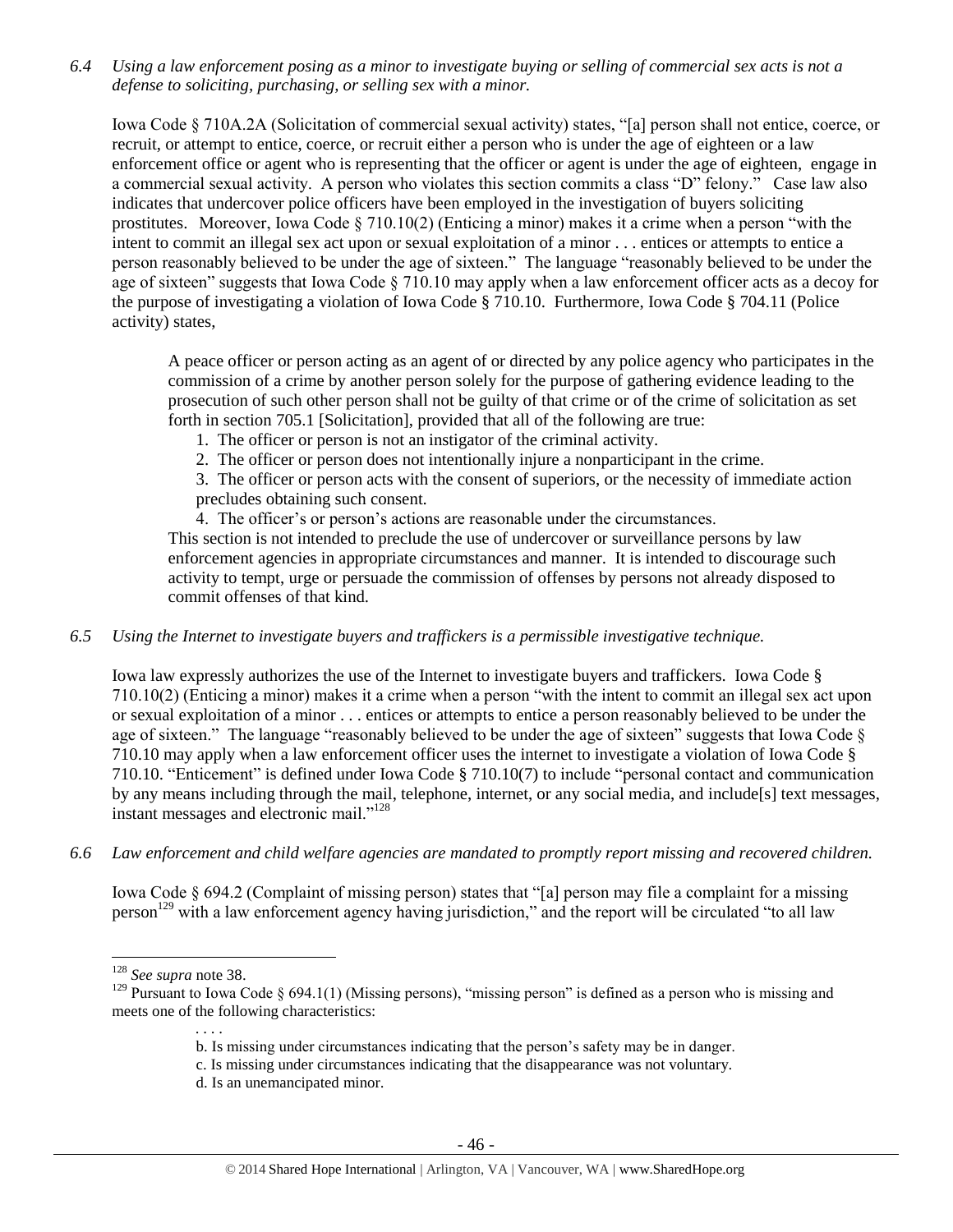*6.4 Using a law enforcement posing as a minor to investigate buying or selling of commercial sex acts is not a defense to soliciting, purchasing, or selling sex with a minor.*

Iowa Code § 710A.2A (Solicitation of commercial sexual activity) states, "[a] person shall not entice, coerce, or recruit, or attempt to entice, coerce, or recruit either a person who is under the age of eighteen or a law enforcement office or agent who is representing that the officer or agent is under the age of eighteen, engage in a commercial sexual activity. A person who violates this section commits a class "D" felony." Case law also indicates that undercover police officers have been employed in the investigation of buyers soliciting prostitutes. Moreover, Iowa Code § 710.10(2) (Enticing a minor) makes it a crime when a person "with the intent to commit an illegal sex act upon or sexual exploitation of a minor . . . entices or attempts to entice a person reasonably believed to be under the age of sixteen." The language "reasonably believed to be under the age of sixteen" suggests that Iowa Code § 710.10 may apply when a law enforcement officer acts as a decoy for the purpose of investigating a violation of Iowa Code § 710.10. Furthermore, Iowa Code § 704.11 (Police activity) states,

A peace officer or person acting as an agent of or directed by any police agency who participates in the commission of a crime by another person solely for the purpose of gathering evidence leading to the prosecution of such other person shall not be guilty of that crime or of the crime of solicitation as set forth in section 705.1 [Solicitation], provided that all of the following are true:

- 1. The officer or person is not an instigator of the criminal activity.
- 2. The officer or person does not intentionally injure a nonparticipant in the crime.

3. The officer or person acts with the consent of superiors, or the necessity of immediate action precludes obtaining such consent.

4. The officer's or person's actions are reasonable under the circumstances.

This section is not intended to preclude the use of undercover or surveillance persons by law enforcement agencies in appropriate circumstances and manner. It is intended to discourage such activity to tempt, urge or persuade the commission of offenses by persons not already disposed to commit offenses of that kind.

*6.5 Using the Internet to investigate buyers and traffickers is a permissible investigative technique.*

Iowa law expressly authorizes the use of the Internet to investigate buyers and traffickers. Iowa Code § 710.10(2) (Enticing a minor) makes it a crime when a person "with the intent to commit an illegal sex act upon or sexual exploitation of a minor . . . entices or attempts to entice a person reasonably believed to be under the age of sixteen." The language "reasonably believed to be under the age of sixteen" suggests that Iowa Code § 710.10 may apply when a law enforcement officer uses the internet to investigate a violation of Iowa Code § 710.10. "Enticement" is defined under Iowa Code § 710.10(7) to include "personal contact and communication by any means including through the mail, telephone, internet, or any social media, and include[s] text messages, instant messages and electronic mail."<sup>128</sup>

*6.6 Law enforcement and child welfare agencies are mandated to promptly report missing and recovered children.* 

Iowa Code § 694.2 (Complaint of missing person) states that "[a] person may file a complaint for a missing person<sup>129</sup> with a law enforcement agency having jurisdiction," and the report will be circulated "to all law

 $\overline{a}$ 

. . . .

- c. Is missing under circumstances indicating that the disappearance was not voluntary.
- d. Is an unemancipated minor.

<sup>128</sup> *See supra* not[e 38.](#page-12-0)

<sup>&</sup>lt;sup>129</sup> Pursuant to Iowa Code § 694.1(1) (Missing persons), "missing person" is defined as a person who is missing and meets one of the following characteristics:

b. Is missing under circumstances indicating that the person's safety may be in danger.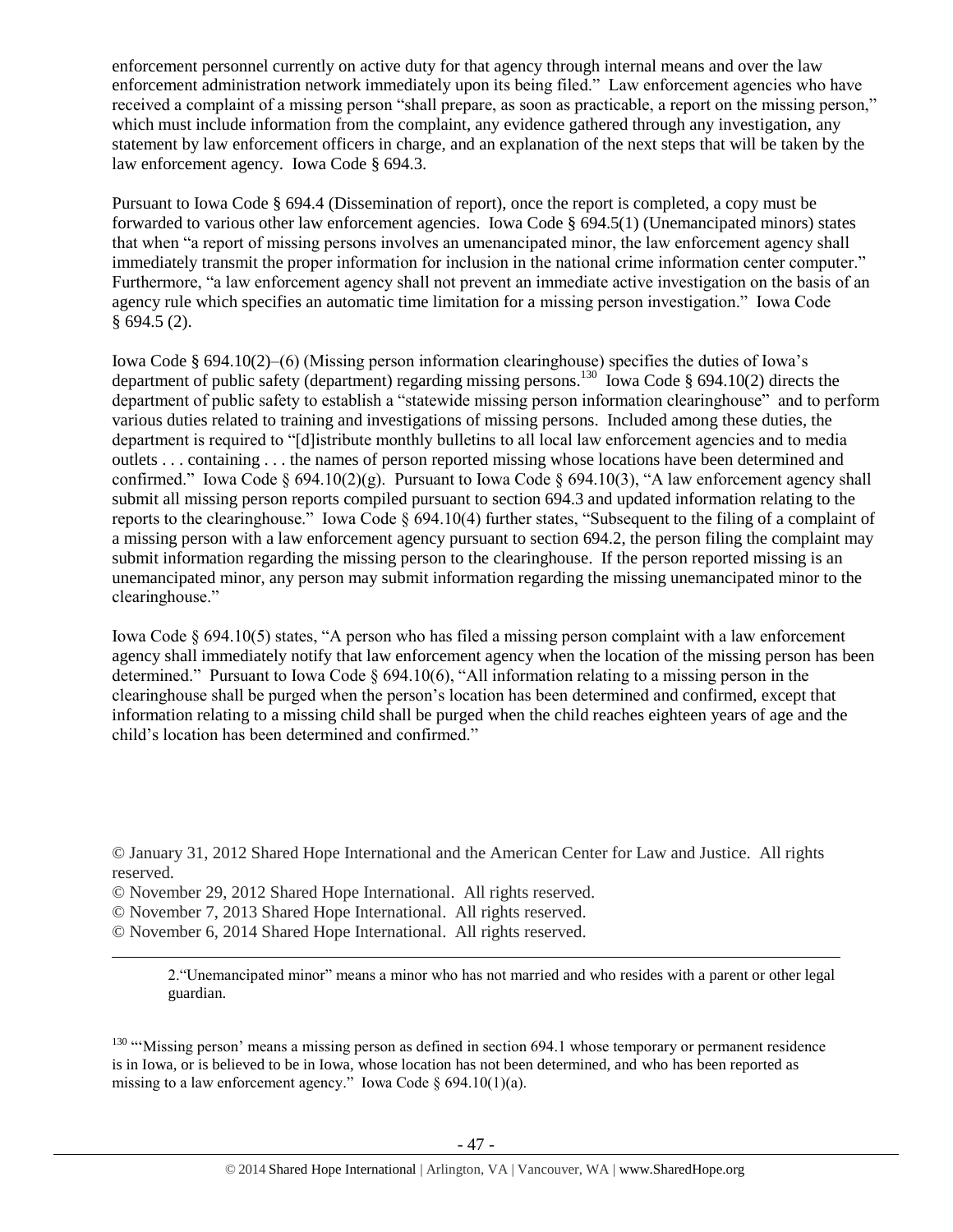enforcement personnel currently on active duty for that agency through internal means and over the law enforcement administration network immediately upon its being filed." Law enforcement agencies who have received a complaint of a missing person "shall prepare, as soon as practicable, a report on the missing person," which must include information from the complaint, any evidence gathered through any investigation, any statement by law enforcement officers in charge, and an explanation of the next steps that will be taken by the law enforcement agency. Iowa Code § 694.3.

Pursuant to Iowa Code § 694.4 (Dissemination of report), once the report is completed, a copy must be forwarded to various other law enforcement agencies. Iowa Code § 694.5(1) (Unemancipated minors) states that when "a report of missing persons involves an umenancipated minor, the law enforcement agency shall immediately transmit the proper information for inclusion in the national crime information center computer." Furthermore, "a law enforcement agency shall not prevent an immediate active investigation on the basis of an agency rule which specifies an automatic time limitation for a missing person investigation." Iowa Code  $§ 694.5 (2).$ 

Iowa Code § 694.10(2)–(6) (Missing person information clearinghouse) specifies the duties of Iowa's department of public safety (department) regarding missing persons.<sup>130</sup> Iowa Code § 694.10(2) directs the department of public safety to establish a "statewide missing person information clearinghouse" and to perform various duties related to training and investigations of missing persons. Included among these duties, the department is required to "[d]istribute monthly bulletins to all local law enforcement agencies and to media outlets . . . containing . . . the names of person reported missing whose locations have been determined and confirmed." Iowa Code § 694.10(2)(g). Pursuant to Iowa Code § 694.10(3), "A law enforcement agency shall submit all missing person reports compiled pursuant to section 694.3 and updated information relating to the reports to the clearinghouse." Iowa Code § 694.10(4) further states, "Subsequent to the filing of a complaint of a missing person with a law enforcement agency pursuant to section 694.2, the person filing the complaint may submit information regarding the missing person to the clearinghouse. If the person reported missing is an unemancipated minor, any person may submit information regarding the missing unemancipated minor to the clearinghouse."

Iowa Code § 694.10(5) states, "A person who has filed a missing person complaint with a law enforcement agency shall immediately notify that law enforcement agency when the location of the missing person has been determined." Pursuant to Iowa Code § 694.10(6), "All information relating to a missing person in the clearinghouse shall be purged when the person's location has been determined and confirmed, except that information relating to a missing child shall be purged when the child reaches eighteen years of age and the child's location has been determined and confirmed."

- © November 29, 2012 Shared Hope International. All rights reserved.
- © November 7, 2013 Shared Hope International. All rights reserved.
- © November 6, 2014 Shared Hope International. All rights reserved.

 $\overline{a}$ 

2."Unemancipated minor" means a minor who has not married and who resides with a parent or other legal guardian.

<sup>130</sup> "'Missing person' means a missing person as defined in section 694.1 whose temporary or permanent residence is in Iowa, or is believed to be in Iowa, whose location has not been determined, and who has been reported as missing to a law enforcement agency." Iowa Code  $\delta$  694.10(1)(a).

<sup>©</sup> January 31, 2012 Shared Hope International and the American Center for Law and Justice. All rights reserved.